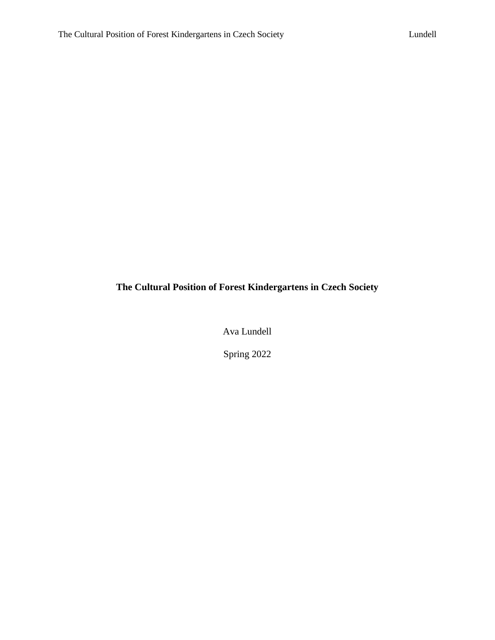# **The Cultural Position of Forest Kindergartens in Czech Society**

Ava Lundell

Spring 2022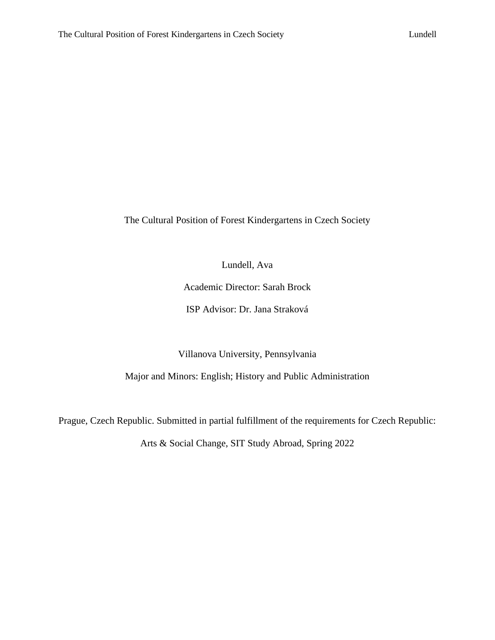The Cultural Position of Forest Kindergartens in Czech Society

Lundell, Ava

Academic Director: Sarah Brock

ISP Advisor: Dr. Jana Straková

Villanova University, Pennsylvania

Major and Minors: English; History and Public Administration

Prague, Czech Republic. Submitted in partial fulfillment of the requirements for Czech Republic:

Arts & Social Change, SIT Study Abroad, Spring 2022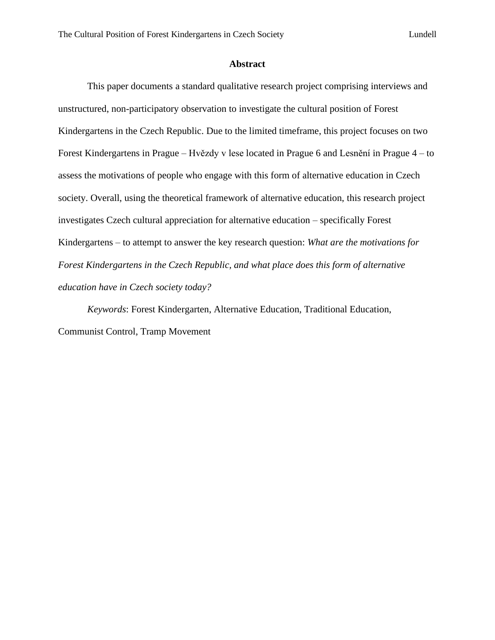#### **Abstract**

This paper documents a standard qualitative research project comprising interviews and unstructured, non-participatory observation to investigate the cultural position of Forest Kindergartens in the Czech Republic. Due to the limited timeframe, this project focuses on two Forest Kindergartens in Prague – Hvězdy v lese located in Prague 6 and Lesnění in Prague 4 – to assess the motivations of people who engage with this form of alternative education in Czech society. Overall, using the theoretical framework of alternative education, this research project investigates Czech cultural appreciation for alternative education – specifically Forest Kindergartens – to attempt to answer the key research question: *What are the motivations for Forest Kindergartens in the Czech Republic, and what place does this form of alternative education have in Czech society today?*

*Keywords*: Forest Kindergarten, Alternative Education, Traditional Education, Communist Control, Tramp Movement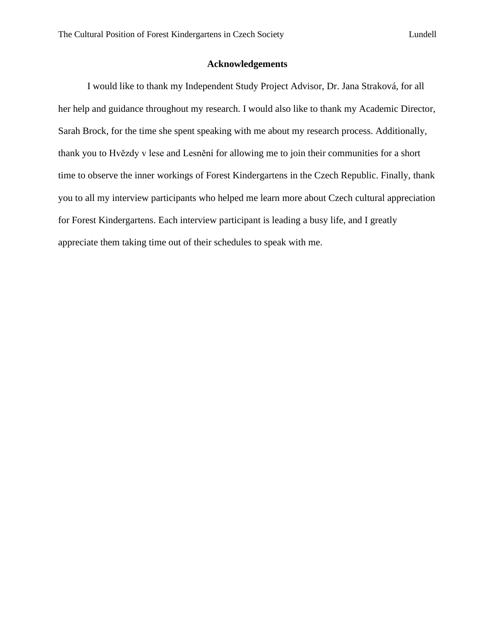#### **Acknowledgements**

I would like to thank my Independent Study Project Advisor, Dr. Jana Straková, for all her help and guidance throughout my research. I would also like to thank my Academic Director, Sarah Brock, for the time she spent speaking with me about my research process. Additionally, thank you to Hvězdy v lese and Lesnění for allowing me to join their communities for a short time to observe the inner workings of Forest Kindergartens in the Czech Republic. Finally, thank you to all my interview participants who helped me learn more about Czech cultural appreciation for Forest Kindergartens. Each interview participant is leading a busy life, and I greatly appreciate them taking time out of their schedules to speak with me.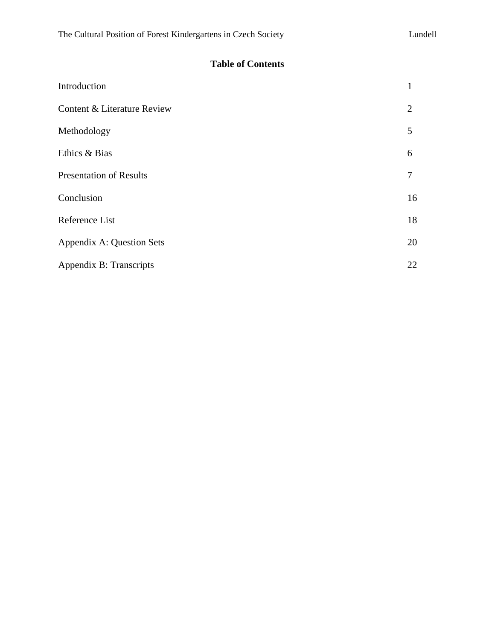## **Table of Contents**

| Introduction                   | 1  |
|--------------------------------|----|
| Content & Literature Review    | 2  |
| Methodology                    | 5  |
| Ethics & Bias                  | 6  |
| <b>Presentation of Results</b> | 7  |
| Conclusion                     | 16 |
| Reference List                 | 18 |
| Appendix A: Question Sets      | 20 |
| Appendix B: Transcripts        | 22 |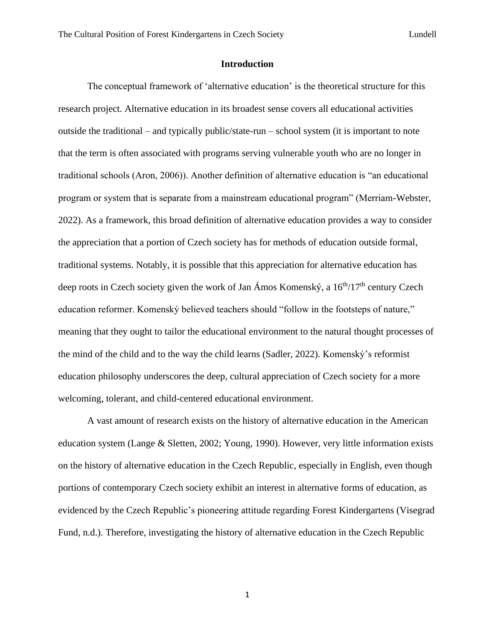#### **Introduction**

The conceptual framework of 'alternative education' is the theoretical structure for this research project. Alternative education in its broadest sense covers all educational activities outside the traditional – and typically public/state-run – school system (it is important to note that the term is often associated with programs serving vulnerable youth who are no longer in traditional schools (Aron, 2006)). Another definition of alternative education is "an educational program or system that is separate from a mainstream educational program" (Merriam-Webster, 2022). As a framework, this broad definition of alternative education provides a way to consider the appreciation that a portion of Czech society has for methods of education outside formal, traditional systems. Notably, it is possible that this appreciation for alternative education has deep roots in Czech society given the work of Jan Ámos Komenský, a  $16<sup>th</sup>/17<sup>th</sup>$  century Czech education reformer. Komenský believed teachers should "follow in the footsteps of nature," meaning that they ought to tailor the educational environment to the natural thought processes of the mind of the child and to the way the child learns (Sadler, 2022). Komenský's reformist education philosophy underscores the deep, cultural appreciation of Czech society for a more welcoming, tolerant, and child-centered educational environment.

A vast amount of research exists on the history of alternative education in the American education system (Lange & Sletten, 2002; Young, 1990). However, very little information exists on the history of alternative education in the Czech Republic, especially in English, even though portions of contemporary Czech society exhibit an interest in alternative forms of education, as evidenced by the Czech Republic's pioneering attitude regarding Forest Kindergartens (Visegrad Fund, n.d.). Therefore, investigating the history of alternative education in the Czech Republic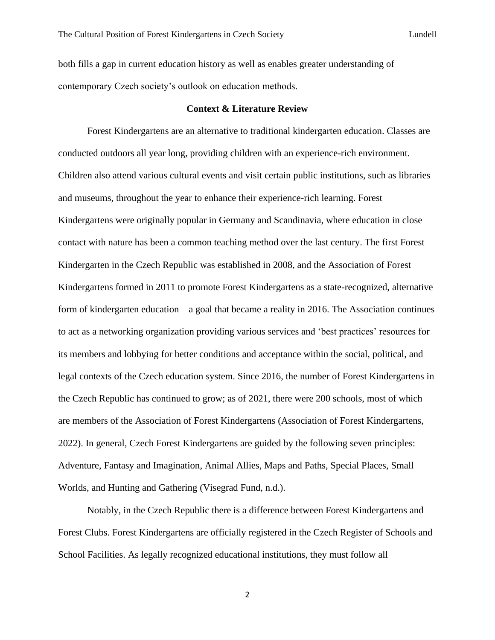both fills a gap in current education history as well as enables greater understanding of contemporary Czech society's outlook on education methods.

#### **Context & Literature Review**

Forest Kindergartens are an alternative to traditional kindergarten education. Classes are conducted outdoors all year long, providing children with an experience-rich environment. Children also attend various cultural events and visit certain public institutions, such as libraries and museums, throughout the year to enhance their experience-rich learning. Forest Kindergartens were originally popular in Germany and Scandinavia, where education in close contact with nature has been a common teaching method over the last century. The first Forest Kindergarten in the Czech Republic was established in 2008, and the Association of Forest Kindergartens formed in 2011 to promote Forest Kindergartens as a state-recognized, alternative form of kindergarten education – a goal that became a reality in 2016. The Association continues to act as a networking organization providing various services and 'best practices' resources for its members and lobbying for better conditions and acceptance within the social, political, and legal contexts of the Czech education system. Since 2016, the number of Forest Kindergartens in the Czech Republic has continued to grow; as of 2021, there were 200 schools, most of which are members of the Association of Forest Kindergartens (Association of Forest Kindergartens, 2022). In general, Czech Forest Kindergartens are guided by the following seven principles: Adventure, Fantasy and Imagination, Animal Allies, Maps and Paths, Special Places, Small Worlds, and Hunting and Gathering (Visegrad Fund, n.d.).

Notably, in the Czech Republic there is a difference between Forest Kindergartens and Forest Clubs. Forest Kindergartens are officially registered in the Czech Register of Schools and School Facilities. As legally recognized educational institutions, they must follow all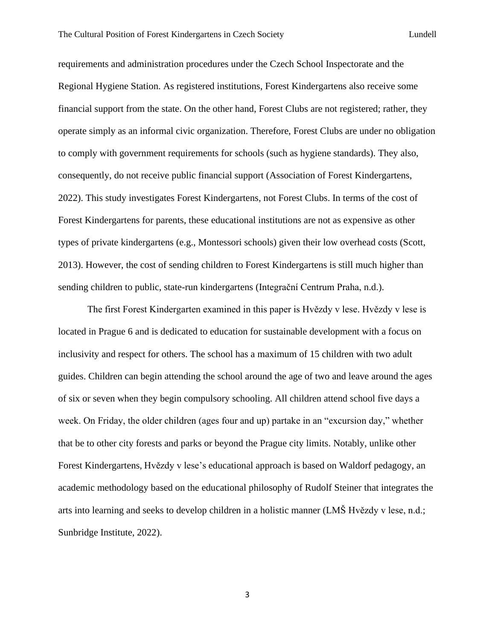requirements and administration procedures under the Czech School Inspectorate and the Regional Hygiene Station. As registered institutions, Forest Kindergartens also receive some financial support from the state. On the other hand, Forest Clubs are not registered; rather, they operate simply as an informal civic organization. Therefore, Forest Clubs are under no obligation to comply with government requirements for schools (such as hygiene standards). They also, consequently, do not receive public financial support (Association of Forest Kindergartens, 2022). This study investigates Forest Kindergartens, not Forest Clubs. In terms of the cost of Forest Kindergartens for parents, these educational institutions are not as expensive as other types of private kindergartens (e.g., Montessori schools) given their low overhead costs (Scott, 2013). However, the cost of sending children to Forest Kindergartens is still much higher than sending children to public, state-run kindergartens (Integrační Centrum Praha, n.d.).

The first Forest Kindergarten examined in this paper is Hvězdy v lese. Hvězdy v lese is located in Prague 6 and is dedicated to education for sustainable development with a focus on inclusivity and respect for others. The school has a maximum of 15 children with two adult guides. Children can begin attending the school around the age of two and leave around the ages of six or seven when they begin compulsory schooling. All children attend school five days a week. On Friday, the older children (ages four and up) partake in an "excursion day," whether that be to other city forests and parks or beyond the Prague city limits. Notably, unlike other Forest Kindergartens, Hvězdy v lese's educational approach is based on Waldorf pedagogy, an academic methodology based on the educational philosophy of Rudolf Steiner that integrates the arts into learning and seeks to develop children in a holistic manner (LMŠ Hvězdy v lese, n.d.; Sunbridge Institute, 2022).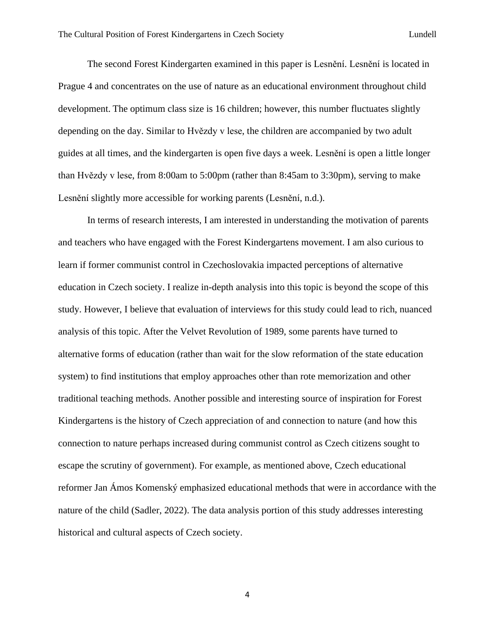The second Forest Kindergarten examined in this paper is Lesnění. Lesnění is located in Prague 4 and concentrates on the use of nature as an educational environment throughout child development. The optimum class size is 16 children; however, this number fluctuates slightly depending on the day. Similar to Hvězdy v lese, the children are accompanied by two adult guides at all times, and the kindergarten is open five days a week. Lesnění is open a little longer than Hvězdy v lese, from 8:00am to 5:00pm (rather than 8:45am to 3:30pm), serving to make Lesnění slightly more accessible for working parents (Lesnění, n.d.).

In terms of research interests, I am interested in understanding the motivation of parents and teachers who have engaged with the Forest Kindergartens movement. I am also curious to learn if former communist control in Czechoslovakia impacted perceptions of alternative education in Czech society. I realize in-depth analysis into this topic is beyond the scope of this study. However, I believe that evaluation of interviews for this study could lead to rich, nuanced analysis of this topic. After the Velvet Revolution of 1989, some parents have turned to alternative forms of education (rather than wait for the slow reformation of the state education system) to find institutions that employ approaches other than rote memorization and other traditional teaching methods. Another possible and interesting source of inspiration for Forest Kindergartens is the history of Czech appreciation of and connection to nature (and how this connection to nature perhaps increased during communist control as Czech citizens sought to escape the scrutiny of government). For example, as mentioned above, Czech educational reformer Jan Ámos Komenský emphasized educational methods that were in accordance with the nature of the child (Sadler, 2022). The data analysis portion of this study addresses interesting historical and cultural aspects of Czech society.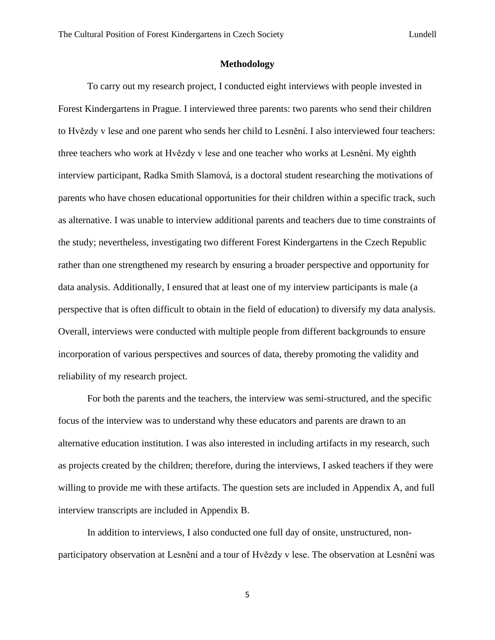#### **Methodology**

To carry out my research project, I conducted eight interviews with people invested in Forest Kindergartens in Prague. I interviewed three parents: two parents who send their children to Hvězdy v lese and one parent who sends her child to Lesnění. I also interviewed four teachers: three teachers who work at Hvězdy v lese and one teacher who works at Lesnění. My eighth interview participant, Radka Smith Slamová, is a doctoral student researching the motivations of parents who have chosen educational opportunities for their children within a specific track, such as alternative. I was unable to interview additional parents and teachers due to time constraints of the study; nevertheless, investigating two different Forest Kindergartens in the Czech Republic rather than one strengthened my research by ensuring a broader perspective and opportunity for data analysis. Additionally, I ensured that at least one of my interview participants is male (a perspective that is often difficult to obtain in the field of education) to diversify my data analysis. Overall, interviews were conducted with multiple people from different backgrounds to ensure incorporation of various perspectives and sources of data, thereby promoting the validity and reliability of my research project.

For both the parents and the teachers, the interview was semi-structured, and the specific focus of the interview was to understand why these educators and parents are drawn to an alternative education institution. I was also interested in including artifacts in my research, such as projects created by the children; therefore, during the interviews, I asked teachers if they were willing to provide me with these artifacts. The question sets are included in Appendix A, and full interview transcripts are included in Appendix B.

In addition to interviews, I also conducted one full day of onsite, unstructured, nonparticipatory observation at Lesnění and a tour of Hvězdy v lese. The observation at Lesnění was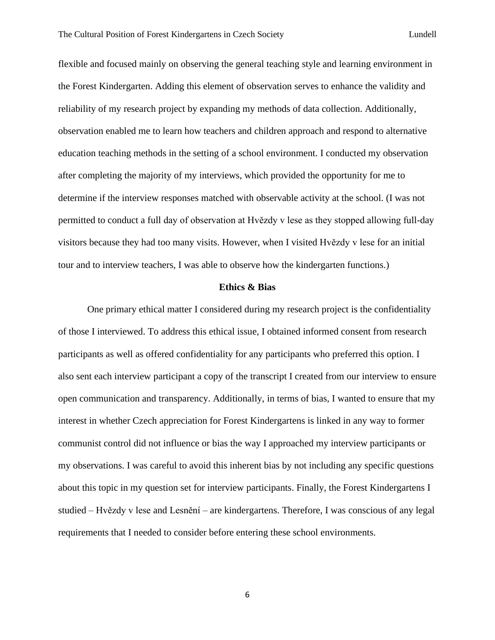flexible and focused mainly on observing the general teaching style and learning environment in the Forest Kindergarten. Adding this element of observation serves to enhance the validity and reliability of my research project by expanding my methods of data collection. Additionally, observation enabled me to learn how teachers and children approach and respond to alternative education teaching methods in the setting of a school environment. I conducted my observation after completing the majority of my interviews, which provided the opportunity for me to determine if the interview responses matched with observable activity at the school. (I was not permitted to conduct a full day of observation at Hvězdy v lese as they stopped allowing full-day visitors because they had too many visits. However, when I visited Hvězdy v lese for an initial tour and to interview teachers, I was able to observe how the kindergarten functions.)

#### **Ethics & Bias**

One primary ethical matter I considered during my research project is the confidentiality of those I interviewed. To address this ethical issue, I obtained informed consent from research participants as well as offered confidentiality for any participants who preferred this option. I also sent each interview participant a copy of the transcript I created from our interview to ensure open communication and transparency. Additionally, in terms of bias, I wanted to ensure that my interest in whether Czech appreciation for Forest Kindergartens is linked in any way to former communist control did not influence or bias the way I approached my interview participants or my observations. I was careful to avoid this inherent bias by not including any specific questions about this topic in my question set for interview participants. Finally, the Forest Kindergartens I studied – Hvězdy v lese and Lesnění – are kindergartens. Therefore, I was conscious of any legal requirements that I needed to consider before entering these school environments.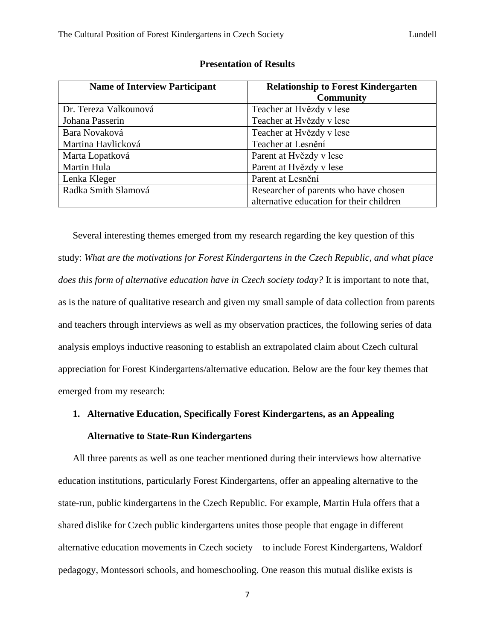| <b>Name of Interview Participant</b> | <b>Relationship to Forest Kindergarten</b> |
|--------------------------------------|--------------------------------------------|
|                                      | <b>Community</b>                           |
| Dr. Tereza Valkounová                | Teacher at Hvězdy v lese                   |
| Johana Passerin                      | Teacher at Hvězdy v lese                   |
| Bara Novaková                        | Teacher at Hvězdy v lese                   |
| Martina Havlicková                   | Teacher at Lesnění                         |
| Marta Lopatková                      | Parent at Hvězdy v lese                    |
| Martin Hula                          | Parent at Hvězdy v lese                    |
| Lenka Kleger                         | Parent at Lesnění                          |
| Radka Smith Slamová                  | Researcher of parents who have chosen      |
|                                      | alternative education for their children   |

#### **Presentation of Results**

Several interesting themes emerged from my research regarding the key question of this study: *What are the motivations for Forest Kindergartens in the Czech Republic, and what place does this form of alternative education have in Czech society today?* It is important to note that, as is the nature of qualitative research and given my small sample of data collection from parents and teachers through interviews as well as my observation practices, the following series of data analysis employs inductive reasoning to establish an extrapolated claim about Czech cultural appreciation for Forest Kindergartens/alternative education. Below are the four key themes that emerged from my research:

# **1. Alternative Education, Specifically Forest Kindergartens, as an Appealing Alternative to State-Run Kindergartens**

All three parents as well as one teacher mentioned during their interviews how alternative education institutions, particularly Forest Kindergartens, offer an appealing alternative to the state-run, public kindergartens in the Czech Republic. For example, Martin Hula offers that a shared dislike for Czech public kindergartens unites those people that engage in different alternative education movements in Czech society – to include Forest Kindergartens, Waldorf pedagogy, Montessori schools, and homeschooling. One reason this mutual dislike exists is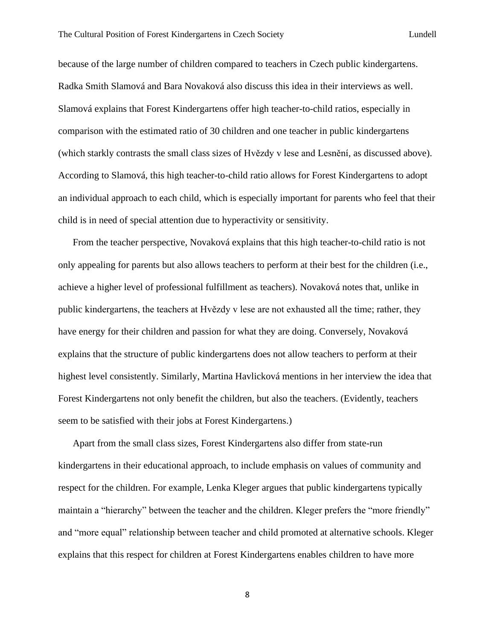because of the large number of children compared to teachers in Czech public kindergartens. Radka Smith Slamová and Bara Novaková also discuss this idea in their interviews as well. Slamová explains that Forest Kindergartens offer high teacher-to-child ratios, especially in comparison with the estimated ratio of 30 children and one teacher in public kindergartens (which starkly contrasts the small class sizes of Hvězdy v lese and Lesnění, as discussed above). According to Slamová, this high teacher-to-child ratio allows for Forest Kindergartens to adopt an individual approach to each child, which is especially important for parents who feel that their child is in need of special attention due to hyperactivity or sensitivity.

From the teacher perspective, Novaková explains that this high teacher-to-child ratio is not only appealing for parents but also allows teachers to perform at their best for the children (i.e., achieve a higher level of professional fulfillment as teachers). Novaková notes that, unlike in public kindergartens, the teachers at Hvězdy v lese are not exhausted all the time; rather, they have energy for their children and passion for what they are doing. Conversely, Novaková explains that the structure of public kindergartens does not allow teachers to perform at their highest level consistently. Similarly, Martina Havlicková mentions in her interview the idea that Forest Kindergartens not only benefit the children, but also the teachers. (Evidently, teachers seem to be satisfied with their jobs at Forest Kindergartens.)

Apart from the small class sizes, Forest Kindergartens also differ from state-run kindergartens in their educational approach, to include emphasis on values of community and respect for the children. For example, Lenka Kleger argues that public kindergartens typically maintain a "hierarchy" between the teacher and the children. Kleger prefers the "more friendly" and "more equal" relationship between teacher and child promoted at alternative schools. Kleger explains that this respect for children at Forest Kindergartens enables children to have more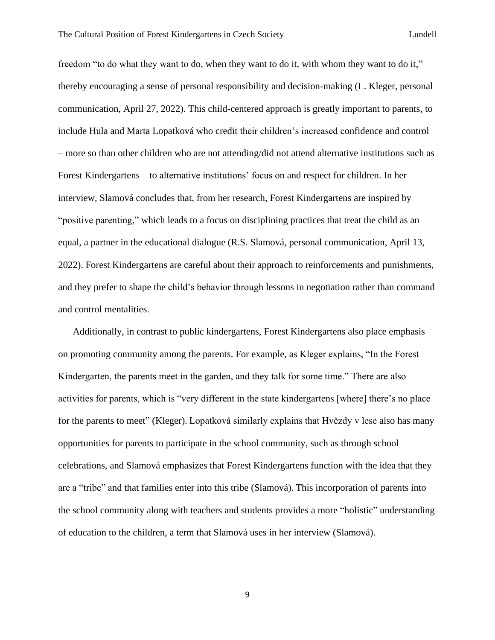freedom "to do what they want to do, when they want to do it, with whom they want to do it," thereby encouraging a sense of personal responsibility and decision-making (L. Kleger, personal communication, April 27, 2022). This child-centered approach is greatly important to parents, to include Hula and Marta Lopatková who credit their children's increased confidence and control – more so than other children who are not attending/did not attend alternative institutions such as Forest Kindergartens – to alternative institutions' focus on and respect for children. In her interview, Slamová concludes that, from her research, Forest Kindergartens are inspired by "positive parenting," which leads to a focus on disciplining practices that treat the child as an equal, a partner in the educational dialogue (R.S. Slamová, personal communication, April 13, 2022). Forest Kindergartens are careful about their approach to reinforcements and punishments, and they prefer to shape the child's behavior through lessons in negotiation rather than command and control mentalities.

Additionally, in contrast to public kindergartens, Forest Kindergartens also place emphasis on promoting community among the parents. For example, as Kleger explains, "In the Forest Kindergarten, the parents meet in the garden, and they talk for some time." There are also activities for parents, which is "very different in the state kindergartens [where] there's no place for the parents to meet" (Kleger). Lopatková similarly explains that Hvězdy v lese also has many opportunities for parents to participate in the school community, such as through school celebrations, and Slamová emphasizes that Forest Kindergartens function with the idea that they are a "tribe" and that families enter into this tribe (Slamová). This incorporation of parents into the school community along with teachers and students provides a more "holistic" understanding of education to the children, a term that Slamová uses in her interview (Slamová).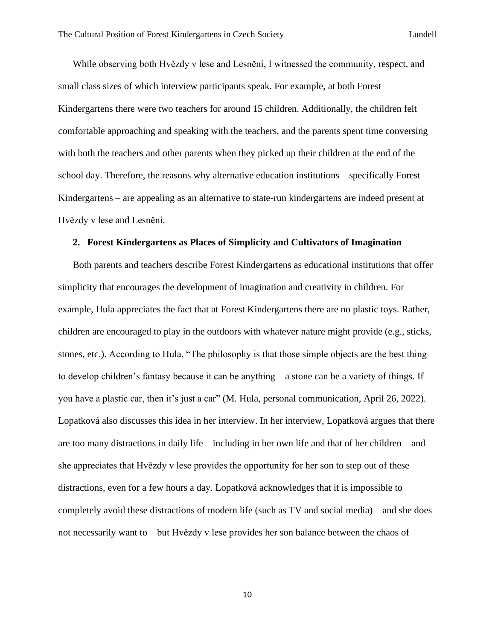While observing both Hvězdy v lese and Lesnění, I witnessed the community, respect, and small class sizes of which interview participants speak. For example, at both Forest Kindergartens there were two teachers for around 15 children. Additionally, the children felt comfortable approaching and speaking with the teachers, and the parents spent time conversing with both the teachers and other parents when they picked up their children at the end of the school day. Therefore, the reasons why alternative education institutions – specifically Forest Kindergartens – are appealing as an alternative to state-run kindergartens are indeed present at Hvězdy v lese and Lesnění.

#### **2. Forest Kindergartens as Places of Simplicity and Cultivators of Imagination**

Both parents and teachers describe Forest Kindergartens as educational institutions that offer simplicity that encourages the development of imagination and creativity in children. For example, Hula appreciates the fact that at Forest Kindergartens there are no plastic toys. Rather, children are encouraged to play in the outdoors with whatever nature might provide (e.g., sticks, stones, etc.). According to Hula, "The philosophy is that those simple objects are the best thing to develop children's fantasy because it can be anything – a stone can be a variety of things. If you have a plastic car, then it's just a car" (M. Hula, personal communication, April 26, 2022). Lopatková also discusses this idea in her interview. In her interview, Lopatková argues that there are too many distractions in daily life – including in her own life and that of her children – and she appreciates that Hvězdy v lese provides the opportunity for her son to step out of these distractions, even for a few hours a day. Lopatková acknowledges that it is impossible to completely avoid these distractions of modern life (such as TV and social media) – and she does not necessarily want to – but Hvězdy v lese provides her son balance between the chaos of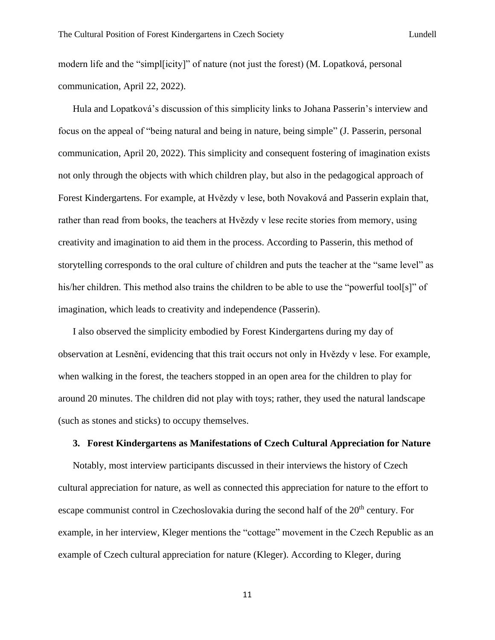modern life and the "simpl[icity]" of nature (not just the forest) (M. Lopatková, personal communication, April 22, 2022).

Hula and Lopatková's discussion of this simplicity links to Johana Passerin's interview and focus on the appeal of "being natural and being in nature, being simple" (J. Passerin, personal communication, April 20, 2022). This simplicity and consequent fostering of imagination exists not only through the objects with which children play, but also in the pedagogical approach of Forest Kindergartens. For example, at Hvězdy v lese, both Novaková and Passerin explain that, rather than read from books, the teachers at Hvězdy v lese recite stories from memory, using creativity and imagination to aid them in the process. According to Passerin, this method of storytelling corresponds to the oral culture of children and puts the teacher at the "same level" as his/her children. This method also trains the children to be able to use the "powerful tool[s]" of imagination, which leads to creativity and independence (Passerin).

I also observed the simplicity embodied by Forest Kindergartens during my day of observation at Lesnění, evidencing that this trait occurs not only in Hvězdy v lese. For example, when walking in the forest, the teachers stopped in an open area for the children to play for around 20 minutes. The children did not play with toys; rather, they used the natural landscape (such as stones and sticks) to occupy themselves.

#### **3. Forest Kindergartens as Manifestations of Czech Cultural Appreciation for Nature**

Notably, most interview participants discussed in their interviews the history of Czech cultural appreciation for nature, as well as connected this appreciation for nature to the effort to escape communist control in Czechoslovakia during the second half of the  $20<sup>th</sup>$  century. For example, in her interview, Kleger mentions the "cottage" movement in the Czech Republic as an example of Czech cultural appreciation for nature (Kleger). According to Kleger, during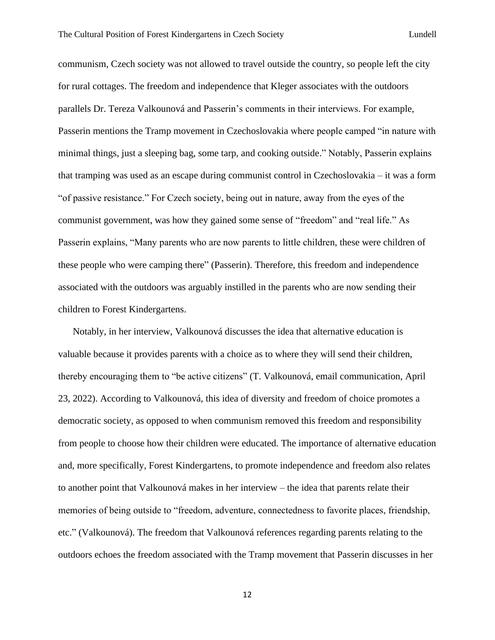communism, Czech society was not allowed to travel outside the country, so people left the city for rural cottages. The freedom and independence that Kleger associates with the outdoors parallels Dr. Tereza Valkounová and Passerin's comments in their interviews. For example, Passerin mentions the Tramp movement in Czechoslovakia where people camped "in nature with minimal things, just a sleeping bag, some tarp, and cooking outside." Notably, Passerin explains that tramping was used as an escape during communist control in Czechoslovakia – it was a form "of passive resistance." For Czech society, being out in nature, away from the eyes of the communist government, was how they gained some sense of "freedom" and "real life." As Passerin explains, "Many parents who are now parents to little children, these were children of these people who were camping there" (Passerin). Therefore, this freedom and independence associated with the outdoors was arguably instilled in the parents who are now sending their children to Forest Kindergartens.

Notably, in her interview, Valkounová discusses the idea that alternative education is valuable because it provides parents with a choice as to where they will send their children, thereby encouraging them to "be active citizens" (T. Valkounová, email communication, April 23, 2022). According to Valkounová, this idea of diversity and freedom of choice promotes a democratic society, as opposed to when communism removed this freedom and responsibility from people to choose how their children were educated. The importance of alternative education and, more specifically, Forest Kindergartens, to promote independence and freedom also relates to another point that Valkounová makes in her interview – the idea that parents relate their memories of being outside to "freedom, adventure, connectedness to favorite places, friendship, etc." (Valkounová). The freedom that Valkounová references regarding parents relating to the outdoors echoes the freedom associated with the Tramp movement that Passerin discusses in her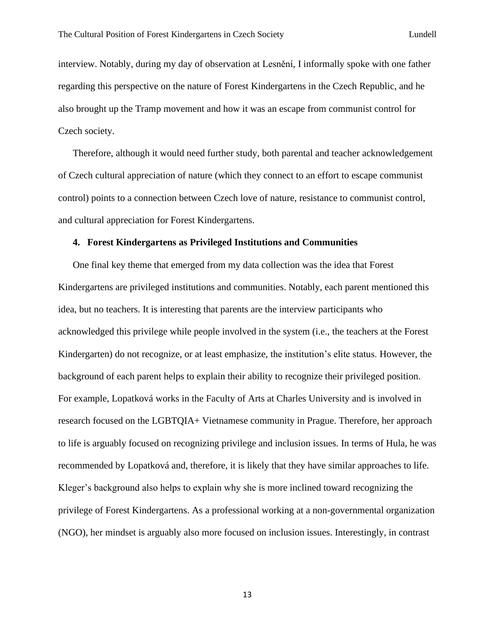interview. Notably, during my day of observation at Lesnění, I informally spoke with one father regarding this perspective on the nature of Forest Kindergartens in the Czech Republic, and he also brought up the Tramp movement and how it was an escape from communist control for Czech society.

Therefore, although it would need further study, both parental and teacher acknowledgement of Czech cultural appreciation of nature (which they connect to an effort to escape communist control) points to a connection between Czech love of nature, resistance to communist control, and cultural appreciation for Forest Kindergartens.

#### **4. Forest Kindergartens as Privileged Institutions and Communities**

One final key theme that emerged from my data collection was the idea that Forest Kindergartens are privileged institutions and communities. Notably, each parent mentioned this idea, but no teachers. It is interesting that parents are the interview participants who acknowledged this privilege while people involved in the system (i.e., the teachers at the Forest Kindergarten) do not recognize, or at least emphasize, the institution's elite status. However, the background of each parent helps to explain their ability to recognize their privileged position. For example, Lopatková works in the Faculty of Arts at Charles University and is involved in research focused on the LGBTQIA+ Vietnamese community in Prague. Therefore, her approach to life is arguably focused on recognizing privilege and inclusion issues. In terms of Hula, he was recommended by Lopatková and, therefore, it is likely that they have similar approaches to life. Kleger's background also helps to explain why she is more inclined toward recognizing the privilege of Forest Kindergartens. As a professional working at a non-governmental organization (NGO), her mindset is arguably also more focused on inclusion issues. Interestingly, in contrast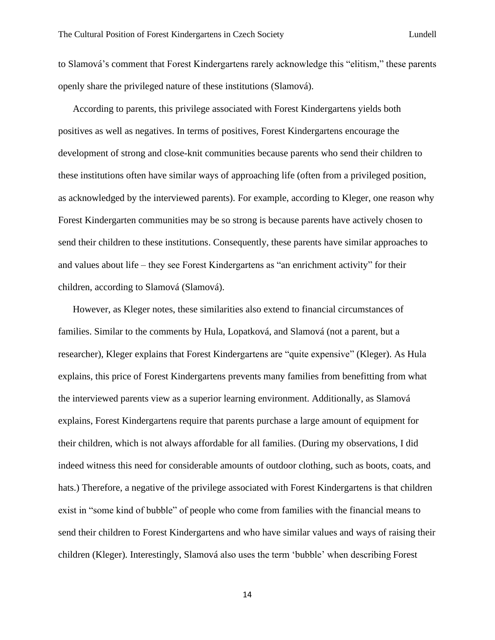to Slamová's comment that Forest Kindergartens rarely acknowledge this "elitism," these parents openly share the privileged nature of these institutions (Slamová).

According to parents, this privilege associated with Forest Kindergartens yields both positives as well as negatives. In terms of positives, Forest Kindergartens encourage the development of strong and close-knit communities because parents who send their children to these institutions often have similar ways of approaching life (often from a privileged position, as acknowledged by the interviewed parents). For example, according to Kleger, one reason why Forest Kindergarten communities may be so strong is because parents have actively chosen to send their children to these institutions. Consequently, these parents have similar approaches to and values about life – they see Forest Kindergartens as "an enrichment activity" for their children, according to Slamová (Slamová).

However, as Kleger notes, these similarities also extend to financial circumstances of families. Similar to the comments by Hula, Lopatková, and Slamová (not a parent, but a researcher), Kleger explains that Forest Kindergartens are "quite expensive" (Kleger). As Hula explains, this price of Forest Kindergartens prevents many families from benefitting from what the interviewed parents view as a superior learning environment. Additionally, as Slamová explains, Forest Kindergartens require that parents purchase a large amount of equipment for their children, which is not always affordable for all families. (During my observations, I did indeed witness this need for considerable amounts of outdoor clothing, such as boots, coats, and hats.) Therefore, a negative of the privilege associated with Forest Kindergartens is that children exist in "some kind of bubble" of people who come from families with the financial means to send their children to Forest Kindergartens and who have similar values and ways of raising their children (Kleger). Interestingly, Slamová also uses the term 'bubble' when describing Forest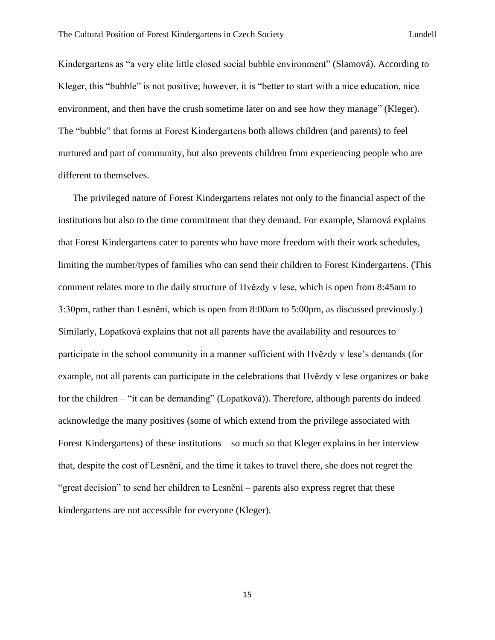Kindergartens as "a very elite little closed social bubble environment" (Slamová). According to Kleger, this "bubble" is not positive; however, it is "better to start with a nice education, nice environment, and then have the crush sometime later on and see how they manage" (Kleger). The "bubble" that forms at Forest Kindergartens both allows children (and parents) to feel nurtured and part of community, but also prevents children from experiencing people who are different to themselves.

The privileged nature of Forest Kindergartens relates not only to the financial aspect of the institutions but also to the time commitment that they demand. For example, Slamová explains that Forest Kindergartens cater to parents who have more freedom with their work schedules, limiting the number/types of families who can send their children to Forest Kindergartens. (This comment relates more to the daily structure of Hvězdy v lese, which is open from 8:45am to 3:30pm, rather than Lesnění, which is open from 8:00am to 5:00pm, as discussed previously.) Similarly, Lopatková explains that not all parents have the availability and resources to participate in the school community in a manner sufficient with Hvězdy v lese's demands (for example, not all parents can participate in the celebrations that Hvězdy v lese organizes or bake for the children – "it can be demanding" (Lopatková)). Therefore, although parents do indeed acknowledge the many positives (some of which extend from the privilege associated with Forest Kindergartens) of these institutions – so much so that Kleger explains in her interview that, despite the cost of Lesnění, and the time it takes to travel there, she does not regret the "great decision" to send her children to Lesnění – parents also express regret that these kindergartens are not accessible for everyone (Kleger).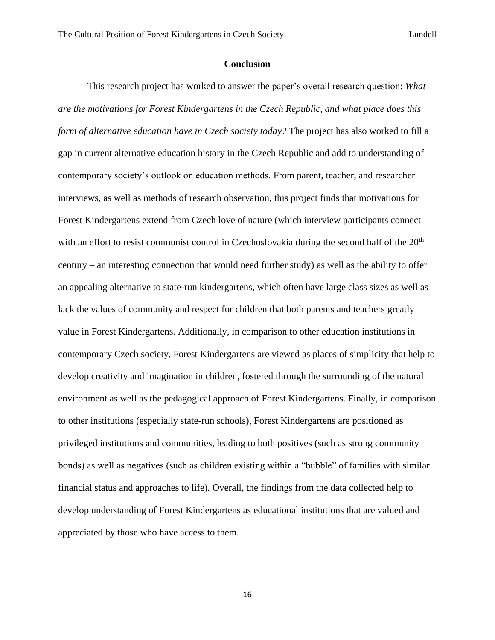#### **Conclusion**

This research project has worked to answer the paper's overall research question: *What are the motivations for Forest Kindergartens in the Czech Republic, and what place does this form of alternative education have in Czech society today?* The project has also worked to fill a gap in current alternative education history in the Czech Republic and add to understanding of contemporary society's outlook on education methods. From parent, teacher, and researcher interviews, as well as methods of research observation, this project finds that motivations for Forest Kindergartens extend from Czech love of nature (which interview participants connect with an effort to resist communist control in Czechoslovakia during the second half of the  $20<sup>th</sup>$ century – an interesting connection that would need further study) as well as the ability to offer an appealing alternative to state-run kindergartens, which often have large class sizes as well as lack the values of community and respect for children that both parents and teachers greatly value in Forest Kindergartens. Additionally, in comparison to other education institutions in contemporary Czech society, Forest Kindergartens are viewed as places of simplicity that help to develop creativity and imagination in children, fostered through the surrounding of the natural environment as well as the pedagogical approach of Forest Kindergartens. Finally, in comparison to other institutions (especially state-run schools), Forest Kindergartens are positioned as privileged institutions and communities, leading to both positives (such as strong community bonds) as well as negatives (such as children existing within a "bubble" of families with similar financial status and approaches to life). Overall, the findings from the data collected help to develop understanding of Forest Kindergartens as educational institutions that are valued and appreciated by those who have access to them.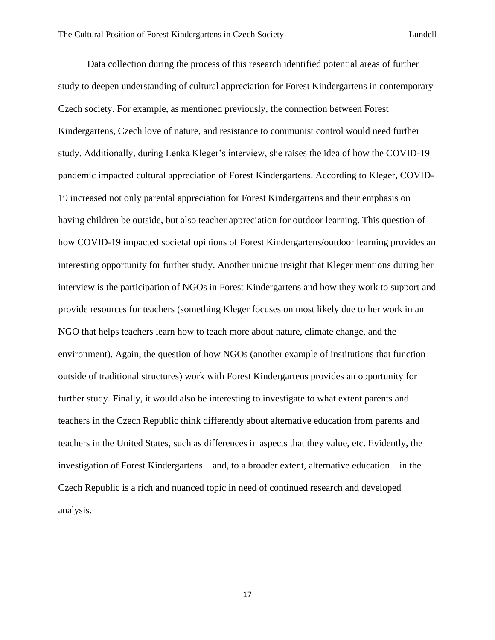Data collection during the process of this research identified potential areas of further study to deepen understanding of cultural appreciation for Forest Kindergartens in contemporary Czech society. For example, as mentioned previously, the connection between Forest Kindergartens, Czech love of nature, and resistance to communist control would need further study. Additionally, during Lenka Kleger's interview, she raises the idea of how the COVID-19 pandemic impacted cultural appreciation of Forest Kindergartens. According to Kleger, COVID-19 increased not only parental appreciation for Forest Kindergartens and their emphasis on having children be outside, but also teacher appreciation for outdoor learning. This question of how COVID-19 impacted societal opinions of Forest Kindergartens/outdoor learning provides an interesting opportunity for further study. Another unique insight that Kleger mentions during her interview is the participation of NGOs in Forest Kindergartens and how they work to support and provide resources for teachers (something Kleger focuses on most likely due to her work in an NGO that helps teachers learn how to teach more about nature, climate change, and the environment). Again, the question of how NGOs (another example of institutions that function outside of traditional structures) work with Forest Kindergartens provides an opportunity for further study. Finally, it would also be interesting to investigate to what extent parents and teachers in the Czech Republic think differently about alternative education from parents and teachers in the United States, such as differences in aspects that they value, etc. Evidently, the investigation of Forest Kindergartens – and, to a broader extent, alternative education – in the Czech Republic is a rich and nuanced topic in need of continued research and developed analysis.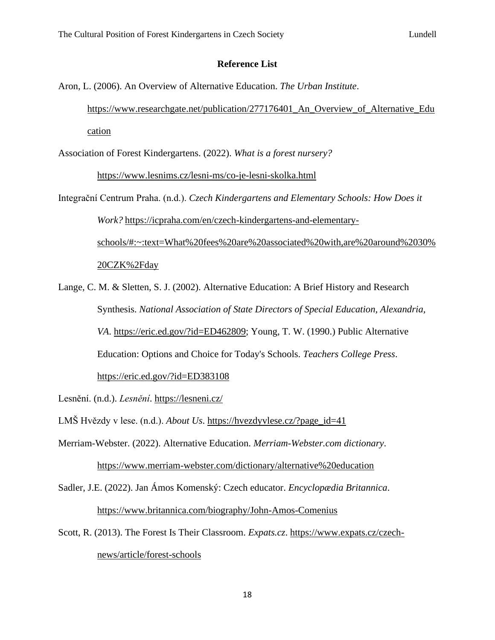### **Reference List**

Aron, L. (2006). An Overview of Alternative Education. *The Urban Institute*. [https://www.researchgate.net/publication/277176401\\_An\\_Overview\\_of\\_Alternative\\_Edu](https://www.researchgate.net/publication/277176401_An_Overview_of_Alternative_Education) [cation](https://www.researchgate.net/publication/277176401_An_Overview_of_Alternative_Education)

Association of Forest Kindergartens. (2022). *What is a forest nursery?*

<https://www.lesnims.cz/lesni-ms/co-je-lesni-skolka.html>

Integrační Centrum Praha. (n.d.). *Czech Kindergartens and Elementary Schools: How Does it Work?* [https://icpraha.com/en/czech-kindergartens-and-elementary](https://icpraha.com/en/czech-kindergartens-and-elementary-schools/#:~:text=What%20fees%20are%20associated%20with,are%20around%2030%20CZK%2Fday)[schools/#:~:text=What%20fees%20are%20associated%20with,are%20around%2030%](https://icpraha.com/en/czech-kindergartens-and-elementary-schools/#:~:text=What%20fees%20are%20associated%20with,are%20around%2030%20CZK%2Fday) [20CZK%2Fday](https://icpraha.com/en/czech-kindergartens-and-elementary-schools/#:~:text=What%20fees%20are%20associated%20with,are%20around%2030%20CZK%2Fday)

Lange, C. M. & Sletten, S. J. (2002). Alternative Education: A Brief History and Research Synthesis. *National Association of State Directors of Special Education, Alexandria, VA*. [https://eric.ed.gov/?id=ED462809;](https://eric.ed.gov/?id=ED462809) Young, T. W. (1990.) Public Alternative Education: Options and Choice for Today's Schools. *Teachers College Press*. <https://eric.ed.gov/?id=ED383108>

Lesnění. (n.d.). *Lesnění*.<https://lesneni.cz/>

LMŠ Hvězdy v lese. (n.d.). *About Us*. [https://hvezdyvlese.cz/?page\\_id=41](https://hvezdyvlese.cz/?page_id=41)

Merriam-Webster. (2022). Alternative Education. *Merriam-Webster.com dictionary*. <https://www.merriam-webster.com/dictionary/alternative%20education>

- Sadler, J.E. (2022). Jan Ámos Komenský: Czech educator. *Encyclopædia Britannica*. <https://www.britannica.com/biography/John-Amos-Comenius>
- Scott, R. (2013). The Forest Is Their Classroom. *Expats.cz*. [https://www.expats.cz/czech](https://www.expats.cz/czech-news/article/forest-schools)[news/article/forest-schools](https://www.expats.cz/czech-news/article/forest-schools)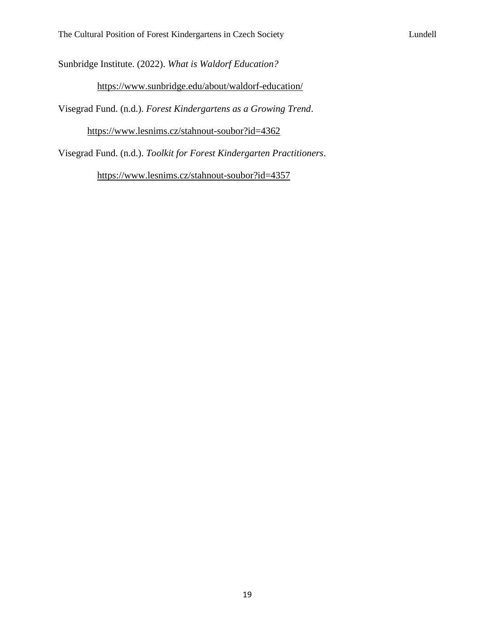Sunbridge Institute. (2022). *What is Waldorf Education?*

<https://www.sunbridge.edu/about/waldorf-education/>

Visegrad Fund. (n.d.). *Forest Kindergartens as a Growing Trend*.

<https://www.lesnims.cz/stahnout-soubor?id=4362>

Visegrad Fund. (n.d.). *Toolkit for Forest Kindergarten Practitioners*.

<https://www.lesnims.cz/stahnout-soubor?id=4357>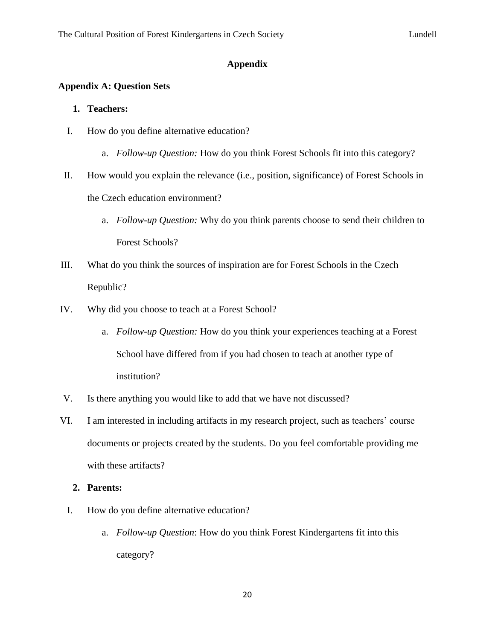#### **Appendix**

### **Appendix A: Question Sets**

#### **1. Teachers:**

- I. How do you define alternative education?
	- a. *Follow-up Question:* How do you think Forest Schools fit into this category?
- II. How would you explain the relevance (i.e., position, significance) of Forest Schools in the Czech education environment?
	- a. *Follow-up Question:* Why do you think parents choose to send their children to Forest Schools?
- III. What do you think the sources of inspiration are for Forest Schools in the Czech Republic?
- IV. Why did you choose to teach at a Forest School?
	- a. *Follow-up Question:* How do you think your experiences teaching at a Forest School have differed from if you had chosen to teach at another type of institution?
- V. Is there anything you would like to add that we have not discussed?
- VI. I am interested in including artifacts in my research project, such as teachers' course documents or projects created by the students. Do you feel comfortable providing me with these artifacts?

#### **2. Parents:**

- I. How do you define alternative education?
	- a. *Follow-up Question*: How do you think Forest Kindergartens fit into this category?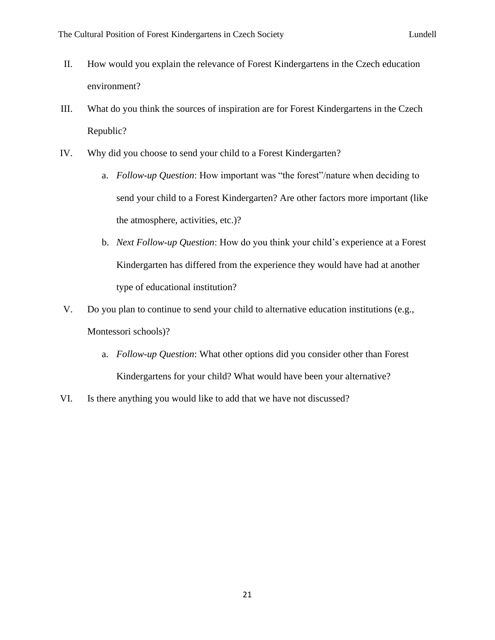- II. How would you explain the relevance of Forest Kindergartens in the Czech education environment?
- III. What do you think the sources of inspiration are for Forest Kindergartens in the Czech Republic?
- IV. Why did you choose to send your child to a Forest Kindergarten?
	- a. *Follow-up Question*: How important was "the forest"/nature when deciding to send your child to a Forest Kindergarten? Are other factors more important (like the atmosphere, activities, etc.)?
	- b. *Next Follow-up Question*: How do you think your child's experience at a Forest Kindergarten has differed from the experience they would have had at another type of educational institution?
- V. Do you plan to continue to send your child to alternative education institutions (e.g., Montessori schools)?
	- a. *Follow-up Question*: What other options did you consider other than Forest Kindergartens for your child? What would have been your alternative?
- VI. Is there anything you would like to add that we have not discussed?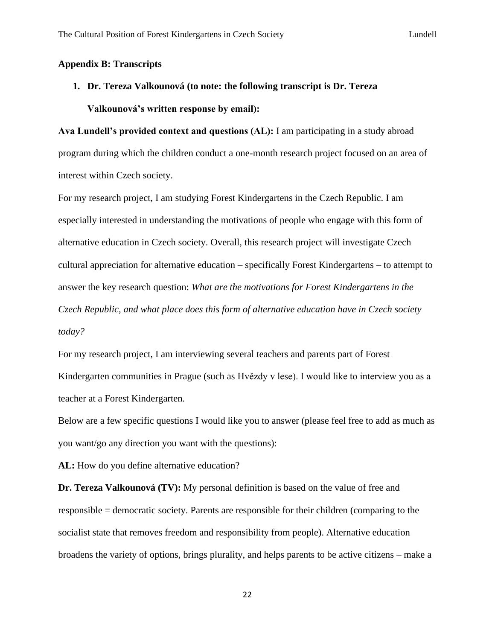#### **Appendix B: Transcripts**

**1. Dr. Tereza Valkounová (to note: the following transcript is Dr. Tereza Valkounová's written response by email):**

**Ava Lundell's provided context and questions (AL):** I am participating in a study abroad program during which the children conduct a one-month research project focused on an area of interest within Czech society.

For my research project, I am studying Forest Kindergartens in the Czech Republic. I am especially interested in understanding the motivations of people who engage with this form of alternative education in Czech society. Overall, this research project will investigate Czech cultural appreciation for alternative education – specifically Forest Kindergartens – to attempt to answer the key research question: *What are the motivations for Forest Kindergartens in the Czech Republic, and what place does this form of alternative education have in Czech society today?*

For my research project, I am interviewing several teachers and parents part of Forest Kindergarten communities in Prague (such as Hvězdy v lese). I would like to interview you as a teacher at a Forest Kindergarten.

Below are a few specific questions I would like you to answer (please feel free to add as much as you want/go any direction you want with the questions):

**AL:** How do you define alternative education?

**Dr. Tereza Valkounová (TV):** My personal definition is based on the value of free and responsible = democratic society. Parents are responsible for their children (comparing to the socialist state that removes freedom and responsibility from people). Alternative education broadens the variety of options, brings plurality, and helps parents to be active citizens – make a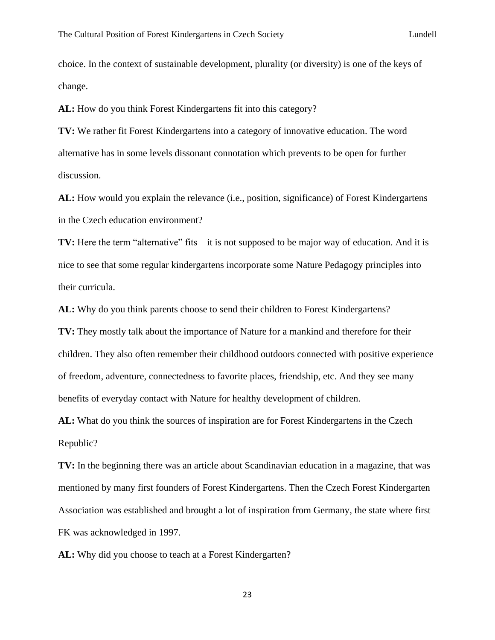choice. In the context of sustainable development, plurality (or diversity) is one of the keys of change.

**AL:** How do you think Forest Kindergartens fit into this category?

**TV:** We rather fit Forest Kindergartens into a category of innovative education. The word alternative has in some levels dissonant connotation which prevents to be open for further discussion.

**AL:** How would you explain the relevance (i.e., position, significance) of Forest Kindergartens in the Czech education environment?

**TV:** Here the term "alternative" fits – it is not supposed to be major way of education. And it is nice to see that some regular kindergartens incorporate some Nature Pedagogy principles into their curricula.

**AL:** Why do you think parents choose to send their children to Forest Kindergartens?

**TV:** They mostly talk about the importance of Nature for a mankind and therefore for their children. They also often remember their childhood outdoors connected with positive experience of freedom, adventure, connectedness to favorite places, friendship, etc. And they see many benefits of everyday contact with Nature for healthy development of children.

**AL:** What do you think the sources of inspiration are for Forest Kindergartens in the Czech Republic?

**TV:** In the beginning there was an article about Scandinavian education in a magazine, that was mentioned by many first founders of Forest Kindergartens. Then the Czech Forest Kindergarten Association was established and brought a lot of inspiration from Germany, the state where first FK was acknowledged in 1997.

**AL:** Why did you choose to teach at a Forest Kindergarten?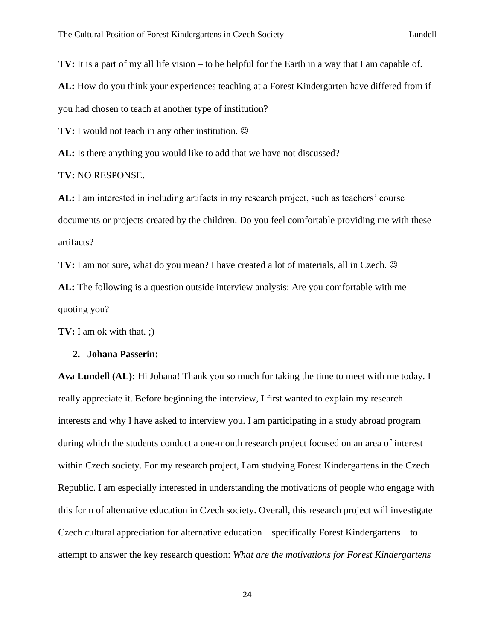**TV:** It is a part of my all life vision – to be helpful for the Earth in a way that I am capable of.

**AL:** How do you think your experiences teaching at a Forest Kindergarten have differed from if

you had chosen to teach at another type of institution?

**TV:** I would not teach in any other institution.  $\odot$ 

AL: Is there anything you would like to add that we have not discussed?

#### **TV:** NO RESPONSE.

**AL:** I am interested in including artifacts in my research project, such as teachers' course documents or projects created by the children. Do you feel comfortable providing me with these artifacts?

**TV:** I am not sure, what do you mean? I have created a lot of materials, all in Czech.  $\odot$ **AL:** The following is a question outside interview analysis: Are you comfortable with me quoting you?

**TV:** I am ok with that. ;)

#### **2. Johana Passerin:**

**Ava Lundell (AL):** Hi Johana! Thank you so much for taking the time to meet with me today. I really appreciate it. Before beginning the interview, I first wanted to explain my research interests and why I have asked to interview you. I am participating in a study abroad program during which the students conduct a one-month research project focused on an area of interest within Czech society. For my research project, I am studying Forest Kindergartens in the Czech Republic. I am especially interested in understanding the motivations of people who engage with this form of alternative education in Czech society. Overall, this research project will investigate Czech cultural appreciation for alternative education – specifically Forest Kindergartens – to attempt to answer the key research question: *What are the motivations for Forest Kindergartens*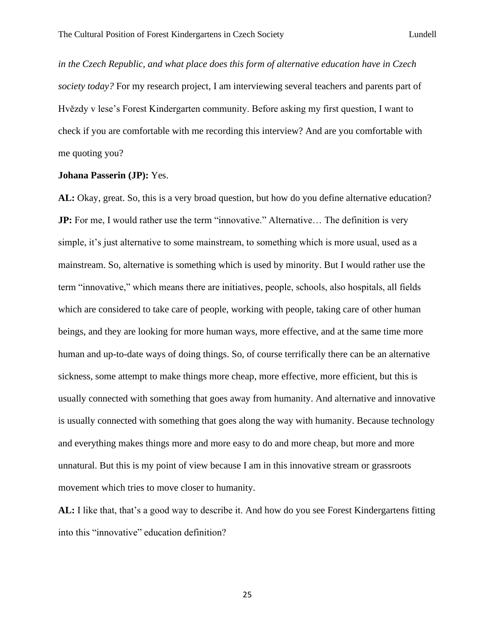*in the Czech Republic, and what place does this form of alternative education have in Czech society today?* For my research project, I am interviewing several teachers and parents part of Hvězdy v lese's Forest Kindergarten community. Before asking my first question, I want to check if you are comfortable with me recording this interview? And are you comfortable with me quoting you?

#### **Johana Passerin (JP):** Yes.

**AL:** Okay, great. So, this is a very broad question, but how do you define alternative education? **JP:** For me, I would rather use the term "innovative." Alternative... The definition is very simple, it's just alternative to some mainstream, to something which is more usual, used as a mainstream. So, alternative is something which is used by minority. But I would rather use the term "innovative," which means there are initiatives, people, schools, also hospitals, all fields which are considered to take care of people, working with people, taking care of other human beings, and they are looking for more human ways, more effective, and at the same time more human and up-to-date ways of doing things. So, of course terrifically there can be an alternative sickness, some attempt to make things more cheap, more effective, more efficient, but this is usually connected with something that goes away from humanity. And alternative and innovative is usually connected with something that goes along the way with humanity. Because technology and everything makes things more and more easy to do and more cheap, but more and more unnatural. But this is my point of view because I am in this innovative stream or grassroots movement which tries to move closer to humanity.

**AL:** I like that, that's a good way to describe it. And how do you see Forest Kindergartens fitting into this "innovative" education definition?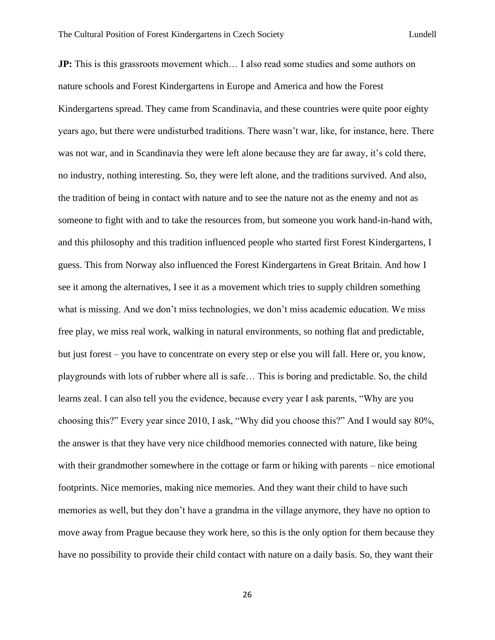**JP:** This is this grassroots movement which... I also read some studies and some authors on nature schools and Forest Kindergartens in Europe and America and how the Forest Kindergartens spread. They came from Scandinavia, and these countries were quite poor eighty years ago, but there were undisturbed traditions. There wasn't war, like, for instance, here. There was not war, and in Scandinavia they were left alone because they are far away, it's cold there, no industry, nothing interesting. So, they were left alone, and the traditions survived. And also, the tradition of being in contact with nature and to see the nature not as the enemy and not as someone to fight with and to take the resources from, but someone you work hand-in-hand with, and this philosophy and this tradition influenced people who started first Forest Kindergartens, I guess. This from Norway also influenced the Forest Kindergartens in Great Britain. And how I see it among the alternatives, I see it as a movement which tries to supply children something what is missing. And we don't miss technologies, we don't miss academic education. We miss free play, we miss real work, walking in natural environments, so nothing flat and predictable, but just forest – you have to concentrate on every step or else you will fall. Here or, you know, playgrounds with lots of rubber where all is safe… This is boring and predictable. So, the child learns zeal. I can also tell you the evidence, because every year I ask parents, "Why are you choosing this?" Every year since 2010, I ask, "Why did you choose this?" And I would say 80%, the answer is that they have very nice childhood memories connected with nature, like being with their grandmother somewhere in the cottage or farm or hiking with parents – nice emotional footprints. Nice memories, making nice memories. And they want their child to have such memories as well, but they don't have a grandma in the village anymore, they have no option to move away from Prague because they work here, so this is the only option for them because they have no possibility to provide their child contact with nature on a daily basis. So, they want their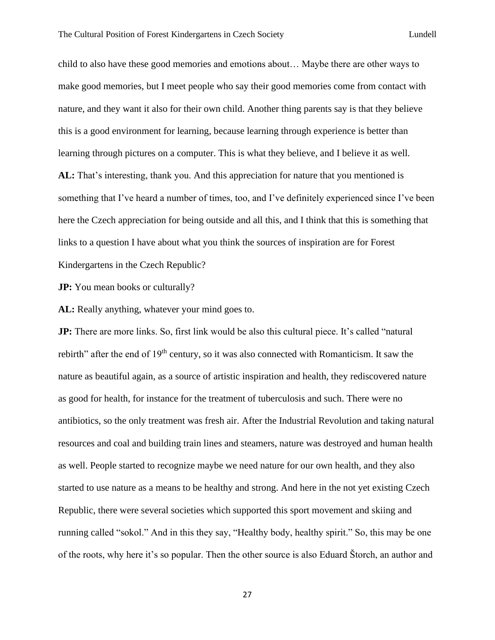child to also have these good memories and emotions about… Maybe there are other ways to make good memories, but I meet people who say their good memories come from contact with nature, and they want it also for their own child. Another thing parents say is that they believe this is a good environment for learning, because learning through experience is better than learning through pictures on a computer. This is what they believe, and I believe it as well. **AL:** That's interesting, thank you. And this appreciation for nature that you mentioned is something that I've heard a number of times, too, and I've definitely experienced since I've been here the Czech appreciation for being outside and all this, and I think that this is something that links to a question I have about what you think the sources of inspiration are for Forest Kindergartens in the Czech Republic?

**JP:** You mean books or culturally?

**AL:** Really anything, whatever your mind goes to.

**JP:** There are more links. So, first link would be also this cultural piece. It's called "natural" rebirth" after the end of 19<sup>th</sup> century, so it was also connected with Romanticism. It saw the nature as beautiful again, as a source of artistic inspiration and health, they rediscovered nature as good for health, for instance for the treatment of tuberculosis and such. There were no antibiotics, so the only treatment was fresh air. After the Industrial Revolution and taking natural resources and coal and building train lines and steamers, nature was destroyed and human health as well. People started to recognize maybe we need nature for our own health, and they also started to use nature as a means to be healthy and strong. And here in the not yet existing Czech Republic, there were several societies which supported this sport movement and skiing and running called "sokol." And in this they say, "Healthy body, healthy spirit." So, this may be one of the roots, why here it's so popular. Then the other source is also Eduard Štorch, an author and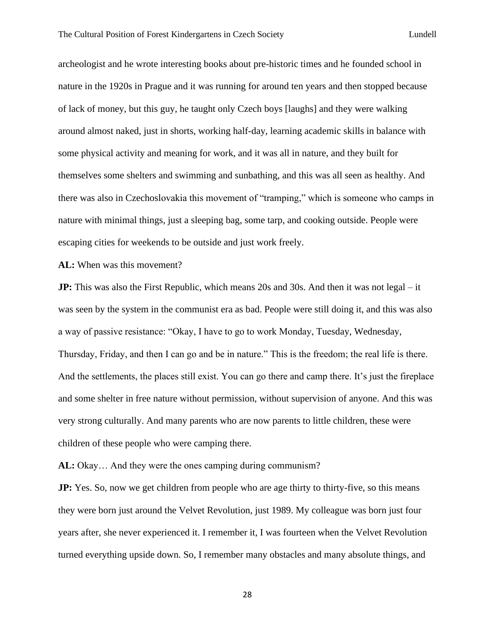archeologist and he wrote interesting books about pre-historic times and he founded school in nature in the 1920s in Prague and it was running for around ten years and then stopped because of lack of money, but this guy, he taught only Czech boys [laughs] and they were walking around almost naked, just in shorts, working half-day, learning academic skills in balance with some physical activity and meaning for work, and it was all in nature, and they built for themselves some shelters and swimming and sunbathing, and this was all seen as healthy. And there was also in Czechoslovakia this movement of "tramping," which is someone who camps in nature with minimal things, just a sleeping bag, some tarp, and cooking outside. People were escaping cities for weekends to be outside and just work freely.

**AL:** When was this movement?

**JP:** This was also the First Republic, which means 20s and 30s. And then it was not legal – it was seen by the system in the communist era as bad. People were still doing it, and this was also a way of passive resistance: "Okay, I have to go to work Monday, Tuesday, Wednesday, Thursday, Friday, and then I can go and be in nature." This is the freedom; the real life is there. And the settlements, the places still exist. You can go there and camp there. It's just the fireplace and some shelter in free nature without permission, without supervision of anyone. And this was very strong culturally. And many parents who are now parents to little children, these were children of these people who were camping there.

**AL:** Okay… And they were the ones camping during communism?

**JP:** Yes. So, now we get children from people who are age thirty to thirty-five, so this means they were born just around the Velvet Revolution, just 1989. My colleague was born just four years after, she never experienced it. I remember it, I was fourteen when the Velvet Revolution turned everything upside down. So, I remember many obstacles and many absolute things, and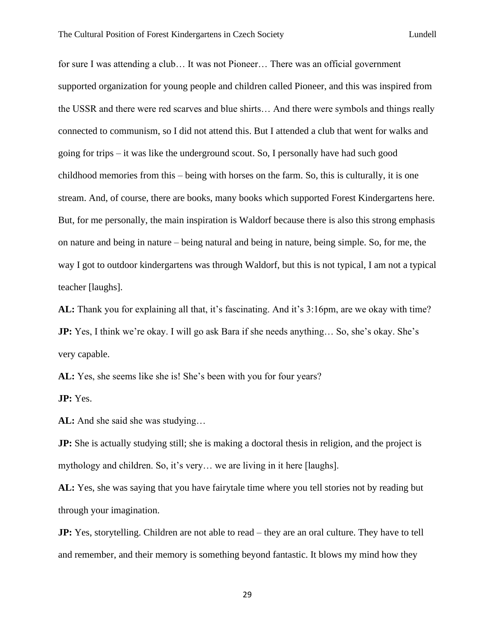for sure I was attending a club… It was not Pioneer… There was an official government supported organization for young people and children called Pioneer, and this was inspired from the USSR and there were red scarves and blue shirts… And there were symbols and things really connected to communism, so I did not attend this. But I attended a club that went for walks and going for trips – it was like the underground scout. So, I personally have had such good childhood memories from this – being with horses on the farm. So, this is culturally, it is one stream. And, of course, there are books, many books which supported Forest Kindergartens here. But, for me personally, the main inspiration is Waldorf because there is also this strong emphasis on nature and being in nature – being natural and being in nature, being simple. So, for me, the way I got to outdoor kindergartens was through Waldorf, but this is not typical, I am not a typical teacher [laughs].

**AL:** Thank you for explaining all that, it's fascinating. And it's 3:16pm, are we okay with time? **JP:** Yes, I think we're okay. I will go ask Bara if she needs anything... So, she's okay. She's very capable.

**AL:** Yes, she seems like she is! She's been with you for four years?

**JP:** Yes.

**AL:** And she said she was studying…

**JP:** She is actually studying still; she is making a doctoral thesis in religion, and the project is mythology and children. So, it's very… we are living in it here [laughs].

**AL:** Yes, she was saying that you have fairytale time where you tell stories not by reading but through your imagination.

**JP:** Yes, storytelling. Children are not able to read – they are an oral culture. They have to tell and remember, and their memory is something beyond fantastic. It blows my mind how they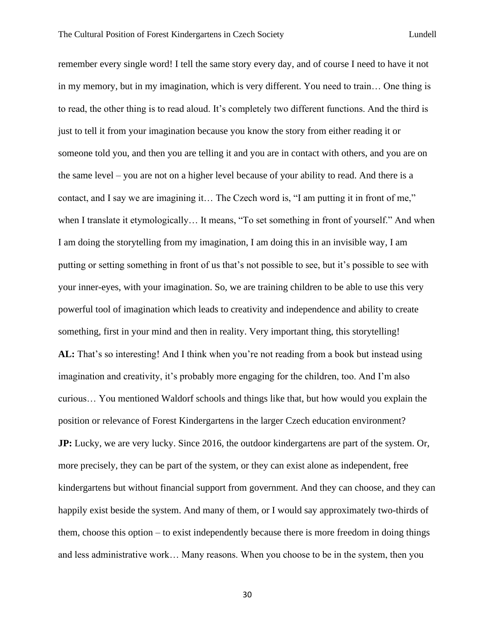remember every single word! I tell the same story every day, and of course I need to have it not in my memory, but in my imagination, which is very different. You need to train… One thing is to read, the other thing is to read aloud. It's completely two different functions. And the third is just to tell it from your imagination because you know the story from either reading it or someone told you, and then you are telling it and you are in contact with others, and you are on the same level – you are not on a higher level because of your ability to read. And there is a contact, and I say we are imagining it… The Czech word is, "I am putting it in front of me," when I translate it etymologically… It means, "To set something in front of yourself." And when I am doing the storytelling from my imagination, I am doing this in an invisible way, I am putting or setting something in front of us that's not possible to see, but it's possible to see with your inner-eyes, with your imagination. So, we are training children to be able to use this very powerful tool of imagination which leads to creativity and independence and ability to create something, first in your mind and then in reality. Very important thing, this storytelling! **AL:** That's so interesting! And I think when you're not reading from a book but instead using imagination and creativity, it's probably more engaging for the children, too. And I'm also curious… You mentioned Waldorf schools and things like that, but how would you explain the position or relevance of Forest Kindergartens in the larger Czech education environment? **JP:** Lucky, we are very lucky. Since 2016, the outdoor kindergartens are part of the system. Or, more precisely, they can be part of the system, or they can exist alone as independent, free kindergartens but without financial support from government. And they can choose, and they can happily exist beside the system. And many of them, or I would say approximately two-thirds of them, choose this option – to exist independently because there is more freedom in doing things and less administrative work… Many reasons. When you choose to be in the system, then you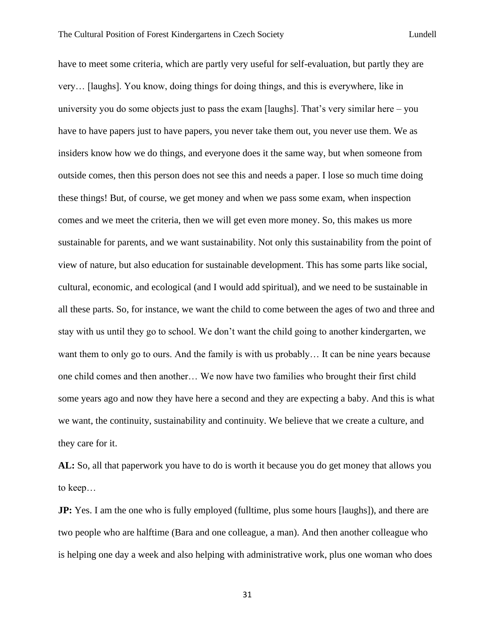have to meet some criteria, which are partly very useful for self-evaluation, but partly they are very… [laughs]. You know, doing things for doing things, and this is everywhere, like in university you do some objects just to pass the exam [laughs]. That's very similar here  $-\gamma$ ou have to have papers just to have papers, you never take them out, you never use them. We as insiders know how we do things, and everyone does it the same way, but when someone from outside comes, then this person does not see this and needs a paper. I lose so much time doing these things! But, of course, we get money and when we pass some exam, when inspection comes and we meet the criteria, then we will get even more money. So, this makes us more sustainable for parents, and we want sustainability. Not only this sustainability from the point of view of nature, but also education for sustainable development. This has some parts like social, cultural, economic, and ecological (and I would add spiritual), and we need to be sustainable in all these parts. So, for instance, we want the child to come between the ages of two and three and stay with us until they go to school. We don't want the child going to another kindergarten, we want them to only go to ours. And the family is with us probably... It can be nine years because one child comes and then another… We now have two families who brought their first child some years ago and now they have here a second and they are expecting a baby. And this is what we want, the continuity, sustainability and continuity. We believe that we create a culture, and they care for it.

**AL:** So, all that paperwork you have to do is worth it because you do get money that allows you to keep…

**JP:** Yes. I am the one who is fully employed (fulltime, plus some hours [laughs]), and there are two people who are halftime (Bara and one colleague, a man). And then another colleague who is helping one day a week and also helping with administrative work, plus one woman who does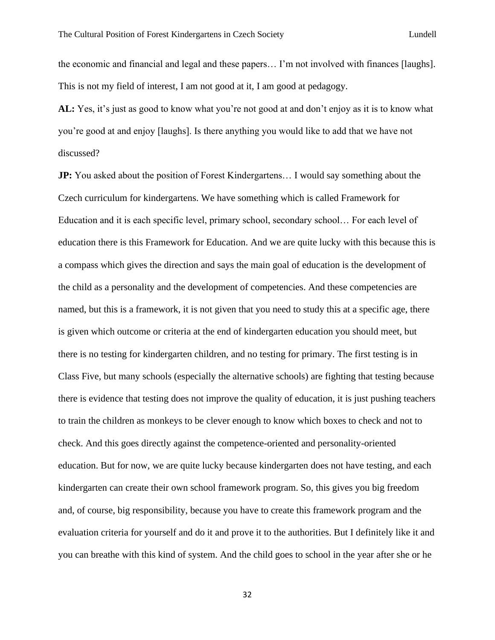the economic and financial and legal and these papers… I'm not involved with finances [laughs]. This is not my field of interest, I am not good at it, I am good at pedagogy.

**AL:** Yes, it's just as good to know what you're not good at and don't enjoy as it is to know what you're good at and enjoy [laughs]. Is there anything you would like to add that we have not discussed?

**JP:** You asked about the position of Forest Kindergartens... I would say something about the Czech curriculum for kindergartens. We have something which is called Framework for Education and it is each specific level, primary school, secondary school… For each level of education there is this Framework for Education. And we are quite lucky with this because this is a compass which gives the direction and says the main goal of education is the development of the child as a personality and the development of competencies. And these competencies are named, but this is a framework, it is not given that you need to study this at a specific age, there is given which outcome or criteria at the end of kindergarten education you should meet, but there is no testing for kindergarten children, and no testing for primary. The first testing is in Class Five, but many schools (especially the alternative schools) are fighting that testing because there is evidence that testing does not improve the quality of education, it is just pushing teachers to train the children as monkeys to be clever enough to know which boxes to check and not to check. And this goes directly against the competence-oriented and personality-oriented education. But for now, we are quite lucky because kindergarten does not have testing, and each kindergarten can create their own school framework program. So, this gives you big freedom and, of course, big responsibility, because you have to create this framework program and the evaluation criteria for yourself and do it and prove it to the authorities. But I definitely like it and you can breathe with this kind of system. And the child goes to school in the year after she or he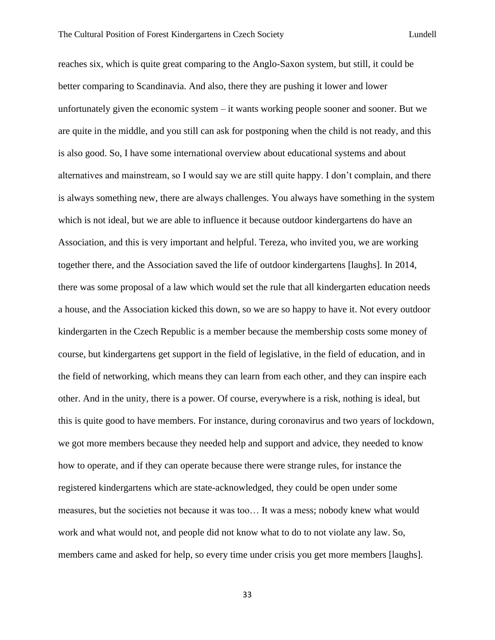reaches six, which is quite great comparing to the Anglo-Saxon system, but still, it could be better comparing to Scandinavia. And also, there they are pushing it lower and lower unfortunately given the economic system – it wants working people sooner and sooner. But we are quite in the middle, and you still can ask for postponing when the child is not ready, and this is also good. So, I have some international overview about educational systems and about alternatives and mainstream, so I would say we are still quite happy. I don't complain, and there is always something new, there are always challenges. You always have something in the system which is not ideal, but we are able to influence it because outdoor kindergartens do have an Association, and this is very important and helpful. Tereza, who invited you, we are working together there, and the Association saved the life of outdoor kindergartens [laughs]. In 2014, there was some proposal of a law which would set the rule that all kindergarten education needs a house, and the Association kicked this down, so we are so happy to have it. Not every outdoor kindergarten in the Czech Republic is a member because the membership costs some money of course, but kindergartens get support in the field of legislative, in the field of education, and in the field of networking, which means they can learn from each other, and they can inspire each other. And in the unity, there is a power. Of course, everywhere is a risk, nothing is ideal, but this is quite good to have members. For instance, during coronavirus and two years of lockdown, we got more members because they needed help and support and advice, they needed to know how to operate, and if they can operate because there were strange rules, for instance the registered kindergartens which are state-acknowledged, they could be open under some measures, but the societies not because it was too… It was a mess; nobody knew what would work and what would not, and people did not know what to do to not violate any law. So, members came and asked for help, so every time under crisis you get more members [laughs].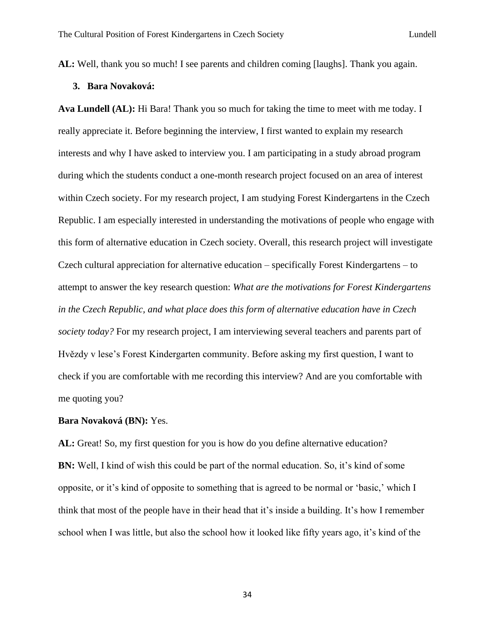**AL:** Well, thank you so much! I see parents and children coming [laughs]. Thank you again.

## **3. Bara Novaková:**

**Ava Lundell (AL):** Hi Bara! Thank you so much for taking the time to meet with me today. I really appreciate it. Before beginning the interview, I first wanted to explain my research interests and why I have asked to interview you. I am participating in a study abroad program during which the students conduct a one-month research project focused on an area of interest within Czech society. For my research project, I am studying Forest Kindergartens in the Czech Republic. I am especially interested in understanding the motivations of people who engage with this form of alternative education in Czech society. Overall, this research project will investigate Czech cultural appreciation for alternative education – specifically Forest Kindergartens – to attempt to answer the key research question: *What are the motivations for Forest Kindergartens in the Czech Republic, and what place does this form of alternative education have in Czech society today?* For my research project, I am interviewing several teachers and parents part of Hvězdy v lese's Forest Kindergarten community. Before asking my first question, I want to check if you are comfortable with me recording this interview? And are you comfortable with me quoting you?

### **Bara Novaková (BN):** Yes.

**AL:** Great! So, my first question for you is how do you define alternative education? **BN:** Well, I kind of wish this could be part of the normal education. So, it's kind of some opposite, or it's kind of opposite to something that is agreed to be normal or 'basic,' which I think that most of the people have in their head that it's inside a building. It's how I remember school when I was little, but also the school how it looked like fifty years ago, it's kind of the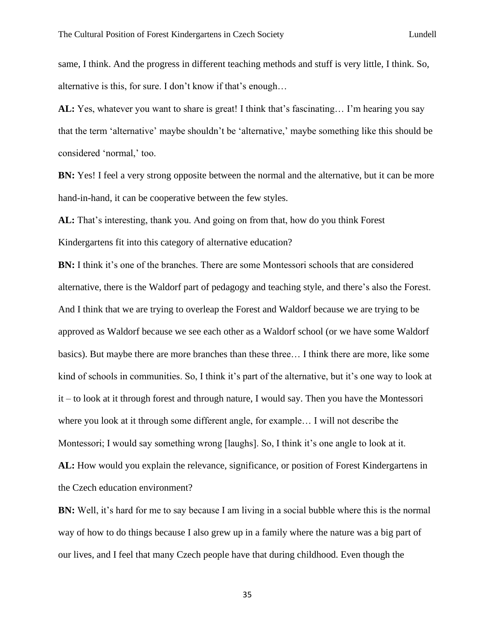same, I think. And the progress in different teaching methods and stuff is very little, I think. So, alternative is this, for sure. I don't know if that's enough…

**AL:** Yes, whatever you want to share is great! I think that's fascinating… I'm hearing you say that the term 'alternative' maybe shouldn't be 'alternative,' maybe something like this should be considered 'normal,' too.

**BN:** Yes! I feel a very strong opposite between the normal and the alternative, but it can be more hand-in-hand, it can be cooperative between the few styles.

**AL:** That's interesting, thank you. And going on from that, how do you think Forest Kindergartens fit into this category of alternative education?

**BN:** I think it's one of the branches. There are some Montessori schools that are considered alternative, there is the Waldorf part of pedagogy and teaching style, and there's also the Forest. And I think that we are trying to overleap the Forest and Waldorf because we are trying to be approved as Waldorf because we see each other as a Waldorf school (or we have some Waldorf basics). But maybe there are more branches than these three… I think there are more, like some kind of schools in communities. So, I think it's part of the alternative, but it's one way to look at it – to look at it through forest and through nature, I would say. Then you have the Montessori where you look at it through some different angle, for example… I will not describe the Montessori; I would say something wrong [laughs]. So, I think it's one angle to look at it. **AL:** How would you explain the relevance, significance, or position of Forest Kindergartens in the Czech education environment?

**BN:** Well, it's hard for me to say because I am living in a social bubble where this is the normal way of how to do things because I also grew up in a family where the nature was a big part of our lives, and I feel that many Czech people have that during childhood. Even though the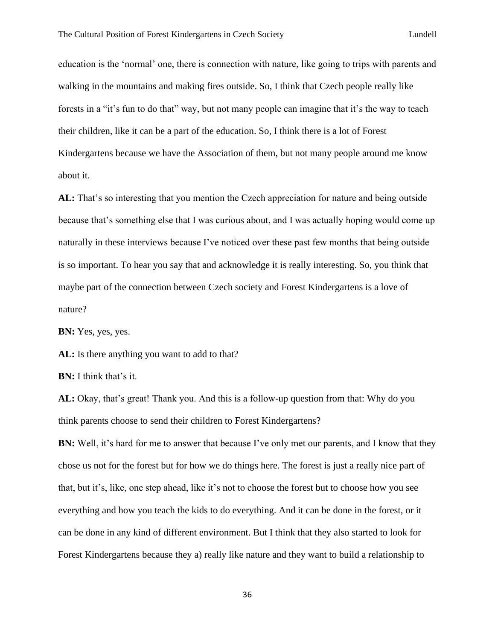education is the 'normal' one, there is connection with nature, like going to trips with parents and walking in the mountains and making fires outside. So, I think that Czech people really like forests in a "it's fun to do that" way, but not many people can imagine that it's the way to teach their children, like it can be a part of the education. So, I think there is a lot of Forest Kindergartens because we have the Association of them, but not many people around me know about it.

**AL:** That's so interesting that you mention the Czech appreciation for nature and being outside because that's something else that I was curious about, and I was actually hoping would come up naturally in these interviews because I've noticed over these past few months that being outside is so important. To hear you say that and acknowledge it is really interesting. So, you think that maybe part of the connection between Czech society and Forest Kindergartens is a love of nature?

**BN:** Yes, yes, yes.

AL: Is there anything you want to add to that?

**BN:** I think that's it.

**AL:** Okay, that's great! Thank you. And this is a follow-up question from that: Why do you think parents choose to send their children to Forest Kindergartens?

**BN:** Well, it's hard for me to answer that because I've only met our parents, and I know that they chose us not for the forest but for how we do things here. The forest is just a really nice part of that, but it's, like, one step ahead, like it's not to choose the forest but to choose how you see everything and how you teach the kids to do everything. And it can be done in the forest, or it can be done in any kind of different environment. But I think that they also started to look for Forest Kindergartens because they a) really like nature and they want to build a relationship to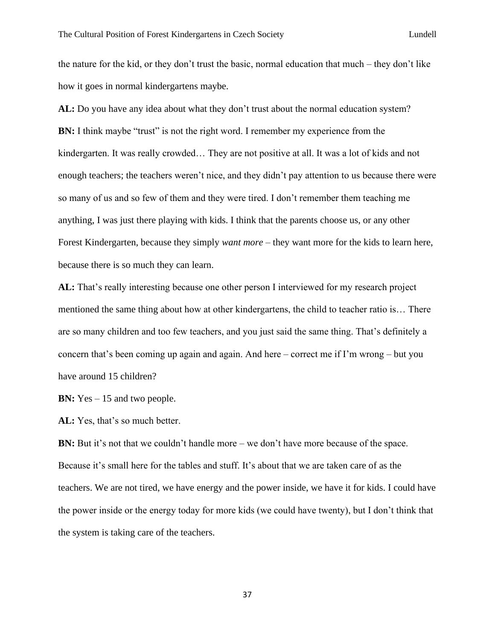the nature for the kid, or they don't trust the basic, normal education that much – they don't like how it goes in normal kindergartens maybe.

**AL:** Do you have any idea about what they don't trust about the normal education system? **BN:** I think maybe "trust" is not the right word. I remember my experience from the kindergarten. It was really crowded… They are not positive at all. It was a lot of kids and not enough teachers; the teachers weren't nice, and they didn't pay attention to us because there were so many of us and so few of them and they were tired. I don't remember them teaching me anything, I was just there playing with kids. I think that the parents choose us, or any other Forest Kindergarten, because they simply *want more* – they want more for the kids to learn here, because there is so much they can learn.

**AL:** That's really interesting because one other person I interviewed for my research project mentioned the same thing about how at other kindergartens, the child to teacher ratio is… There are so many children and too few teachers, and you just said the same thing. That's definitely a concern that's been coming up again and again. And here – correct me if I'm wrong – but you have around 15 children?

**BN:** Yes – 15 and two people.

AL: Yes, that's so much better.

**BN:** But it's not that we couldn't handle more – we don't have more because of the space. Because it's small here for the tables and stuff. It's about that we are taken care of as the teachers. We are not tired, we have energy and the power inside, we have it for kids. I could have the power inside or the energy today for more kids (we could have twenty), but I don't think that the system is taking care of the teachers.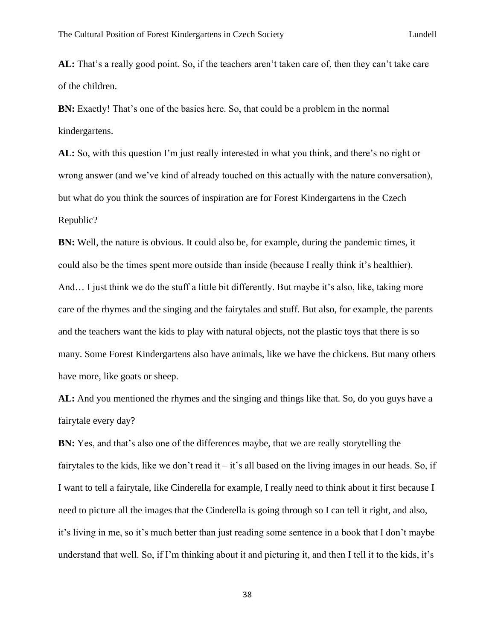**AL:** That's a really good point. So, if the teachers aren't taken care of, then they can't take care of the children.

**BN:** Exactly! That's one of the basics here. So, that could be a problem in the normal kindergartens.

**AL:** So, with this question I'm just really interested in what you think, and there's no right or wrong answer (and we've kind of already touched on this actually with the nature conversation), but what do you think the sources of inspiration are for Forest Kindergartens in the Czech Republic?

**BN:** Well, the nature is obvious. It could also be, for example, during the pandemic times, it could also be the times spent more outside than inside (because I really think it's healthier). And… I just think we do the stuff a little bit differently. But maybe it's also, like, taking more care of the rhymes and the singing and the fairytales and stuff. But also, for example, the parents and the teachers want the kids to play with natural objects, not the plastic toys that there is so many. Some Forest Kindergartens also have animals, like we have the chickens. But many others have more, like goats or sheep.

**AL:** And you mentioned the rhymes and the singing and things like that. So, do you guys have a fairytale every day?

**BN:** Yes, and that's also one of the differences maybe, that we are really storytelling the fairytales to the kids, like we don't read it – it's all based on the living images in our heads. So, if I want to tell a fairytale, like Cinderella for example, I really need to think about it first because I need to picture all the images that the Cinderella is going through so I can tell it right, and also, it's living in me, so it's much better than just reading some sentence in a book that I don't maybe understand that well. So, if I'm thinking about it and picturing it, and then I tell it to the kids, it's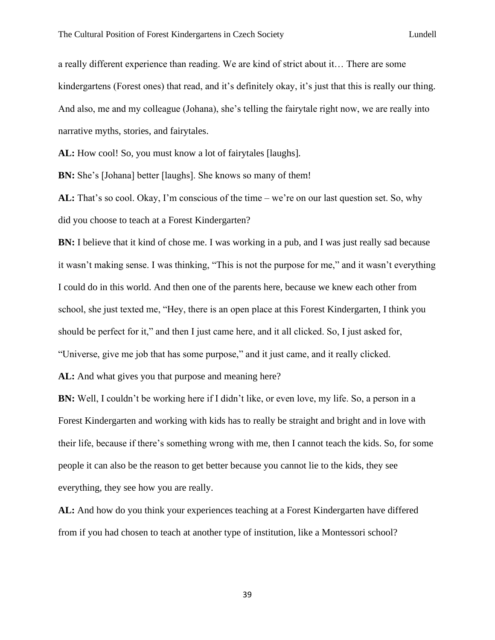a really different experience than reading. We are kind of strict about it… There are some kindergartens (Forest ones) that read, and it's definitely okay, it's just that this is really our thing. And also, me and my colleague (Johana), she's telling the fairytale right now, we are really into narrative myths, stories, and fairytales.

**AL:** How cool! So, you must know a lot of fairytales [laughs].

**BN:** She's [Johana] better [laughs]. She knows so many of them!

**AL:** That's so cool. Okay, I'm conscious of the time – we're on our last question set. So, why did you choose to teach at a Forest Kindergarten?

**BN:** I believe that it kind of chose me. I was working in a pub, and I was just really sad because it wasn't making sense. I was thinking, "This is not the purpose for me," and it wasn't everything I could do in this world. And then one of the parents here, because we knew each other from school, she just texted me, "Hey, there is an open place at this Forest Kindergarten, I think you should be perfect for it," and then I just came here, and it all clicked. So, I just asked for, "Universe, give me job that has some purpose," and it just came, and it really clicked.

**AL:** And what gives you that purpose and meaning here?

**BN:** Well, I couldn't be working here if I didn't like, or even love, my life. So, a person in a Forest Kindergarten and working with kids has to really be straight and bright and in love with their life, because if there's something wrong with me, then I cannot teach the kids. So, for some people it can also be the reason to get better because you cannot lie to the kids, they see everything, they see how you are really.

**AL:** And how do you think your experiences teaching at a Forest Kindergarten have differed from if you had chosen to teach at another type of institution, like a Montessori school?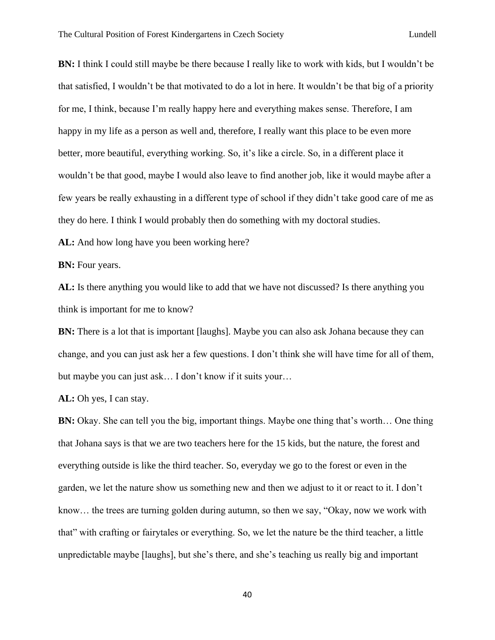**BN:** I think I could still maybe be there because I really like to work with kids, but I wouldn't be that satisfied, I wouldn't be that motivated to do a lot in here. It wouldn't be that big of a priority for me, I think, because I'm really happy here and everything makes sense. Therefore, I am happy in my life as a person as well and, therefore, I really want this place to be even more better, more beautiful, everything working. So, it's like a circle. So, in a different place it wouldn't be that good, maybe I would also leave to find another job, like it would maybe after a few years be really exhausting in a different type of school if they didn't take good care of me as they do here. I think I would probably then do something with my doctoral studies.

AL: And how long have you been working here?

**BN:** Four years.

**AL:** Is there anything you would like to add that we have not discussed? Is there anything you think is important for me to know?

**BN:** There is a lot that is important [laughs]. Maybe you can also ask Johana because they can change, and you can just ask her a few questions. I don't think she will have time for all of them, but maybe you can just ask… I don't know if it suits your…

**AL:** Oh yes, I can stay.

**BN:** Okay. She can tell you the big, important things. Maybe one thing that's worth... One thing that Johana says is that we are two teachers here for the 15 kids, but the nature, the forest and everything outside is like the third teacher. So, everyday we go to the forest or even in the garden, we let the nature show us something new and then we adjust to it or react to it. I don't know… the trees are turning golden during autumn, so then we say, "Okay, now we work with that" with crafting or fairytales or everything. So, we let the nature be the third teacher, a little unpredictable maybe [laughs], but she's there, and she's teaching us really big and important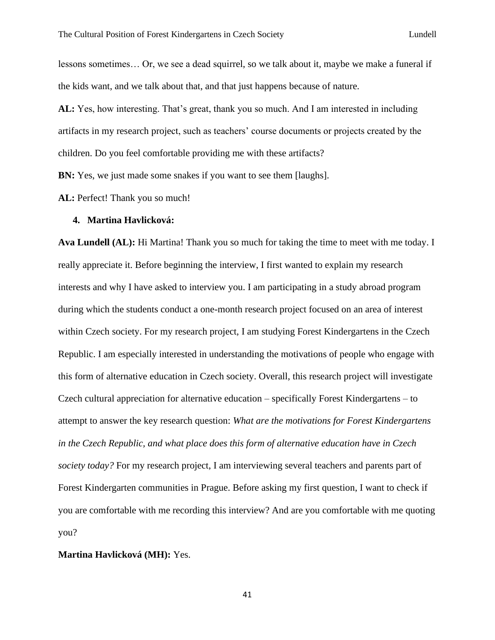lessons sometimes… Or, we see a dead squirrel, so we talk about it, maybe we make a funeral if the kids want, and we talk about that, and that just happens because of nature.

**AL:** Yes, how interesting. That's great, thank you so much. And I am interested in including artifacts in my research project, such as teachers' course documents or projects created by the children. Do you feel comfortable providing me with these artifacts?

**BN:** Yes, we just made some snakes if you want to see them [laughs].

AL: Perfect! Thank you so much!

### **4. Martina Havlicková:**

**Ava Lundell (AL):** Hi Martina! Thank you so much for taking the time to meet with me today. I really appreciate it. Before beginning the interview, I first wanted to explain my research interests and why I have asked to interview you. I am participating in a study abroad program during which the students conduct a one-month research project focused on an area of interest within Czech society. For my research project, I am studying Forest Kindergartens in the Czech Republic. I am especially interested in understanding the motivations of people who engage with this form of alternative education in Czech society. Overall, this research project will investigate Czech cultural appreciation for alternative education – specifically Forest Kindergartens – to attempt to answer the key research question: *What are the motivations for Forest Kindergartens in the Czech Republic, and what place does this form of alternative education have in Czech society today?* For my research project, I am interviewing several teachers and parents part of Forest Kindergarten communities in Prague. Before asking my first question, I want to check if you are comfortable with me recording this interview? And are you comfortable with me quoting you?

# **Martina Havlicková (MH):** Yes.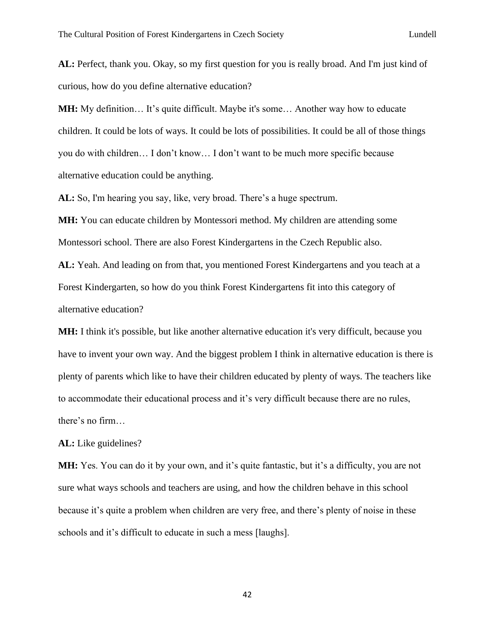**AL:** Perfect, thank you. Okay, so my first question for you is really broad. And I'm just kind of curious, how do you define alternative education?

**MH:** My definition… It's quite difficult. Maybe it's some… Another way how to educate children. It could be lots of ways. It could be lots of possibilities. It could be all of those things you do with children… I don't know… I don't want to be much more specific because alternative education could be anything.

**AL:** So, I'm hearing you say, like, very broad. There's a huge spectrum.

**MH:** You can educate children by Montessori method. My children are attending some Montessori school. There are also Forest Kindergartens in the Czech Republic also.

**AL:** Yeah. And leading on from that, you mentioned Forest Kindergartens and you teach at a Forest Kindergarten, so how do you think Forest Kindergartens fit into this category of alternative education?

**MH:** I think it's possible, but like another alternative education it's very difficult, because you have to invent your own way. And the biggest problem I think in alternative education is there is plenty of parents which like to have their children educated by plenty of ways. The teachers like to accommodate their educational process and it's very difficult because there are no rules, there's no firm…

**AL:** Like guidelines?

**MH:** Yes. You can do it by your own, and it's quite fantastic, but it's a difficulty, you are not sure what ways schools and teachers are using, and how the children behave in this school because it's quite a problem when children are very free, and there's plenty of noise in these schools and it's difficult to educate in such a mess [laughs].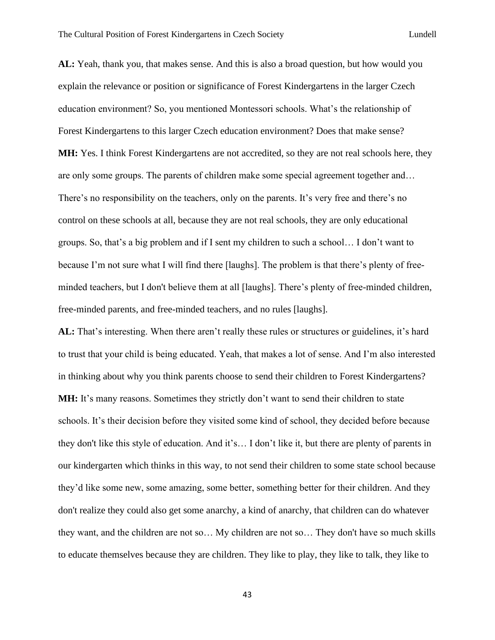**AL:** Yeah, thank you, that makes sense. And this is also a broad question, but how would you explain the relevance or position or significance of Forest Kindergartens in the larger Czech education environment? So, you mentioned Montessori schools. What's the relationship of Forest Kindergartens to this larger Czech education environment? Does that make sense? **MH:** Yes. I think Forest Kindergartens are not accredited, so they are not real schools here, they are only some groups. The parents of children make some special agreement together and… There's no responsibility on the teachers, only on the parents. It's very free and there's no control on these schools at all, because they are not real schools, they are only educational groups. So, that's a big problem and if I sent my children to such a school… I don't want to because I'm not sure what I will find there [laughs]. The problem is that there's plenty of freeminded teachers, but I don't believe them at all [laughs]. There's plenty of free-minded children, free-minded parents, and free-minded teachers, and no rules [laughs].

**AL:** That's interesting. When there aren't really these rules or structures or guidelines, it's hard to trust that your child is being educated. Yeah, that makes a lot of sense. And I'm also interested in thinking about why you think parents choose to send their children to Forest Kindergartens? **MH:** It's many reasons. Sometimes they strictly don't want to send their children to state schools. It's their decision before they visited some kind of school, they decided before because they don't like this style of education. And it's… I don't like it, but there are plenty of parents in our kindergarten which thinks in this way, to not send their children to some state school because they'd like some new, some amazing, some better, something better for their children. And they don't realize they could also get some anarchy, a kind of anarchy, that children can do whatever they want, and the children are not so… My children are not so… They don't have so much skills to educate themselves because they are children. They like to play, they like to talk, they like to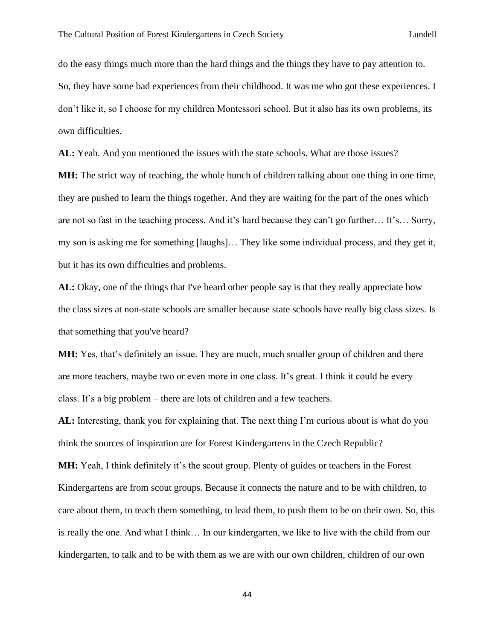do the easy things much more than the hard things and the things they have to pay attention to. So, they have some bad experiences from their childhood. It was me who got these experiences. I don't like it, so I choose for my children Montessori school. But it also has its own problems, its own difficulties.

**AL:** Yeah. And you mentioned the issues with the state schools. What are those issues?

**MH:** The strict way of teaching, the whole bunch of children talking about one thing in one time, they are pushed to learn the things together. And they are waiting for the part of the ones which are not so fast in the teaching process. And it's hard because they can't go further… It's… Sorry, my son is asking me for something [laughs]… They like some individual process, and they get it, but it has its own difficulties and problems.

**AL:** Okay, one of the things that I've heard other people say is that they really appreciate how the class sizes at non-state schools are smaller because state schools have really big class sizes. Is that something that you've heard?

**MH:** Yes, that's definitely an issue. They are much, much smaller group of children and there are more teachers, maybe two or even more in one class. It's great. I think it could be every class. It's a big problem – there are lots of children and a few teachers.

**AL:** Interesting, thank you for explaining that. The next thing I'm curious about is what do you think the sources of inspiration are for Forest Kindergartens in the Czech Republic? **MH:** Yeah, I think definitely it's the scout group. Plenty of guides or teachers in the Forest Kindergartens are from scout groups. Because it connects the nature and to be with children, to care about them, to teach them something, to lead them, to push them to be on their own. So, this is really the one. And what I think… In our kindergarten, we like to live with the child from our kindergarten, to talk and to be with them as we are with our own children, children of our own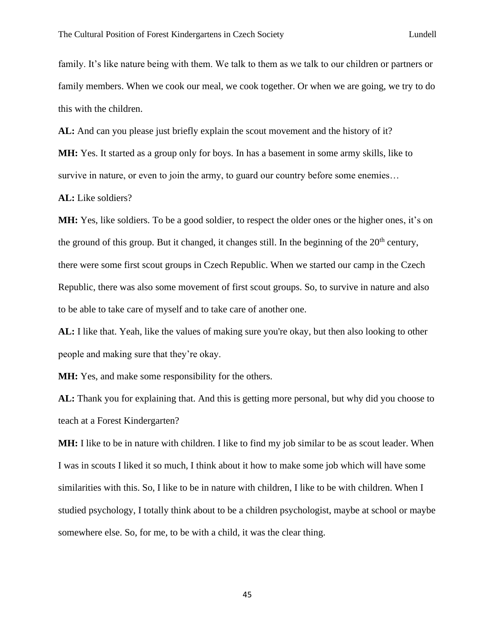family. It's like nature being with them. We talk to them as we talk to our children or partners or family members. When we cook our meal, we cook together. Or when we are going, we try to do this with the children.

**AL:** And can you please just briefly explain the scout movement and the history of it?

**MH:** Yes. It started as a group only for boys. In has a basement in some army skills, like to survive in nature, or even to join the army, to guard our country before some enemies...

**AL:** Like soldiers?

**MH:** Yes, like soldiers. To be a good soldier, to respect the older ones or the higher ones, it's on the ground of this group. But it changed, it changes still. In the beginning of the  $20<sup>th</sup>$  century, there were some first scout groups in Czech Republic. When we started our camp in the Czech Republic, there was also some movement of first scout groups. So, to survive in nature and also to be able to take care of myself and to take care of another one.

AL: I like that. Yeah, like the values of making sure you're okay, but then also looking to other people and making sure that they're okay.

**MH:** Yes, and make some responsibility for the others.

**AL:** Thank you for explaining that. And this is getting more personal, but why did you choose to teach at a Forest Kindergarten?

**MH:** I like to be in nature with children. I like to find my job similar to be as scout leader. When I was in scouts I liked it so much, I think about it how to make some job which will have some similarities with this. So, I like to be in nature with children, I like to be with children. When I studied psychology, I totally think about to be a children psychologist, maybe at school or maybe somewhere else. So, for me, to be with a child, it was the clear thing.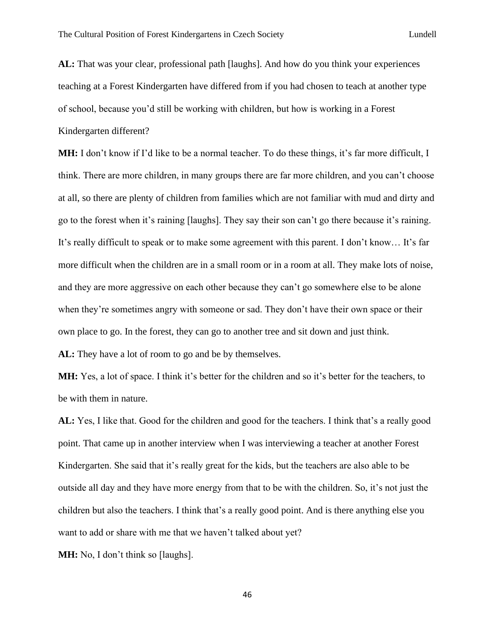**AL:** That was your clear, professional path [laughs]. And how do you think your experiences teaching at a Forest Kindergarten have differed from if you had chosen to teach at another type of school, because you'd still be working with children, but how is working in a Forest Kindergarten different?

**MH:** I don't know if I'd like to be a normal teacher. To do these things, it's far more difficult, I think. There are more children, in many groups there are far more children, and you can't choose at all, so there are plenty of children from families which are not familiar with mud and dirty and go to the forest when it's raining [laughs]. They say their son can't go there because it's raining. It's really difficult to speak or to make some agreement with this parent. I don't know… It's far more difficult when the children are in a small room or in a room at all. They make lots of noise, and they are more aggressive on each other because they can't go somewhere else to be alone when they're sometimes angry with someone or sad. They don't have their own space or their own place to go. In the forest, they can go to another tree and sit down and just think. AL: They have a lot of room to go and be by themselves.

**MH:** Yes, a lot of space. I think it's better for the children and so it's better for the teachers, to

be with them in nature.

**AL:** Yes, I like that. Good for the children and good for the teachers. I think that's a really good point. That came up in another interview when I was interviewing a teacher at another Forest Kindergarten. She said that it's really great for the kids, but the teachers are also able to be outside all day and they have more energy from that to be with the children. So, it's not just the children but also the teachers. I think that's a really good point. And is there anything else you want to add or share with me that we haven't talked about yet?

**MH:** No, I don't think so [laughs].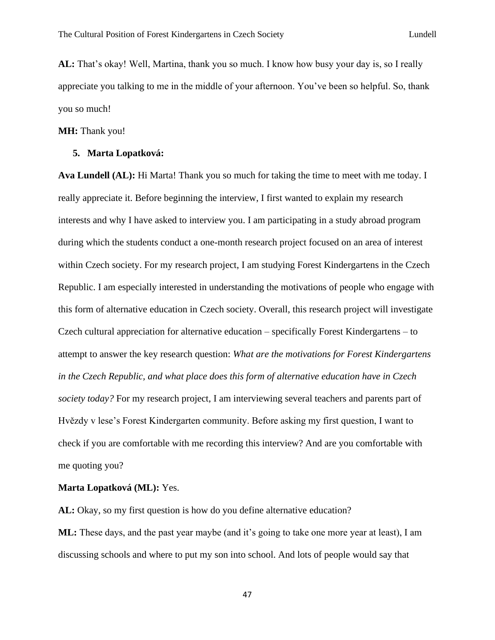**AL:** That's okay! Well, Martina, thank you so much. I know how busy your day is, so I really appreciate you talking to me in the middle of your afternoon. You've been so helpful. So, thank you so much!

**MH:** Thank you!

## **5. Marta Lopatková:**

**Ava Lundell (AL):** Hi Marta! Thank you so much for taking the time to meet with me today. I really appreciate it. Before beginning the interview, I first wanted to explain my research interests and why I have asked to interview you. I am participating in a study abroad program during which the students conduct a one-month research project focused on an area of interest within Czech society. For my research project, I am studying Forest Kindergartens in the Czech Republic. I am especially interested in understanding the motivations of people who engage with this form of alternative education in Czech society. Overall, this research project will investigate Czech cultural appreciation for alternative education – specifically Forest Kindergartens – to attempt to answer the key research question: *What are the motivations for Forest Kindergartens in the Czech Republic, and what place does this form of alternative education have in Czech society today?* For my research project, I am interviewing several teachers and parents part of Hvězdy v lese's Forest Kindergarten community. Before asking my first question, I want to check if you are comfortable with me recording this interview? And are you comfortable with me quoting you?

**Marta Lopatková (ML):** Yes.

**AL:** Okay, so my first question is how do you define alternative education? **ML:** These days, and the past year maybe (and it's going to take one more year at least), I am discussing schools and where to put my son into school. And lots of people would say that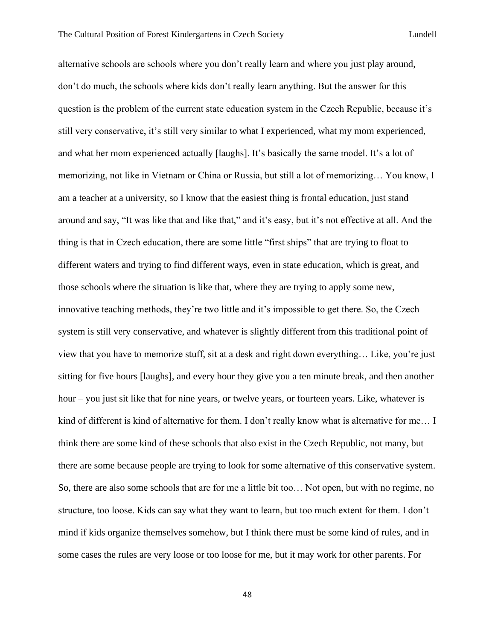alternative schools are schools where you don't really learn and where you just play around, don't do much, the schools where kids don't really learn anything. But the answer for this question is the problem of the current state education system in the Czech Republic, because it's still very conservative, it's still very similar to what I experienced, what my mom experienced, and what her mom experienced actually [laughs]. It's basically the same model. It's a lot of memorizing, not like in Vietnam or China or Russia, but still a lot of memorizing… You know, I am a teacher at a university, so I know that the easiest thing is frontal education, just stand around and say, "It was like that and like that," and it's easy, but it's not effective at all. And the thing is that in Czech education, there are some little "first ships" that are trying to float to different waters and trying to find different ways, even in state education, which is great, and those schools where the situation is like that, where they are trying to apply some new, innovative teaching methods, they're two little and it's impossible to get there. So, the Czech system is still very conservative, and whatever is slightly different from this traditional point of view that you have to memorize stuff, sit at a desk and right down everything… Like, you're just sitting for five hours [laughs], and every hour they give you a ten minute break, and then another hour – you just sit like that for nine years, or twelve years, or fourteen years. Like, whatever is kind of different is kind of alternative for them. I don't really know what is alternative for me... I think there are some kind of these schools that also exist in the Czech Republic, not many, but there are some because people are trying to look for some alternative of this conservative system. So, there are also some schools that are for me a little bit too… Not open, but with no regime, no structure, too loose. Kids can say what they want to learn, but too much extent for them. I don't mind if kids organize themselves somehow, but I think there must be some kind of rules, and in some cases the rules are very loose or too loose for me, but it may work for other parents. For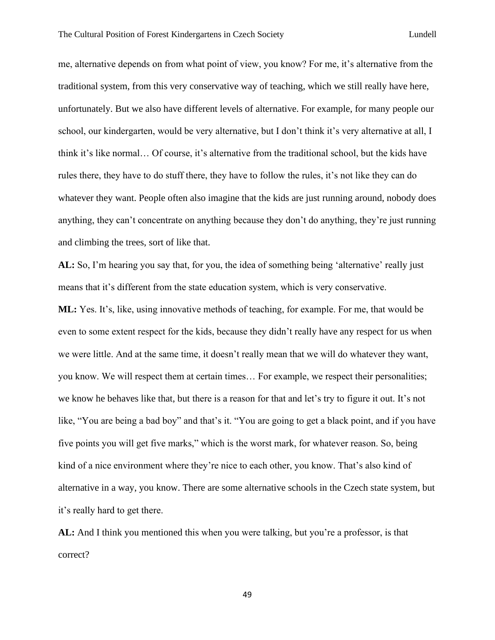me, alternative depends on from what point of view, you know? For me, it's alternative from the traditional system, from this very conservative way of teaching, which we still really have here, unfortunately. But we also have different levels of alternative. For example, for many people our school, our kindergarten, would be very alternative, but I don't think it's very alternative at all, I think it's like normal… Of course, it's alternative from the traditional school, but the kids have rules there, they have to do stuff there, they have to follow the rules, it's not like they can do whatever they want. People often also imagine that the kids are just running around, nobody does anything, they can't concentrate on anything because they don't do anything, they're just running and climbing the trees, sort of like that.

**AL:** So, I'm hearing you say that, for you, the idea of something being 'alternative' really just means that it's different from the state education system, which is very conservative.

**ML:** Yes. It's, like, using innovative methods of teaching, for example. For me, that would be even to some extent respect for the kids, because they didn't really have any respect for us when we were little. And at the same time, it doesn't really mean that we will do whatever they want, you know. We will respect them at certain times… For example, we respect their personalities; we know he behaves like that, but there is a reason for that and let's try to figure it out. It's not like, "You are being a bad boy" and that's it. "You are going to get a black point, and if you have five points you will get five marks," which is the worst mark, for whatever reason. So, being kind of a nice environment where they're nice to each other, you know. That's also kind of alternative in a way, you know. There are some alternative schools in the Czech state system, but it's really hard to get there.

**AL:** And I think you mentioned this when you were talking, but you're a professor, is that correct?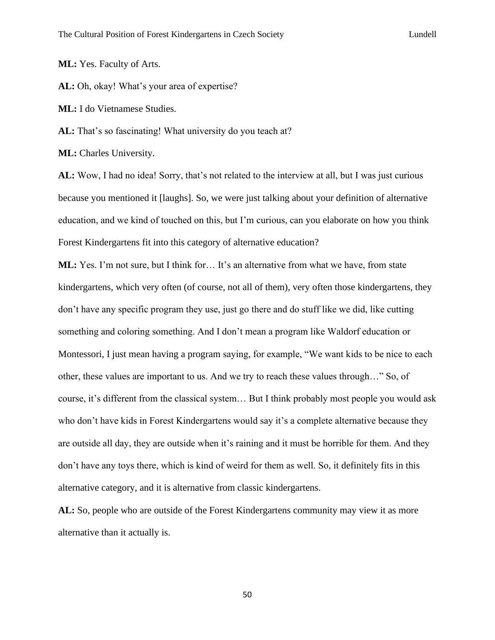**ML:** Yes. Faculty of Arts.

**AL:** Oh, okay! What's your area of expertise?

**ML:** I do Vietnamese Studies.

**AL:** That's so fascinating! What university do you teach at?

**ML:** Charles University.

**AL:** Wow, I had no idea! Sorry, that's not related to the interview at all, but I was just curious because you mentioned it [laughs]. So, we were just talking about your definition of alternative education, and we kind of touched on this, but I'm curious, can you elaborate on how you think Forest Kindergartens fit into this category of alternative education?

**ML:** Yes. I'm not sure, but I think for… It's an alternative from what we have, from state kindergartens, which very often (of course, not all of them), very often those kindergartens, they don't have any specific program they use, just go there and do stuff like we did, like cutting something and coloring something. And I don't mean a program like Waldorf education or Montessori, I just mean having a program saying, for example, "We want kids to be nice to each other, these values are important to us. And we try to reach these values through…" So, of course, it's different from the classical system… But I think probably most people you would ask who don't have kids in Forest Kindergartens would say it's a complete alternative because they are outside all day, they are outside when it's raining and it must be horrible for them. And they don't have any toys there, which is kind of weird for them as well. So, it definitely fits in this alternative category, and it is alternative from classic kindergartens.

**AL:** So, people who are outside of the Forest Kindergartens community may view it as more alternative than it actually is.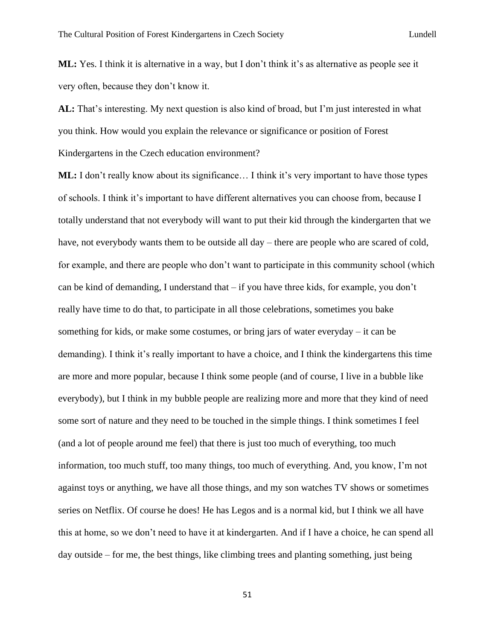**ML:** Yes. I think it is alternative in a way, but I don't think it's as alternative as people see it very often, because they don't know it.

**AL:** That's interesting. My next question is also kind of broad, but I'm just interested in what you think. How would you explain the relevance or significance or position of Forest Kindergartens in the Czech education environment?

**ML:** I don't really know about its significance… I think it's very important to have those types of schools. I think it's important to have different alternatives you can choose from, because I totally understand that not everybody will want to put their kid through the kindergarten that we have, not everybody wants them to be outside all day – there are people who are scared of cold, for example, and there are people who don't want to participate in this community school (which can be kind of demanding, I understand that – if you have three kids, for example, you don't really have time to do that, to participate in all those celebrations, sometimes you bake something for kids, or make some costumes, or bring jars of water everyday – it can be demanding). I think it's really important to have a choice, and I think the kindergartens this time are more and more popular, because I think some people (and of course, I live in a bubble like everybody), but I think in my bubble people are realizing more and more that they kind of need some sort of nature and they need to be touched in the simple things. I think sometimes I feel (and a lot of people around me feel) that there is just too much of everything, too much information, too much stuff, too many things, too much of everything. And, you know, I'm not against toys or anything, we have all those things, and my son watches TV shows or sometimes series on Netflix. Of course he does! He has Legos and is a normal kid, but I think we all have this at home, so we don't need to have it at kindergarten. And if I have a choice, he can spend all day outside – for me, the best things, like climbing trees and planting something, just being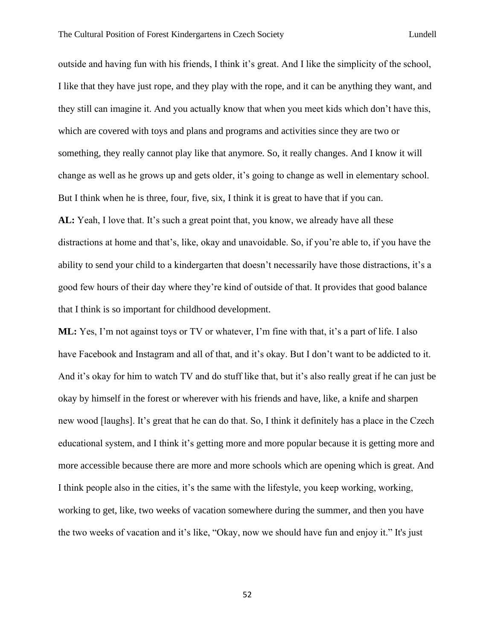outside and having fun with his friends, I think it's great. And I like the simplicity of the school, I like that they have just rope, and they play with the rope, and it can be anything they want, and they still can imagine it. And you actually know that when you meet kids which don't have this, which are covered with toys and plans and programs and activities since they are two or something, they really cannot play like that anymore. So, it really changes. And I know it will change as well as he grows up and gets older, it's going to change as well in elementary school. But I think when he is three, four, five, six, I think it is great to have that if you can. **AL:** Yeah, I love that. It's such a great point that, you know, we already have all these distractions at home and that's, like, okay and unavoidable. So, if you're able to, if you have the ability to send your child to a kindergarten that doesn't necessarily have those distractions, it's a good few hours of their day where they're kind of outside of that. It provides that good balance that I think is so important for childhood development.

**ML:** Yes, I'm not against toys or TV or whatever, I'm fine with that, it's a part of life. I also have Facebook and Instagram and all of that, and it's okay. But I don't want to be addicted to it. And it's okay for him to watch TV and do stuff like that, but it's also really great if he can just be okay by himself in the forest or wherever with his friends and have, like, a knife and sharpen new wood [laughs]. It's great that he can do that. So, I think it definitely has a place in the Czech educational system, and I think it's getting more and more popular because it is getting more and more accessible because there are more and more schools which are opening which is great. And I think people also in the cities, it's the same with the lifestyle, you keep working, working, working to get, like, two weeks of vacation somewhere during the summer, and then you have the two weeks of vacation and it's like, "Okay, now we should have fun and enjoy it." It's just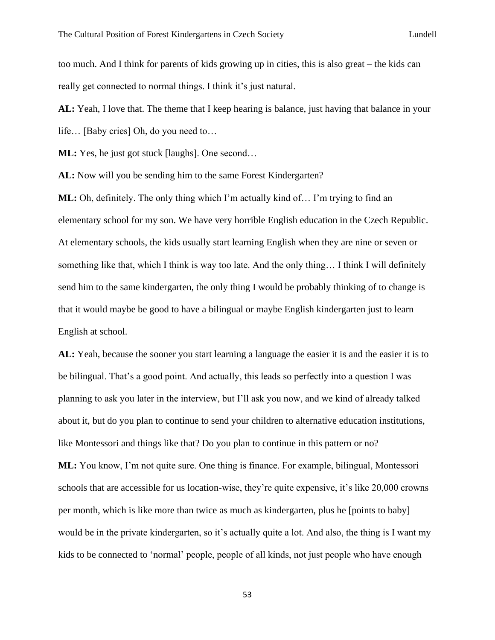too much. And I think for parents of kids growing up in cities, this is also great – the kids can really get connected to normal things. I think it's just natural.

**AL:** Yeah, I love that. The theme that I keep hearing is balance, just having that balance in your life… [Baby cries] Oh, do you need to…

**ML:** Yes, he just got stuck [laughs]. One second...

**AL:** Now will you be sending him to the same Forest Kindergarten?

**ML:** Oh, definitely. The only thing which I'm actually kind of… I'm trying to find an elementary school for my son. We have very horrible English education in the Czech Republic. At elementary schools, the kids usually start learning English when they are nine or seven or something like that, which I think is way too late. And the only thing… I think I will definitely send him to the same kindergarten, the only thing I would be probably thinking of to change is that it would maybe be good to have a bilingual or maybe English kindergarten just to learn English at school.

**AL:** Yeah, because the sooner you start learning a language the easier it is and the easier it is to be bilingual. That's a good point. And actually, this leads so perfectly into a question I was planning to ask you later in the interview, but I'll ask you now, and we kind of already talked about it, but do you plan to continue to send your children to alternative education institutions, like Montessori and things like that? Do you plan to continue in this pattern or no? **ML:** You know, I'm not quite sure. One thing is finance. For example, bilingual, Montessori schools that are accessible for us location-wise, they're quite expensive, it's like 20,000 crowns per month, which is like more than twice as much as kindergarten, plus he [points to baby] would be in the private kindergarten, so it's actually quite a lot. And also, the thing is I want my kids to be connected to 'normal' people, people of all kinds, not just people who have enough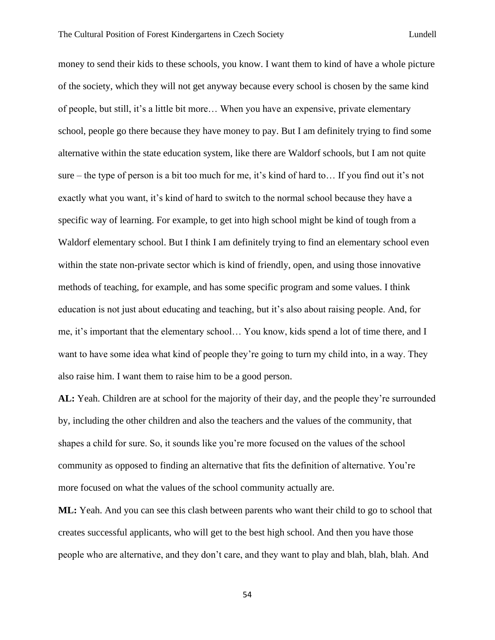money to send their kids to these schools, you know. I want them to kind of have a whole picture of the society, which they will not get anyway because every school is chosen by the same kind of people, but still, it's a little bit more… When you have an expensive, private elementary school, people go there because they have money to pay. But I am definitely trying to find some alternative within the state education system, like there are Waldorf schools, but I am not quite sure – the type of person is a bit too much for me, it's kind of hard to… If you find out it's not exactly what you want, it's kind of hard to switch to the normal school because they have a specific way of learning. For example, to get into high school might be kind of tough from a Waldorf elementary school. But I think I am definitely trying to find an elementary school even within the state non-private sector which is kind of friendly, open, and using those innovative methods of teaching, for example, and has some specific program and some values. I think education is not just about educating and teaching, but it's also about raising people. And, for me, it's important that the elementary school… You know, kids spend a lot of time there, and I want to have some idea what kind of people they're going to turn my child into, in a way. They also raise him. I want them to raise him to be a good person.

**AL:** Yeah. Children are at school for the majority of their day, and the people they're surrounded by, including the other children and also the teachers and the values of the community, that shapes a child for sure. So, it sounds like you're more focused on the values of the school community as opposed to finding an alternative that fits the definition of alternative. You're more focused on what the values of the school community actually are.

**ML:** Yeah. And you can see this clash between parents who want their child to go to school that creates successful applicants, who will get to the best high school. And then you have those people who are alternative, and they don't care, and they want to play and blah, blah, blah. And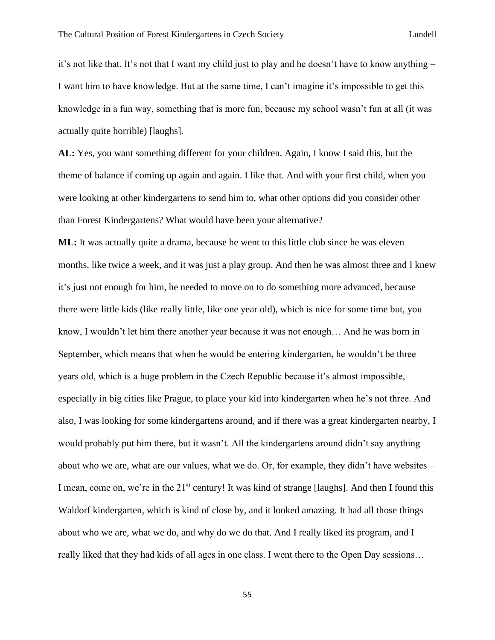it's not like that. It's not that I want my child just to play and he doesn't have to know anything – I want him to have knowledge. But at the same time, I can't imagine it's impossible to get this knowledge in a fun way, something that is more fun, because my school wasn't fun at all (it was actually quite horrible) [laughs].

**AL:** Yes, you want something different for your children. Again, I know I said this, but the theme of balance if coming up again and again. I like that. And with your first child, when you were looking at other kindergartens to send him to, what other options did you consider other than Forest Kindergartens? What would have been your alternative?

**ML:** It was actually quite a drama, because he went to this little club since he was eleven months, like twice a week, and it was just a play group. And then he was almost three and I knew it's just not enough for him, he needed to move on to do something more advanced, because there were little kids (like really little, like one year old), which is nice for some time but, you know, I wouldn't let him there another year because it was not enough… And he was born in September, which means that when he would be entering kindergarten, he wouldn't be three years old, which is a huge problem in the Czech Republic because it's almost impossible, especially in big cities like Prague, to place your kid into kindergarten when he's not three. And also, I was looking for some kindergartens around, and if there was a great kindergarten nearby, I would probably put him there, but it wasn't. All the kindergartens around didn't say anything about who we are, what are our values, what we do. Or, for example, they didn't have websites – I mean, come on, we're in the 21<sup>st</sup> century! It was kind of strange [laughs]. And then I found this Waldorf kindergarten, which is kind of close by, and it looked amazing. It had all those things about who we are, what we do, and why do we do that. And I really liked its program, and I really liked that they had kids of all ages in one class. I went there to the Open Day sessions…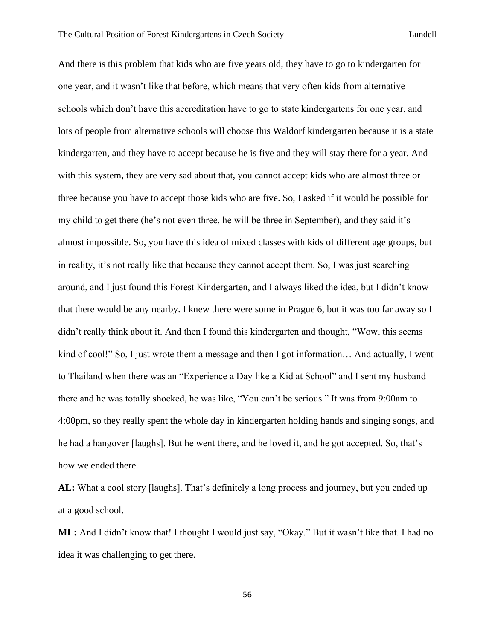And there is this problem that kids who are five years old, they have to go to kindergarten for one year, and it wasn't like that before, which means that very often kids from alternative schools which don't have this accreditation have to go to state kindergartens for one year, and lots of people from alternative schools will choose this Waldorf kindergarten because it is a state kindergarten, and they have to accept because he is five and they will stay there for a year. And with this system, they are very sad about that, you cannot accept kids who are almost three or three because you have to accept those kids who are five. So, I asked if it would be possible for my child to get there (he's not even three, he will be three in September), and they said it's almost impossible. So, you have this idea of mixed classes with kids of different age groups, but in reality, it's not really like that because they cannot accept them. So, I was just searching around, and I just found this Forest Kindergarten, and I always liked the idea, but I didn't know that there would be any nearby. I knew there were some in Prague 6, but it was too far away so I didn't really think about it. And then I found this kindergarten and thought, "Wow, this seems kind of cool!" So, I just wrote them a message and then I got information... And actually, I went to Thailand when there was an "Experience a Day like a Kid at School" and I sent my husband there and he was totally shocked, he was like, "You can't be serious." It was from 9:00am to 4:00pm, so they really spent the whole day in kindergarten holding hands and singing songs, and he had a hangover [laughs]. But he went there, and he loved it, and he got accepted. So, that's how we ended there.

**AL:** What a cool story [laughs]. That's definitely a long process and journey, but you ended up at a good school.

**ML:** And I didn't know that! I thought I would just say, "Okay." But it wasn't like that. I had no idea it was challenging to get there.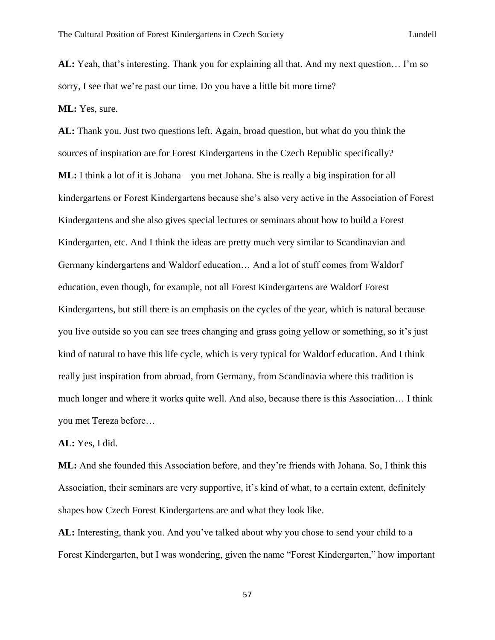**AL:** Yeah, that's interesting. Thank you for explaining all that. And my next question… I'm so sorry, I see that we're past our time. Do you have a little bit more time?

**ML:** Yes, sure.

**AL:** Thank you. Just two questions left. Again, broad question, but what do you think the sources of inspiration are for Forest Kindergartens in the Czech Republic specifically? **ML:** I think a lot of it is Johana – you met Johana. She is really a big inspiration for all kindergartens or Forest Kindergartens because she's also very active in the Association of Forest Kindergartens and she also gives special lectures or seminars about how to build a Forest Kindergarten, etc. And I think the ideas are pretty much very similar to Scandinavian and Germany kindergartens and Waldorf education… And a lot of stuff comes from Waldorf education, even though, for example, not all Forest Kindergartens are Waldorf Forest Kindergartens, but still there is an emphasis on the cycles of the year, which is natural because you live outside so you can see trees changing and grass going yellow or something, so it's just kind of natural to have this life cycle, which is very typical for Waldorf education. And I think really just inspiration from abroad, from Germany, from Scandinavia where this tradition is much longer and where it works quite well. And also, because there is this Association… I think you met Tereza before…

**AL:** Yes, I did.

**ML:** And she founded this Association before, and they're friends with Johana. So, I think this Association, their seminars are very supportive, it's kind of what, to a certain extent, definitely shapes how Czech Forest Kindergartens are and what they look like.

**AL:** Interesting, thank you. And you've talked about why you chose to send your child to a Forest Kindergarten, but I was wondering, given the name "Forest Kindergarten," how important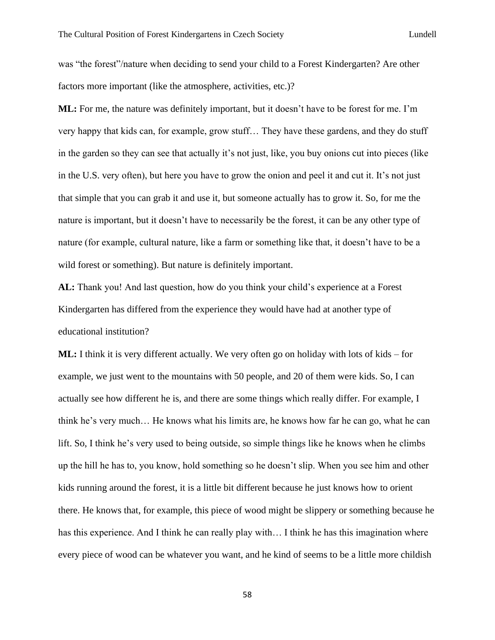was "the forest"/nature when deciding to send your child to a Forest Kindergarten? Are other factors more important (like the atmosphere, activities, etc.)?

**ML:** For me, the nature was definitely important, but it doesn't have to be forest for me. I'm very happy that kids can, for example, grow stuff… They have these gardens, and they do stuff in the garden so they can see that actually it's not just, like, you buy onions cut into pieces (like in the U.S. very often), but here you have to grow the onion and peel it and cut it. It's not just that simple that you can grab it and use it, but someone actually has to grow it. So, for me the nature is important, but it doesn't have to necessarily be the forest, it can be any other type of nature (for example, cultural nature, like a farm or something like that, it doesn't have to be a wild forest or something). But nature is definitely important.

**AL:** Thank you! And last question, how do you think your child's experience at a Forest Kindergarten has differed from the experience they would have had at another type of educational institution?

**ML:** I think it is very different actually. We very often go on holiday with lots of kids – for example, we just went to the mountains with 50 people, and 20 of them were kids. So, I can actually see how different he is, and there are some things which really differ. For example, I think he's very much… He knows what his limits are, he knows how far he can go, what he can lift. So, I think he's very used to being outside, so simple things like he knows when he climbs up the hill he has to, you know, hold something so he doesn't slip. When you see him and other kids running around the forest, it is a little bit different because he just knows how to orient there. He knows that, for example, this piece of wood might be slippery or something because he has this experience. And I think he can really play with… I think he has this imagination where every piece of wood can be whatever you want, and he kind of seems to be a little more childish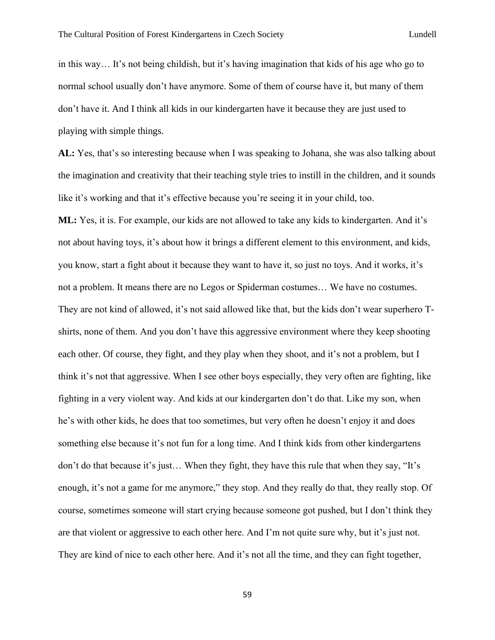in this way… It's not being childish, but it's having imagination that kids of his age who go to normal school usually don't have anymore. Some of them of course have it, but many of them don't have it. And I think all kids in our kindergarten have it because they are just used to playing with simple things.

**AL:** Yes, that's so interesting because when I was speaking to Johana, she was also talking about the imagination and creativity that their teaching style tries to instill in the children, and it sounds like it's working and that it's effective because you're seeing it in your child, too.

**ML:** Yes, it is. For example, our kids are not allowed to take any kids to kindergarten. And it's not about having toys, it's about how it brings a different element to this environment, and kids, you know, start a fight about it because they want to have it, so just no toys. And it works, it's not a problem. It means there are no Legos or Spiderman costumes… We have no costumes. They are not kind of allowed, it's not said allowed like that, but the kids don't wear superhero Tshirts, none of them. And you don't have this aggressive environment where they keep shooting each other. Of course, they fight, and they play when they shoot, and it's not a problem, but I think it's not that aggressive. When I see other boys especially, they very often are fighting, like fighting in a very violent way. And kids at our kindergarten don't do that. Like my son, when he's with other kids, he does that too sometimes, but very often he doesn't enjoy it and does something else because it's not fun for a long time. And I think kids from other kindergartens don't do that because it's just… When they fight, they have this rule that when they say, "It's enough, it's not a game for me anymore," they stop. And they really do that, they really stop. Of course, sometimes someone will start crying because someone got pushed, but I don't think they are that violent or aggressive to each other here. And I'm not quite sure why, but it's just not. They are kind of nice to each other here. And it's not all the time, and they can fight together,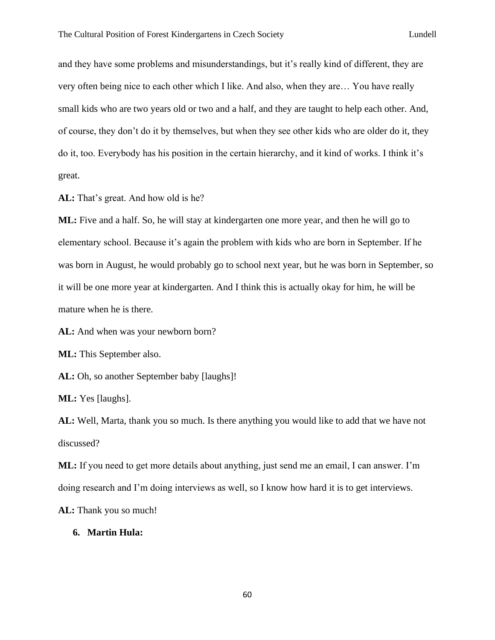and they have some problems and misunderstandings, but it's really kind of different, they are very often being nice to each other which I like. And also, when they are… You have really small kids who are two years old or two and a half, and they are taught to help each other. And, of course, they don't do it by themselves, but when they see other kids who are older do it, they do it, too. Everybody has his position in the certain hierarchy, and it kind of works. I think it's great.

**AL:** That's great. And how old is he?

**ML:** Five and a half. So, he will stay at kindergarten one more year, and then he will go to elementary school. Because it's again the problem with kids who are born in September. If he was born in August, he would probably go to school next year, but he was born in September, so it will be one more year at kindergarten. And I think this is actually okay for him, he will be mature when he is there.

**AL:** And when was your newborn born?

**ML:** This September also.

**AL:** Oh, so another September baby [laughs]!

**ML:** Yes [laughs].

**AL:** Well, Marta, thank you so much. Is there anything you would like to add that we have not discussed?

**ML:** If you need to get more details about anything, just send me an email, I can answer. I'm doing research and I'm doing interviews as well, so I know how hard it is to get interviews.

**AL:** Thank you so much!

# **6. Martin Hula:**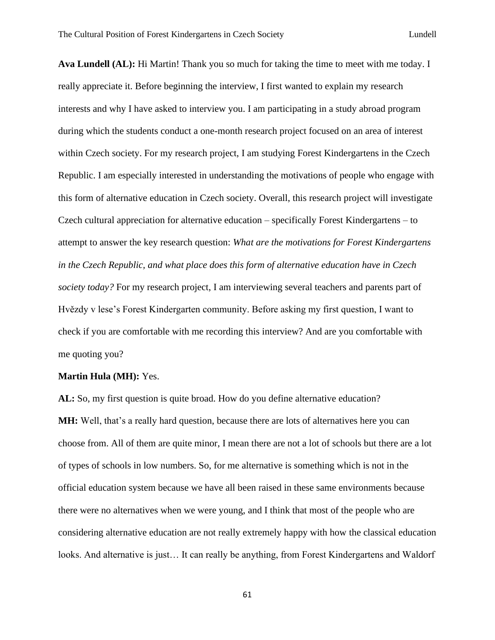**Ava Lundell (AL):** Hi Martin! Thank you so much for taking the time to meet with me today. I really appreciate it. Before beginning the interview, I first wanted to explain my research interests and why I have asked to interview you. I am participating in a study abroad program during which the students conduct a one-month research project focused on an area of interest within Czech society. For my research project, I am studying Forest Kindergartens in the Czech Republic. I am especially interested in understanding the motivations of people who engage with this form of alternative education in Czech society. Overall, this research project will investigate Czech cultural appreciation for alternative education – specifically Forest Kindergartens – to attempt to answer the key research question: *What are the motivations for Forest Kindergartens in the Czech Republic, and what place does this form of alternative education have in Czech society today?* For my research project, I am interviewing several teachers and parents part of Hvězdy v lese's Forest Kindergarten community. Before asking my first question, I want to check if you are comfortable with me recording this interview? And are you comfortable with me quoting you?

#### **Martin Hula (MH):** Yes.

**AL:** So, my first question is quite broad. How do you define alternative education? **MH:** Well, that's a really hard question, because there are lots of alternatives here you can choose from. All of them are quite minor, I mean there are not a lot of schools but there are a lot of types of schools in low numbers. So, for me alternative is something which is not in the official education system because we have all been raised in these same environments because there were no alternatives when we were young, and I think that most of the people who are considering alternative education are not really extremely happy with how the classical education looks. And alternative is just… It can really be anything, from Forest Kindergartens and Waldorf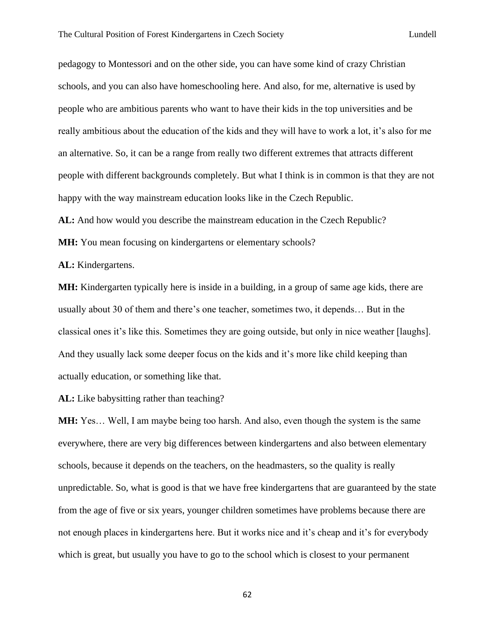pedagogy to Montessori and on the other side, you can have some kind of crazy Christian schools, and you can also have homeschooling here. And also, for me, alternative is used by people who are ambitious parents who want to have their kids in the top universities and be really ambitious about the education of the kids and they will have to work a lot, it's also for me an alternative. So, it can be a range from really two different extremes that attracts different people with different backgrounds completely. But what I think is in common is that they are not happy with the way mainstream education looks like in the Czech Republic.

**AL:** And how would you describe the mainstream education in the Czech Republic?

**MH:** You mean focusing on kindergartens or elementary schools?

**AL:** Kindergartens.

**MH:** Kindergarten typically here is inside in a building, in a group of same age kids, there are usually about 30 of them and there's one teacher, sometimes two, it depends… But in the classical ones it's like this. Sometimes they are going outside, but only in nice weather [laughs]. And they usually lack some deeper focus on the kids and it's more like child keeping than actually education, or something like that.

**AL:** Like babysitting rather than teaching?

**MH:** Yes… Well, I am maybe being too harsh. And also, even though the system is the same everywhere, there are very big differences between kindergartens and also between elementary schools, because it depends on the teachers, on the headmasters, so the quality is really unpredictable. So, what is good is that we have free kindergartens that are guaranteed by the state from the age of five or six years, younger children sometimes have problems because there are not enough places in kindergartens here. But it works nice and it's cheap and it's for everybody which is great, but usually you have to go to the school which is closest to your permanent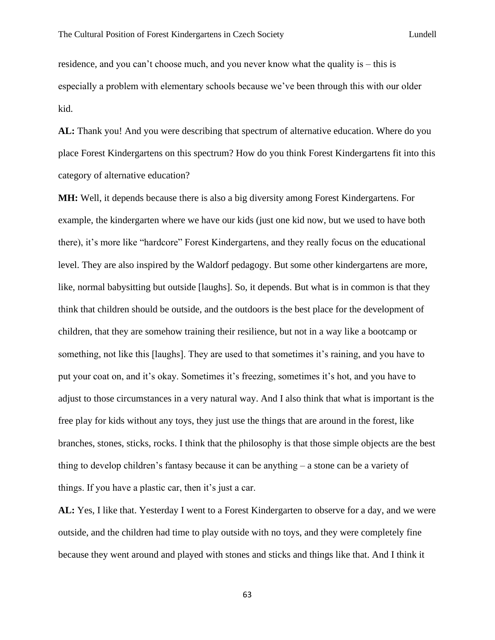residence, and you can't choose much, and you never know what the quality is – this is especially a problem with elementary schools because we've been through this with our older kid.

**AL:** Thank you! And you were describing that spectrum of alternative education. Where do you place Forest Kindergartens on this spectrum? How do you think Forest Kindergartens fit into this category of alternative education?

**MH:** Well, it depends because there is also a big diversity among Forest Kindergartens. For example, the kindergarten where we have our kids (just one kid now, but we used to have both there), it's more like "hardcore" Forest Kindergartens, and they really focus on the educational level. They are also inspired by the Waldorf pedagogy. But some other kindergartens are more, like, normal babysitting but outside [laughs]. So, it depends. But what is in common is that they think that children should be outside, and the outdoors is the best place for the development of children, that they are somehow training their resilience, but not in a way like a bootcamp or something, not like this [laughs]. They are used to that sometimes it's raining, and you have to put your coat on, and it's okay. Sometimes it's freezing, sometimes it's hot, and you have to adjust to those circumstances in a very natural way. And I also think that what is important is the free play for kids without any toys, they just use the things that are around in the forest, like branches, stones, sticks, rocks. I think that the philosophy is that those simple objects are the best thing to develop children's fantasy because it can be anything – a stone can be a variety of things. If you have a plastic car, then it's just a car.

**AL:** Yes, I like that. Yesterday I went to a Forest Kindergarten to observe for a day, and we were outside, and the children had time to play outside with no toys, and they were completely fine because they went around and played with stones and sticks and things like that. And I think it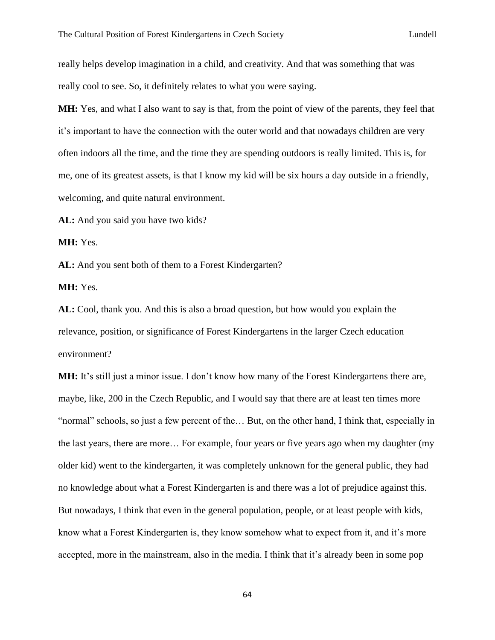really helps develop imagination in a child, and creativity. And that was something that was really cool to see. So, it definitely relates to what you were saying.

**MH:** Yes, and what I also want to say is that, from the point of view of the parents, they feel that it's important to have the connection with the outer world and that nowadays children are very often indoors all the time, and the time they are spending outdoors is really limited. This is, for me, one of its greatest assets, is that I know my kid will be six hours a day outside in a friendly, welcoming, and quite natural environment.

**AL:** And you said you have two kids?

**MH:** Yes.

**AL:** And you sent both of them to a Forest Kindergarten?

**MH:** Yes.

**AL:** Cool, thank you. And this is also a broad question, but how would you explain the relevance, position, or significance of Forest Kindergartens in the larger Czech education environment?

**MH:** It's still just a minor issue. I don't know how many of the Forest Kindergartens there are, maybe, like, 200 in the Czech Republic, and I would say that there are at least ten times more "normal" schools, so just a few percent of the… But, on the other hand, I think that, especially in the last years, there are more… For example, four years or five years ago when my daughter (my older kid) went to the kindergarten, it was completely unknown for the general public, they had no knowledge about what a Forest Kindergarten is and there was a lot of prejudice against this. But nowadays, I think that even in the general population, people, or at least people with kids, know what a Forest Kindergarten is, they know somehow what to expect from it, and it's more accepted, more in the mainstream, also in the media. I think that it's already been in some pop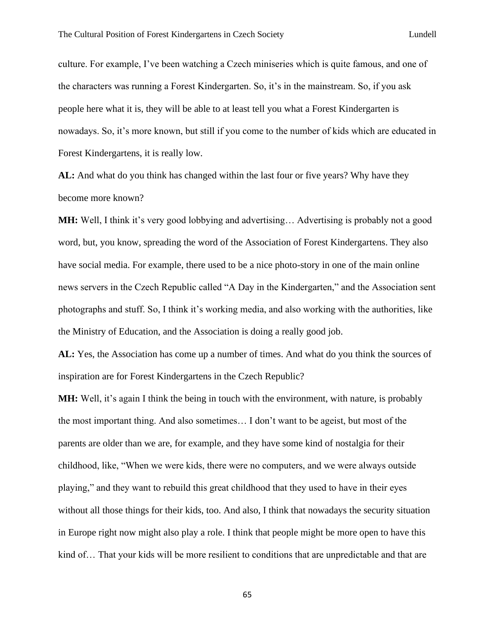culture. For example, I've been watching a Czech miniseries which is quite famous, and one of the characters was running a Forest Kindergarten. So, it's in the mainstream. So, if you ask people here what it is, they will be able to at least tell you what a Forest Kindergarten is nowadays. So, it's more known, but still if you come to the number of kids which are educated in Forest Kindergartens, it is really low.

**AL:** And what do you think has changed within the last four or five years? Why have they become more known?

**MH:** Well, I think it's very good lobbying and advertising… Advertising is probably not a good word, but, you know, spreading the word of the Association of Forest Kindergartens. They also have social media. For example, there used to be a nice photo-story in one of the main online news servers in the Czech Republic called "A Day in the Kindergarten," and the Association sent photographs and stuff. So, I think it's working media, and also working with the authorities, like the Ministry of Education, and the Association is doing a really good job.

**AL:** Yes, the Association has come up a number of times. And what do you think the sources of inspiration are for Forest Kindergartens in the Czech Republic?

**MH:** Well, it's again I think the being in touch with the environment, with nature, is probably the most important thing. And also sometimes… I don't want to be ageist, but most of the parents are older than we are, for example, and they have some kind of nostalgia for their childhood, like, "When we were kids, there were no computers, and we were always outside playing," and they want to rebuild this great childhood that they used to have in their eyes without all those things for their kids, too. And also, I think that nowadays the security situation in Europe right now might also play a role. I think that people might be more open to have this kind of… That your kids will be more resilient to conditions that are unpredictable and that are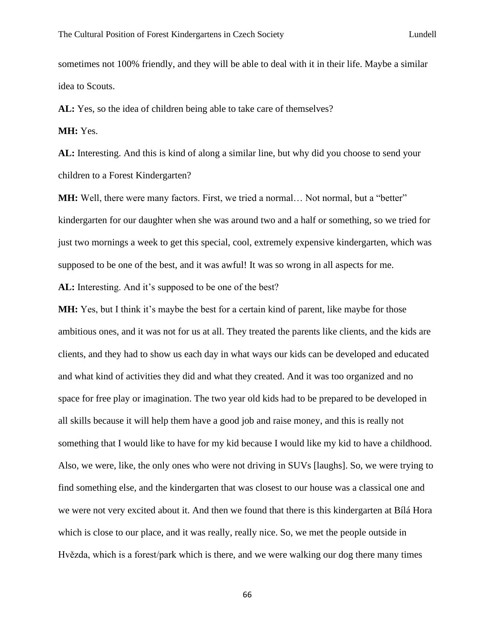sometimes not 100% friendly, and they will be able to deal with it in their life. Maybe a similar idea to Scouts.

AL: Yes, so the idea of children being able to take care of themselves?

**MH:** Yes.

**AL:** Interesting. And this is kind of along a similar line, but why did you choose to send your children to a Forest Kindergarten?

**MH:** Well, there were many factors. First, we tried a normal... Not normal, but a "better" kindergarten for our daughter when she was around two and a half or something, so we tried for just two mornings a week to get this special, cool, extremely expensive kindergarten, which was supposed to be one of the best, and it was awful! It was so wrong in all aspects for me.

**AL:** Interesting. And it's supposed to be one of the best?

**MH:** Yes, but I think it's maybe the best for a certain kind of parent, like maybe for those ambitious ones, and it was not for us at all. They treated the parents like clients, and the kids are clients, and they had to show us each day in what ways our kids can be developed and educated and what kind of activities they did and what they created. And it was too organized and no space for free play or imagination. The two year old kids had to be prepared to be developed in all skills because it will help them have a good job and raise money, and this is really not something that I would like to have for my kid because I would like my kid to have a childhood. Also, we were, like, the only ones who were not driving in SUVs [laughs]. So, we were trying to find something else, and the kindergarten that was closest to our house was a classical one and we were not very excited about it. And then we found that there is this kindergarten at Bílá Hora which is close to our place, and it was really, really nice. So, we met the people outside in Hvězda, which is a forest/park which is there, and we were walking our dog there many times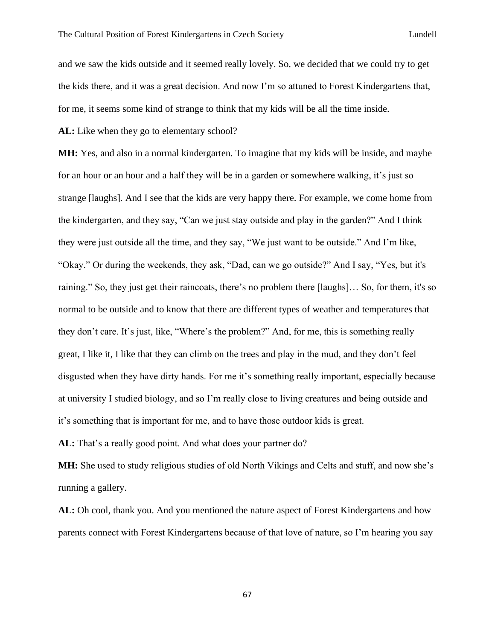and we saw the kids outside and it seemed really lovely. So, we decided that we could try to get the kids there, and it was a great decision. And now I'm so attuned to Forest Kindergartens that, for me, it seems some kind of strange to think that my kids will be all the time inside.

**AL:** Like when they go to elementary school?

**MH:** Yes, and also in a normal kindergarten. To imagine that my kids will be inside, and maybe for an hour or an hour and a half they will be in a garden or somewhere walking, it's just so strange [laughs]. And I see that the kids are very happy there. For example, we come home from the kindergarten, and they say, "Can we just stay outside and play in the garden?" And I think they were just outside all the time, and they say, "We just want to be outside." And I'm like, "Okay." Or during the weekends, they ask, "Dad, can we go outside?" And I say, "Yes, but it's raining." So, they just get their raincoats, there's no problem there [laughs]… So, for them, it's so normal to be outside and to know that there are different types of weather and temperatures that they don't care. It's just, like, "Where's the problem?" And, for me, this is something really great, I like it, I like that they can climb on the trees and play in the mud, and they don't feel disgusted when they have dirty hands. For me it's something really important, especially because at university I studied biology, and so I'm really close to living creatures and being outside and it's something that is important for me, and to have those outdoor kids is great.

**AL:** That's a really good point. And what does your partner do?

**MH:** She used to study religious studies of old North Vikings and Celts and stuff, and now she's running a gallery.

**AL:** Oh cool, thank you. And you mentioned the nature aspect of Forest Kindergartens and how parents connect with Forest Kindergartens because of that love of nature, so I'm hearing you say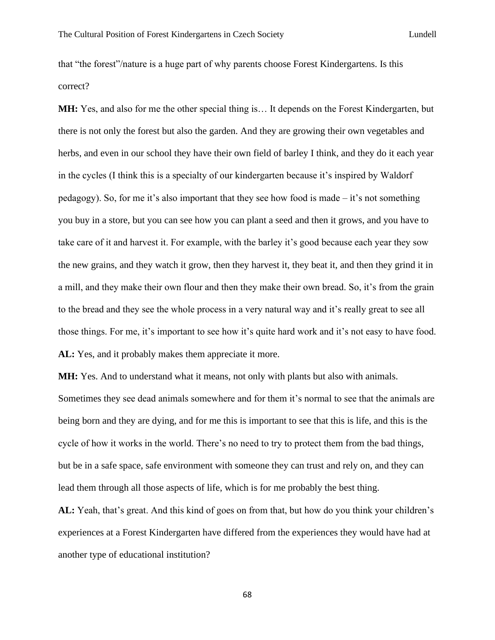that "the forest"/nature is a huge part of why parents choose Forest Kindergartens. Is this correct?

**MH:** Yes, and also for me the other special thing is… It depends on the Forest Kindergarten, but there is not only the forest but also the garden. And they are growing their own vegetables and herbs, and even in our school they have their own field of barley I think, and they do it each year in the cycles (I think this is a specialty of our kindergarten because it's inspired by Waldorf pedagogy). So, for me it's also important that they see how food is made – it's not something you buy in a store, but you can see how you can plant a seed and then it grows, and you have to take care of it and harvest it. For example, with the barley it's good because each year they sow the new grains, and they watch it grow, then they harvest it, they beat it, and then they grind it in a mill, and they make their own flour and then they make their own bread. So, it's from the grain to the bread and they see the whole process in a very natural way and it's really great to see all those things. For me, it's important to see how it's quite hard work and it's not easy to have food. **AL:** Yes, and it probably makes them appreciate it more.

**MH:** Yes. And to understand what it means, not only with plants but also with animals. Sometimes they see dead animals somewhere and for them it's normal to see that the animals are

being born and they are dying, and for me this is important to see that this is life, and this is the cycle of how it works in the world. There's no need to try to protect them from the bad things, but be in a safe space, safe environment with someone they can trust and rely on, and they can lead them through all those aspects of life, which is for me probably the best thing.

**AL:** Yeah, that's great. And this kind of goes on from that, but how do you think your children's experiences at a Forest Kindergarten have differed from the experiences they would have had at another type of educational institution?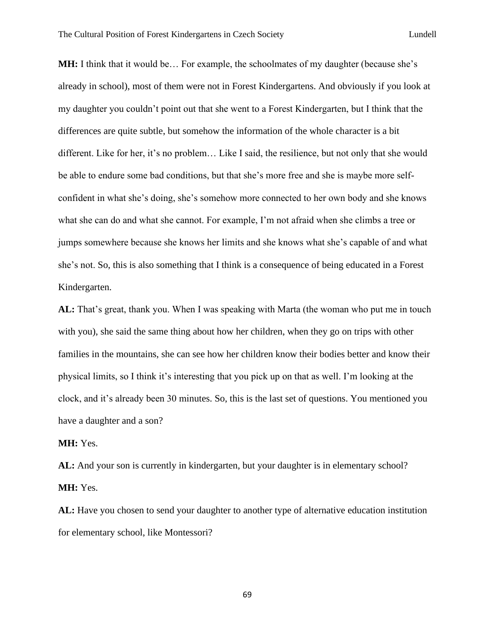**MH:** I think that it would be... For example, the schoolmates of my daughter (because she's already in school), most of them were not in Forest Kindergartens. And obviously if you look at my daughter you couldn't point out that she went to a Forest Kindergarten, but I think that the differences are quite subtle, but somehow the information of the whole character is a bit different. Like for her, it's no problem… Like I said, the resilience, but not only that she would be able to endure some bad conditions, but that she's more free and she is maybe more selfconfident in what she's doing, she's somehow more connected to her own body and she knows what she can do and what she cannot. For example, I'm not afraid when she climbs a tree or jumps somewhere because she knows her limits and she knows what she's capable of and what she's not. So, this is also something that I think is a consequence of being educated in a Forest Kindergarten.

**AL:** That's great, thank you. When I was speaking with Marta (the woman who put me in touch with you), she said the same thing about how her children, when they go on trips with other families in the mountains, she can see how her children know their bodies better and know their physical limits, so I think it's interesting that you pick up on that as well. I'm looking at the clock, and it's already been 30 minutes. So, this is the last set of questions. You mentioned you have a daughter and a son?

## **MH:** Yes.

AL: And your son is currently in kindergarten, but your daughter is in elementary school? **MH:** Yes.

**AL:** Have you chosen to send your daughter to another type of alternative education institution for elementary school, like Montessori?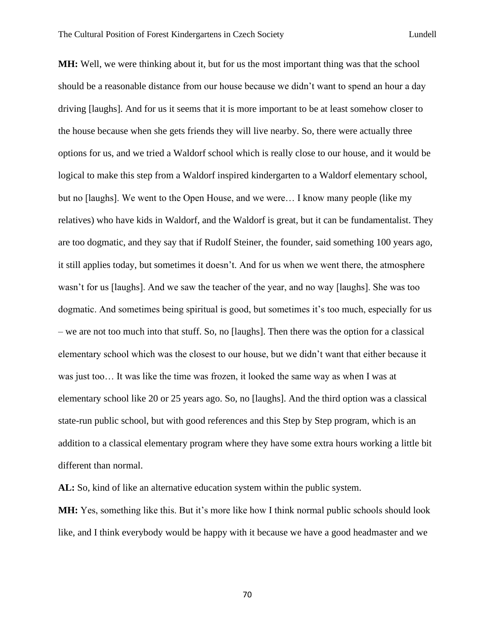**MH:** Well, we were thinking about it, but for us the most important thing was that the school should be a reasonable distance from our house because we didn't want to spend an hour a day driving [laughs]. And for us it seems that it is more important to be at least somehow closer to the house because when she gets friends they will live nearby. So, there were actually three options for us, and we tried a Waldorf school which is really close to our house, and it would be logical to make this step from a Waldorf inspired kindergarten to a Waldorf elementary school, but no [laughs]. We went to the Open House, and we were… I know many people (like my relatives) who have kids in Waldorf, and the Waldorf is great, but it can be fundamentalist. They are too dogmatic, and they say that if Rudolf Steiner, the founder, said something 100 years ago, it still applies today, but sometimes it doesn't. And for us when we went there, the atmosphere wasn't for us [laughs]. And we saw the teacher of the year, and no way [laughs]. She was too dogmatic. And sometimes being spiritual is good, but sometimes it's too much, especially for us – we are not too much into that stuff. So, no [laughs]. Then there was the option for a classical elementary school which was the closest to our house, but we didn't want that either because it was just too… It was like the time was frozen, it looked the same way as when I was at elementary school like 20 or 25 years ago. So, no [laughs]. And the third option was a classical state-run public school, but with good references and this Step by Step program, which is an addition to a classical elementary program where they have some extra hours working a little bit different than normal.

**AL:** So, kind of like an alternative education system within the public system.

**MH:** Yes, something like this. But it's more like how I think normal public schools should look like, and I think everybody would be happy with it because we have a good headmaster and we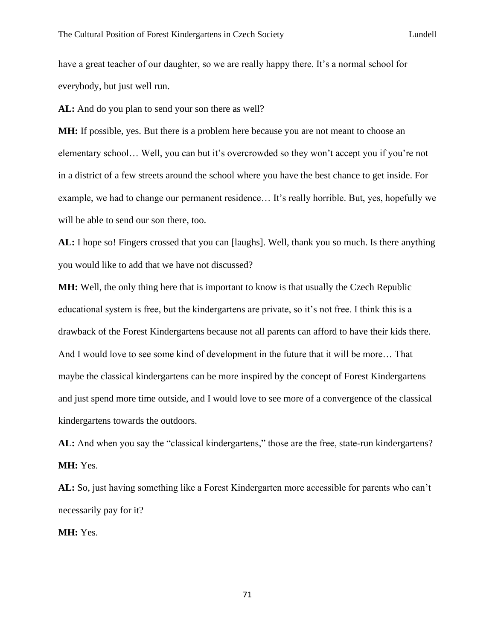have a great teacher of our daughter, so we are really happy there. It's a normal school for everybody, but just well run.

**AL:** And do you plan to send your son there as well?

**MH:** If possible, yes. But there is a problem here because you are not meant to choose an elementary school… Well, you can but it's overcrowded so they won't accept you if you're not in a district of a few streets around the school where you have the best chance to get inside. For example, we had to change our permanent residence… It's really horrible. But, yes, hopefully we will be able to send our son there, too.

**AL:** I hope so! Fingers crossed that you can [laughs]. Well, thank you so much. Is there anything you would like to add that we have not discussed?

**MH:** Well, the only thing here that is important to know is that usually the Czech Republic educational system is free, but the kindergartens are private, so it's not free. I think this is a drawback of the Forest Kindergartens because not all parents can afford to have their kids there. And I would love to see some kind of development in the future that it will be more… That maybe the classical kindergartens can be more inspired by the concept of Forest Kindergartens and just spend more time outside, and I would love to see more of a convergence of the classical kindergartens towards the outdoors.

AL: And when you say the "classical kindergartens," those are the free, state-run kindergartens? **MH:** Yes.

**AL:** So, just having something like a Forest Kindergarten more accessible for parents who can't necessarily pay for it?

**MH:** Yes.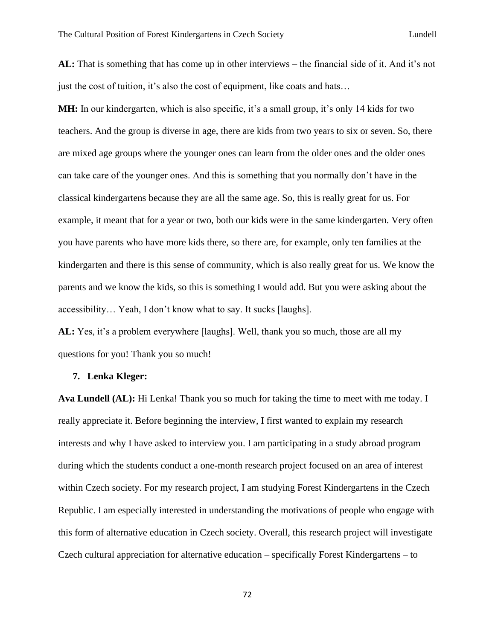**AL:** That is something that has come up in other interviews – the financial side of it. And it's not just the cost of tuition, it's also the cost of equipment, like coats and hats…

**MH:** In our kindergarten, which is also specific, it's a small group, it's only 14 kids for two teachers. And the group is diverse in age, there are kids from two years to six or seven. So, there are mixed age groups where the younger ones can learn from the older ones and the older ones can take care of the younger ones. And this is something that you normally don't have in the classical kindergartens because they are all the same age. So, this is really great for us. For example, it meant that for a year or two, both our kids were in the same kindergarten. Very often you have parents who have more kids there, so there are, for example, only ten families at the kindergarten and there is this sense of community, which is also really great for us. We know the parents and we know the kids, so this is something I would add. But you were asking about the accessibility… Yeah, I don't know what to say. It sucks [laughs].

**AL:** Yes, it's a problem everywhere [laughs]. Well, thank you so much, those are all my questions for you! Thank you so much!

## **7. Lenka Kleger:**

**Ava Lundell (AL):** Hi Lenka! Thank you so much for taking the time to meet with me today. I really appreciate it. Before beginning the interview, I first wanted to explain my research interests and why I have asked to interview you. I am participating in a study abroad program during which the students conduct a one-month research project focused on an area of interest within Czech society. For my research project, I am studying Forest Kindergartens in the Czech Republic. I am especially interested in understanding the motivations of people who engage with this form of alternative education in Czech society. Overall, this research project will investigate Czech cultural appreciation for alternative education – specifically Forest Kindergartens – to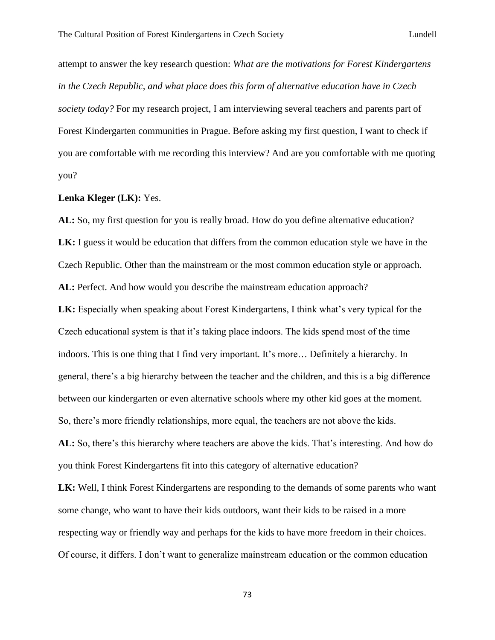attempt to answer the key research question: *What are the motivations for Forest Kindergartens in the Czech Republic, and what place does this form of alternative education have in Czech society today?* For my research project, I am interviewing several teachers and parents part of Forest Kindergarten communities in Prague. Before asking my first question, I want to check if you are comfortable with me recording this interview? And are you comfortable with me quoting you?

## **Lenka Kleger (LK):** Yes.

**AL:** So, my first question for you is really broad. How do you define alternative education? **LK:** I guess it would be education that differs from the common education style we have in the Czech Republic. Other than the mainstream or the most common education style or approach. **AL:** Perfect. And how would you describe the mainstream education approach?

**LK:** Especially when speaking about Forest Kindergartens, I think what's very typical for the Czech educational system is that it's taking place indoors. The kids spend most of the time indoors. This is one thing that I find very important. It's more… Definitely a hierarchy. In general, there's a big hierarchy between the teacher and the children, and this is a big difference between our kindergarten or even alternative schools where my other kid goes at the moment. So, there's more friendly relationships, more equal, the teachers are not above the kids.

**AL:** So, there's this hierarchy where teachers are above the kids. That's interesting. And how do you think Forest Kindergartens fit into this category of alternative education?

**LK:** Well, I think Forest Kindergartens are responding to the demands of some parents who want some change, who want to have their kids outdoors, want their kids to be raised in a more respecting way or friendly way and perhaps for the kids to have more freedom in their choices. Of course, it differs. I don't want to generalize mainstream education or the common education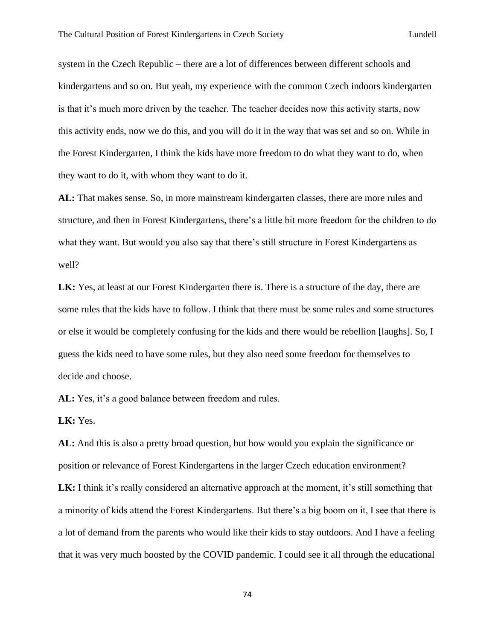system in the Czech Republic – there are a lot of differences between different schools and kindergartens and so on. But yeah, my experience with the common Czech indoors kindergarten is that it's much more driven by the teacher. The teacher decides now this activity starts, now this activity ends, now we do this, and you will do it in the way that was set and so on. While in the Forest Kindergarten, I think the kids have more freedom to do what they want to do, when they want to do it, with whom they want to do it.

**AL:** That makes sense. So, in more mainstream kindergarten classes, there are more rules and structure, and then in Forest Kindergartens, there's a little bit more freedom for the children to do what they want. But would you also say that there's still structure in Forest Kindergartens as well?

LK: Yes, at least at our Forest Kindergarten there is. There is a structure of the day, there are some rules that the kids have to follow. I think that there must be some rules and some structures or else it would be completely confusing for the kids and there would be rebellion [laughs]. So, I guess the kids need to have some rules, but they also need some freedom for themselves to decide and choose.

AL: Yes, it's a good balance between freedom and rules.

**LK:** Yes.

**AL:** And this is also a pretty broad question, but how would you explain the significance or position or relevance of Forest Kindergartens in the larger Czech education environment? **LK:** I think it's really considered an alternative approach at the moment, it's still something that a minority of kids attend the Forest Kindergartens. But there's a big boom on it, I see that there is a lot of demand from the parents who would like their kids to stay outdoors. And I have a feeling that it was very much boosted by the COVID pandemic. I could see it all through the educational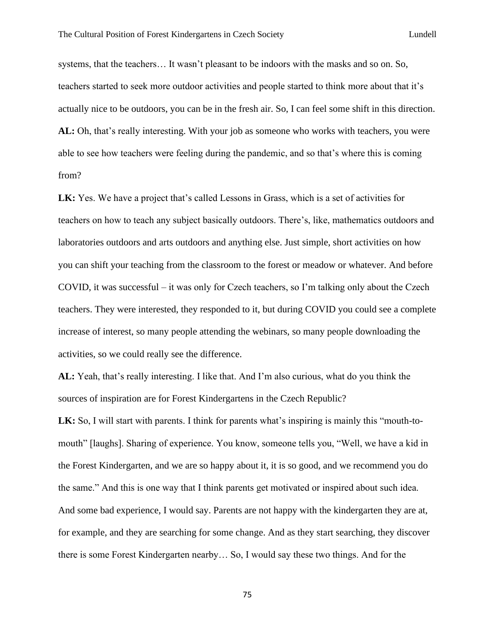systems, that the teachers… It wasn't pleasant to be indoors with the masks and so on. So, teachers started to seek more outdoor activities and people started to think more about that it's actually nice to be outdoors, you can be in the fresh air. So, I can feel some shift in this direction. **AL:** Oh, that's really interesting. With your job as someone who works with teachers, you were able to see how teachers were feeling during the pandemic, and so that's where this is coming from?

**LK:** Yes. We have a project that's called Lessons in Grass, which is a set of activities for teachers on how to teach any subject basically outdoors. There's, like, mathematics outdoors and laboratories outdoors and arts outdoors and anything else. Just simple, short activities on how you can shift your teaching from the classroom to the forest or meadow or whatever. And before COVID, it was successful – it was only for Czech teachers, so I'm talking only about the Czech teachers. They were interested, they responded to it, but during COVID you could see a complete increase of interest, so many people attending the webinars, so many people downloading the activities, so we could really see the difference.

**AL:** Yeah, that's really interesting. I like that. And I'm also curious, what do you think the sources of inspiration are for Forest Kindergartens in the Czech Republic?

**LK:** So, I will start with parents. I think for parents what's inspiring is mainly this "mouth-tomouth" [laughs]. Sharing of experience. You know, someone tells you, "Well, we have a kid in the Forest Kindergarten, and we are so happy about it, it is so good, and we recommend you do the same." And this is one way that I think parents get motivated or inspired about such idea. And some bad experience, I would say. Parents are not happy with the kindergarten they are at, for example, and they are searching for some change. And as they start searching, they discover there is some Forest Kindergarten nearby… So, I would say these two things. And for the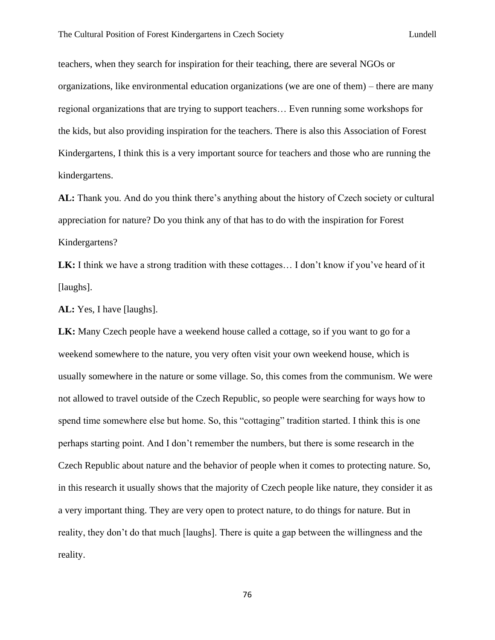teachers, when they search for inspiration for their teaching, there are several NGOs or organizations, like environmental education organizations (we are one of them) – there are many regional organizations that are trying to support teachers… Even running some workshops for the kids, but also providing inspiration for the teachers. There is also this Association of Forest Kindergartens, I think this is a very important source for teachers and those who are running the kindergartens.

**AL:** Thank you. And do you think there's anything about the history of Czech society or cultural appreciation for nature? Do you think any of that has to do with the inspiration for Forest Kindergartens?

LK: I think we have a strong tradition with these cottages... I don't know if you've heard of it [laughs].

**AL:** Yes, I have [laughs].

**LK:** Many Czech people have a weekend house called a cottage, so if you want to go for a weekend somewhere to the nature, you very often visit your own weekend house, which is usually somewhere in the nature or some village. So, this comes from the communism. We were not allowed to travel outside of the Czech Republic, so people were searching for ways how to spend time somewhere else but home. So, this "cottaging" tradition started. I think this is one perhaps starting point. And I don't remember the numbers, but there is some research in the Czech Republic about nature and the behavior of people when it comes to protecting nature. So, in this research it usually shows that the majority of Czech people like nature, they consider it as a very important thing. They are very open to protect nature, to do things for nature. But in reality, they don't do that much [laughs]. There is quite a gap between the willingness and the reality.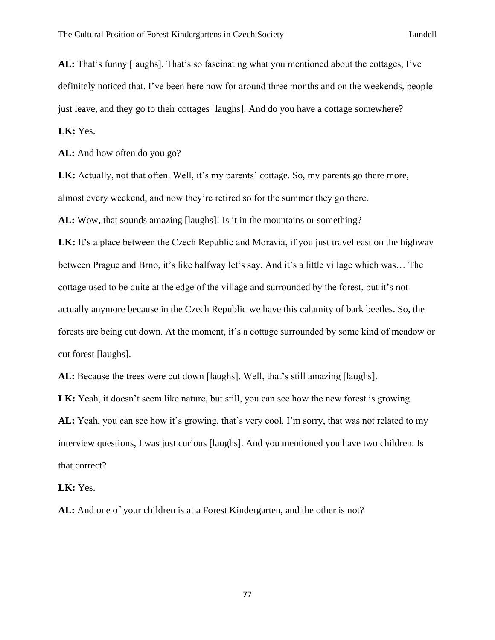**AL:** That's funny [laughs]. That's so fascinating what you mentioned about the cottages, I've definitely noticed that. I've been here now for around three months and on the weekends, people just leave, and they go to their cottages [laughs]. And do you have a cottage somewhere? **LK:** Yes.

**AL:** And how often do you go?

**LK:** Actually, not that often. Well, it's my parents' cottage. So, my parents go there more, almost every weekend, and now they're retired so for the summer they go there.

**AL:** Wow, that sounds amazing [laughs]! Is it in the mountains or something?

LK: It's a place between the Czech Republic and Moravia, if you just travel east on the highway between Prague and Brno, it's like halfway let's say. And it's a little village which was… The cottage used to be quite at the edge of the village and surrounded by the forest, but it's not actually anymore because in the Czech Republic we have this calamity of bark beetles. So, the forests are being cut down. At the moment, it's a cottage surrounded by some kind of meadow or cut forest [laughs].

**AL:** Because the trees were cut down [laughs]. Well, that's still amazing [laughs].

**LK:** Yeah, it doesn't seem like nature, but still, you can see how the new forest is growing. **AL:** Yeah, you can see how it's growing, that's very cool. I'm sorry, that was not related to my interview questions, I was just curious [laughs]. And you mentioned you have two children. Is that correct?

**LK:** Yes.

**AL:** And one of your children is at a Forest Kindergarten, and the other is not?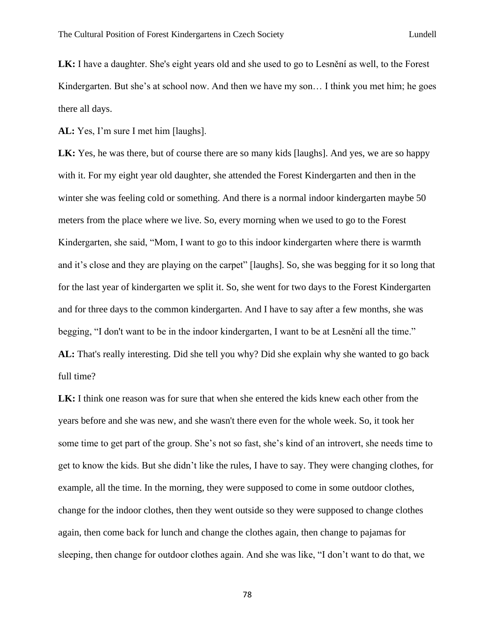**LK:** I have a daughter. She's eight years old and she used to go to Lesnění as well, to the Forest Kindergarten. But she's at school now. And then we have my son... I think you met him; he goes there all days.

**AL:** Yes, I'm sure I met him [laughs].

**LK:** Yes, he was there, but of course there are so many kids [laughs]. And yes, we are so happy with it. For my eight year old daughter, she attended the Forest Kindergarten and then in the winter she was feeling cold or something. And there is a normal indoor kindergarten maybe 50 meters from the place where we live. So, every morning when we used to go to the Forest Kindergarten, she said, "Mom, I want to go to this indoor kindergarten where there is warmth and it's close and they are playing on the carpet" [laughs]. So, she was begging for it so long that for the last year of kindergarten we split it. So, she went for two days to the Forest Kindergarten and for three days to the common kindergarten. And I have to say after a few months, she was begging, "I don't want to be in the indoor kindergarten, I want to be at Lesnění all the time." **AL:** That's really interesting. Did she tell you why? Did she explain why she wanted to go back full time?

**LK:** I think one reason was for sure that when she entered the kids knew each other from the years before and she was new, and she wasn't there even for the whole week. So, it took her some time to get part of the group. She's not so fast, she's kind of an introvert, she needs time to get to know the kids. But she didn't like the rules, I have to say. They were changing clothes, for example, all the time. In the morning, they were supposed to come in some outdoor clothes, change for the indoor clothes, then they went outside so they were supposed to change clothes again, then come back for lunch and change the clothes again, then change to pajamas for sleeping, then change for outdoor clothes again. And she was like, "I don't want to do that, we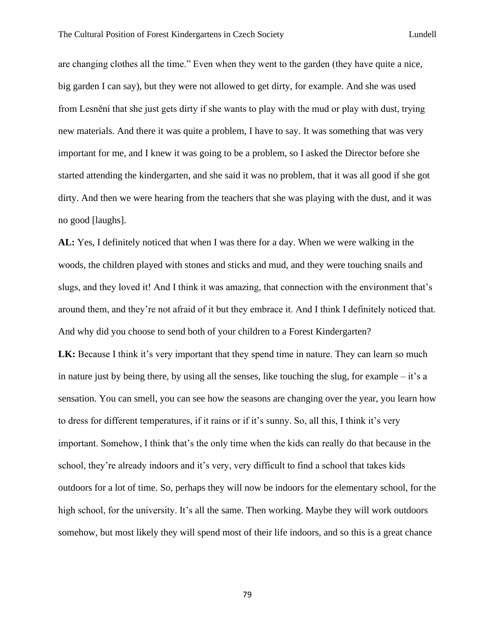are changing clothes all the time." Even when they went to the garden (they have quite a nice, big garden I can say), but they were not allowed to get dirty, for example. And she was used from Lesnění that she just gets dirty if she wants to play with the mud or play with dust, trying new materials. And there it was quite a problem, I have to say. It was something that was very important for me, and I knew it was going to be a problem, so I asked the Director before she started attending the kindergarten, and she said it was no problem, that it was all good if she got dirty. And then we were hearing from the teachers that she was playing with the dust, and it was no good [laughs].

**AL:** Yes, I definitely noticed that when I was there for a day. When we were walking in the woods, the children played with stones and sticks and mud, and they were touching snails and slugs, and they loved it! And I think it was amazing, that connection with the environment that's around them, and they're not afraid of it but they embrace it. And I think I definitely noticed that. And why did you choose to send both of your children to a Forest Kindergarten?

**LK:** Because I think it's very important that they spend time in nature. They can learn so much in nature just by being there, by using all the senses, like touching the slug, for example – it's a sensation. You can smell, you can see how the seasons are changing over the year, you learn how to dress for different temperatures, if it rains or if it's sunny. So, all this, I think it's very important. Somehow, I think that's the only time when the kids can really do that because in the school, they're already indoors and it's very, very difficult to find a school that takes kids outdoors for a lot of time. So, perhaps they will now be indoors for the elementary school, for the high school, for the university. It's all the same. Then working. Maybe they will work outdoors somehow, but most likely they will spend most of their life indoors, and so this is a great chance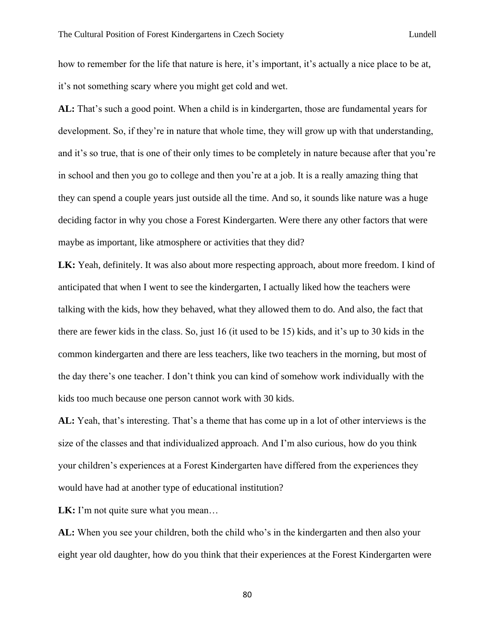how to remember for the life that nature is here, it's important, it's actually a nice place to be at, it's not something scary where you might get cold and wet.

**AL:** That's such a good point. When a child is in kindergarten, those are fundamental years for development. So, if they're in nature that whole time, they will grow up with that understanding, and it's so true, that is one of their only times to be completely in nature because after that you're in school and then you go to college and then you're at a job. It is a really amazing thing that they can spend a couple years just outside all the time. And so, it sounds like nature was a huge deciding factor in why you chose a Forest Kindergarten. Were there any other factors that were maybe as important, like atmosphere or activities that they did?

**LK:** Yeah, definitely. It was also about more respecting approach, about more freedom. I kind of anticipated that when I went to see the kindergarten, I actually liked how the teachers were talking with the kids, how they behaved, what they allowed them to do. And also, the fact that there are fewer kids in the class. So, just 16 (it used to be 15) kids, and it's up to 30 kids in the common kindergarten and there are less teachers, like two teachers in the morning, but most of the day there's one teacher. I don't think you can kind of somehow work individually with the kids too much because one person cannot work with 30 kids.

**AL:** Yeah, that's interesting. That's a theme that has come up in a lot of other interviews is the size of the classes and that individualized approach. And I'm also curious, how do you think your children's experiences at a Forest Kindergarten have differed from the experiences they would have had at another type of educational institution?

**LK:** I'm not quite sure what you mean...

**AL:** When you see your children, both the child who's in the kindergarten and then also your eight year old daughter, how do you think that their experiences at the Forest Kindergarten were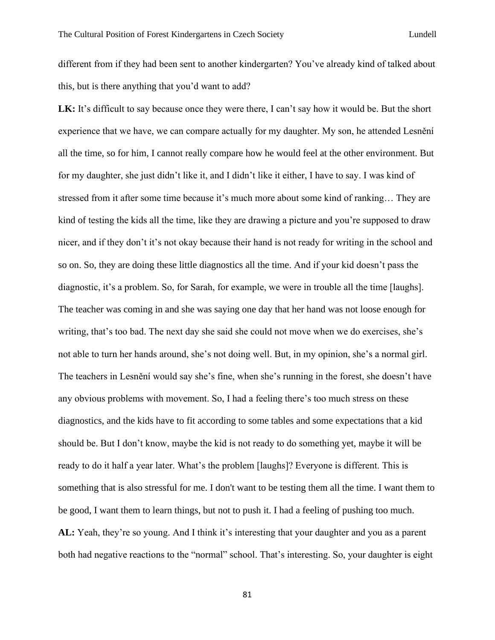different from if they had been sent to another kindergarten? You've already kind of talked about this, but is there anything that you'd want to add?

LK: It's difficult to say because once they were there, I can't say how it would be. But the short experience that we have, we can compare actually for my daughter. My son, he attended Lesnění all the time, so for him, I cannot really compare how he would feel at the other environment. But for my daughter, she just didn't like it, and I didn't like it either, I have to say. I was kind of stressed from it after some time because it's much more about some kind of ranking… They are kind of testing the kids all the time, like they are drawing a picture and you're supposed to draw nicer, and if they don't it's not okay because their hand is not ready for writing in the school and so on. So, they are doing these little diagnostics all the time. And if your kid doesn't pass the diagnostic, it's a problem. So, for Sarah, for example, we were in trouble all the time [laughs]. The teacher was coming in and she was saying one day that her hand was not loose enough for writing, that's too bad. The next day she said she could not move when we do exercises, she's not able to turn her hands around, she's not doing well. But, in my opinion, she's a normal girl. The teachers in Lesnění would say she's fine, when she's running in the forest, she doesn't have any obvious problems with movement. So, I had a feeling there's too much stress on these diagnostics, and the kids have to fit according to some tables and some expectations that a kid should be. But I don't know, maybe the kid is not ready to do something yet, maybe it will be ready to do it half a year later. What's the problem [laughs]? Everyone is different. This is something that is also stressful for me. I don't want to be testing them all the time. I want them to be good, I want them to learn things, but not to push it. I had a feeling of pushing too much. **AL:** Yeah, they're so young. And I think it's interesting that your daughter and you as a parent both had negative reactions to the "normal" school. That's interesting. So, your daughter is eight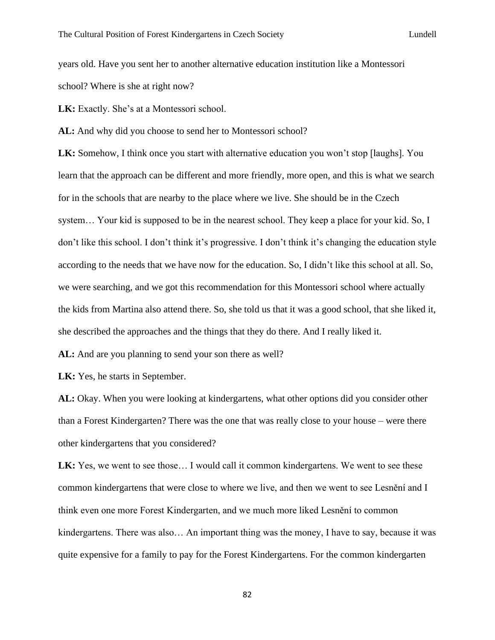years old. Have you sent her to another alternative education institution like a Montessori school? Where is she at right now?

**LK:** Exactly. She's at a Montessori school.

**AL:** And why did you choose to send her to Montessori school?

**LK:** Somehow, I think once you start with alternative education you won't stop [laughs]. You learn that the approach can be different and more friendly, more open, and this is what we search for in the schools that are nearby to the place where we live. She should be in the Czech system… Your kid is supposed to be in the nearest school. They keep a place for your kid. So, I don't like this school. I don't think it's progressive. I don't think it's changing the education style according to the needs that we have now for the education. So, I didn't like this school at all. So, we were searching, and we got this recommendation for this Montessori school where actually the kids from Martina also attend there. So, she told us that it was a good school, that she liked it, she described the approaches and the things that they do there. And I really liked it.

**AL:** And are you planning to send your son there as well?

**LK:** Yes, he starts in September.

**AL:** Okay. When you were looking at kindergartens, what other options did you consider other than a Forest Kindergarten? There was the one that was really close to your house – were there other kindergartens that you considered?

LK: Yes, we went to see those... I would call it common kindergartens. We went to see these common kindergartens that were close to where we live, and then we went to see Lesnění and I think even one more Forest Kindergarten, and we much more liked Lesnění to common kindergartens. There was also… An important thing was the money, I have to say, because it was quite expensive for a family to pay for the Forest Kindergartens. For the common kindergarten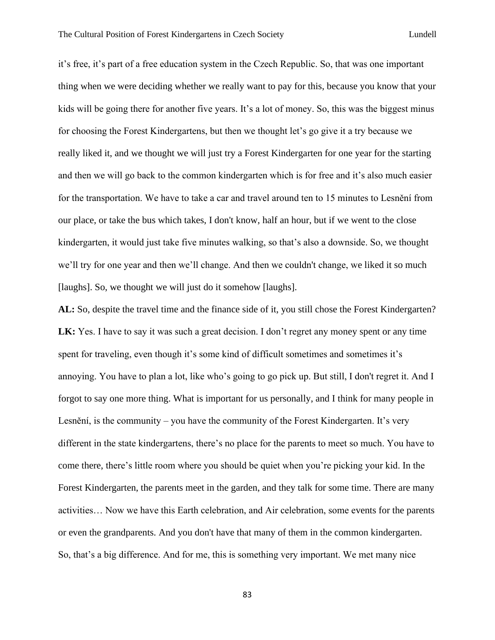it's free, it's part of a free education system in the Czech Republic. So, that was one important thing when we were deciding whether we really want to pay for this, because you know that your kids will be going there for another five years. It's a lot of money. So, this was the biggest minus for choosing the Forest Kindergartens, but then we thought let's go give it a try because we really liked it, and we thought we will just try a Forest Kindergarten for one year for the starting and then we will go back to the common kindergarten which is for free and it's also much easier for the transportation. We have to take a car and travel around ten to 15 minutes to Lesnění from our place, or take the bus which takes, I don't know, half an hour, but if we went to the close kindergarten, it would just take five minutes walking, so that's also a downside. So, we thought we'll try for one year and then we'll change. And then we couldn't change, we liked it so much [laughs]. So, we thought we will just do it somehow [laughs].

**AL:** So, despite the travel time and the finance side of it, you still chose the Forest Kindergarten? **LK:** Yes. I have to say it was such a great decision. I don't regret any money spent or any time spent for traveling, even though it's some kind of difficult sometimes and sometimes it's annoying. You have to plan a lot, like who's going to go pick up. But still, I don't regret it. And I forgot to say one more thing. What is important for us personally, and I think for many people in Lesnění, is the community – you have the community of the Forest Kindergarten. It's very different in the state kindergartens, there's no place for the parents to meet so much. You have to come there, there's little room where you should be quiet when you're picking your kid. In the Forest Kindergarten, the parents meet in the garden, and they talk for some time. There are many activities… Now we have this Earth celebration, and Air celebration, some events for the parents or even the grandparents. And you don't have that many of them in the common kindergarten. So, that's a big difference. And for me, this is something very important. We met many nice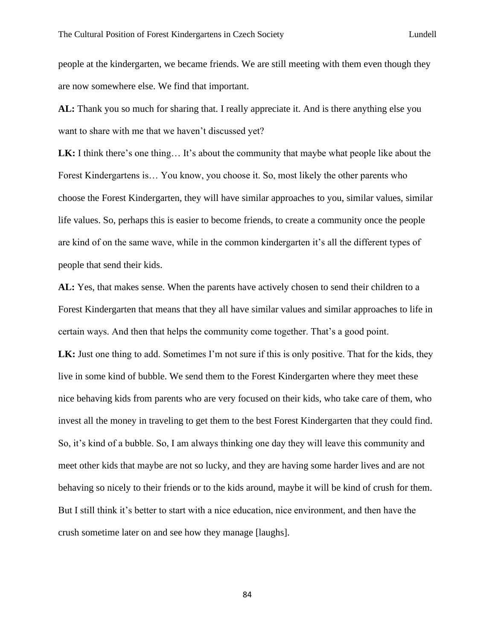people at the kindergarten, we became friends. We are still meeting with them even though they are now somewhere else. We find that important.

**AL:** Thank you so much for sharing that. I really appreciate it. And is there anything else you want to share with me that we haven't discussed yet?

**LK:** I think there's one thing... It's about the community that maybe what people like about the Forest Kindergartens is… You know, you choose it. So, most likely the other parents who choose the Forest Kindergarten, they will have similar approaches to you, similar values, similar life values. So, perhaps this is easier to become friends, to create a community once the people are kind of on the same wave, while in the common kindergarten it's all the different types of people that send their kids.

**AL:** Yes, that makes sense. When the parents have actively chosen to send their children to a Forest Kindergarten that means that they all have similar values and similar approaches to life in certain ways. And then that helps the community come together. That's a good point. **LK:** Just one thing to add. Sometimes I'm not sure if this is only positive. That for the kids, they live in some kind of bubble. We send them to the Forest Kindergarten where they meet these nice behaving kids from parents who are very focused on their kids, who take care of them, who invest all the money in traveling to get them to the best Forest Kindergarten that they could find. So, it's kind of a bubble. So, I am always thinking one day they will leave this community and meet other kids that maybe are not so lucky, and they are having some harder lives and are not behaving so nicely to their friends or to the kids around, maybe it will be kind of crush for them. But I still think it's better to start with a nice education, nice environment, and then have the crush sometime later on and see how they manage [laughs].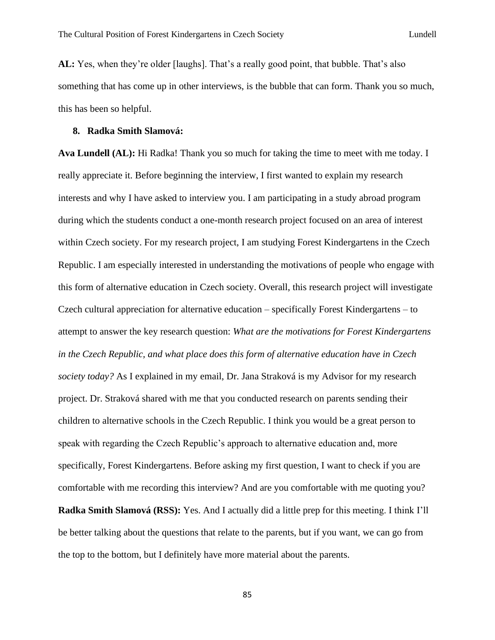**AL:** Yes, when they're older [laughs]. That's a really good point, that bubble. That's also something that has come up in other interviews, is the bubble that can form. Thank you so much, this has been so helpful.

## **8. Radka Smith Slamová:**

**Ava Lundell (AL):** Hi Radka! Thank you so much for taking the time to meet with me today. I really appreciate it. Before beginning the interview, I first wanted to explain my research interests and why I have asked to interview you. I am participating in a study abroad program during which the students conduct a one-month research project focused on an area of interest within Czech society. For my research project, I am studying Forest Kindergartens in the Czech Republic. I am especially interested in understanding the motivations of people who engage with this form of alternative education in Czech society. Overall, this research project will investigate Czech cultural appreciation for alternative education – specifically Forest Kindergartens – to attempt to answer the key research question: *What are the motivations for Forest Kindergartens in the Czech Republic, and what place does this form of alternative education have in Czech society today?* As I explained in my email, Dr. Jana Straková is my Advisor for my research project. Dr. Straková shared with me that you conducted research on parents sending their children to alternative schools in the Czech Republic. I think you would be a great person to speak with regarding the Czech Republic's approach to alternative education and, more specifically, Forest Kindergartens. Before asking my first question, I want to check if you are comfortable with me recording this interview? And are you comfortable with me quoting you? **Radka Smith Slamová (RSS):** Yes. And I actually did a little prep for this meeting. I think I'll be better talking about the questions that relate to the parents, but if you want, we can go from the top to the bottom, but I definitely have more material about the parents.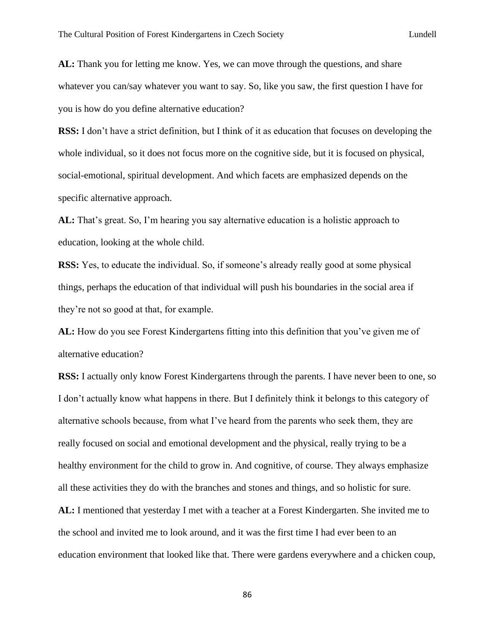**AL:** Thank you for letting me know. Yes, we can move through the questions, and share whatever you can/say whatever you want to say. So, like you saw, the first question I have for you is how do you define alternative education?

**RSS:** I don't have a strict definition, but I think of it as education that focuses on developing the whole individual, so it does not focus more on the cognitive side, but it is focused on physical, social-emotional, spiritual development. And which facets are emphasized depends on the specific alternative approach.

**AL:** That's great. So, I'm hearing you say alternative education is a holistic approach to education, looking at the whole child.

**RSS:** Yes, to educate the individual. So, if someone's already really good at some physical things, perhaps the education of that individual will push his boundaries in the social area if they're not so good at that, for example.

**AL:** How do you see Forest Kindergartens fitting into this definition that you've given me of alternative education?

**RSS:** I actually only know Forest Kindergartens through the parents. I have never been to one, so I don't actually know what happens in there. But I definitely think it belongs to this category of alternative schools because, from what I've heard from the parents who seek them, they are really focused on social and emotional development and the physical, really trying to be a healthy environment for the child to grow in. And cognitive, of course. They always emphasize all these activities they do with the branches and stones and things, and so holistic for sure.

**AL:** I mentioned that yesterday I met with a teacher at a Forest Kindergarten. She invited me to the school and invited me to look around, and it was the first time I had ever been to an education environment that looked like that. There were gardens everywhere and a chicken coup,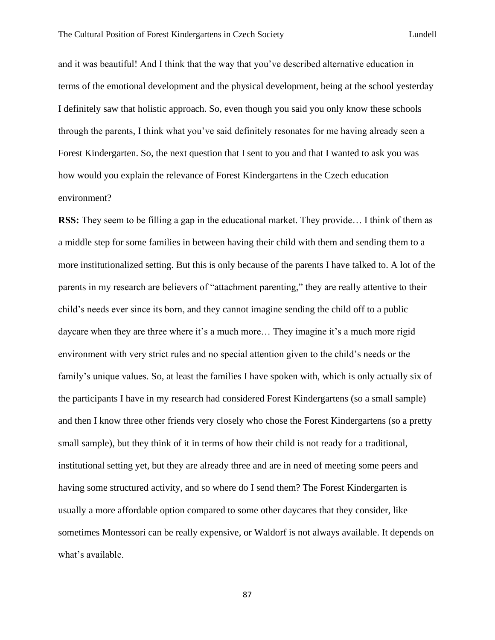and it was beautiful! And I think that the way that you've described alternative education in terms of the emotional development and the physical development, being at the school yesterday I definitely saw that holistic approach. So, even though you said you only know these schools through the parents, I think what you've said definitely resonates for me having already seen a Forest Kindergarten. So, the next question that I sent to you and that I wanted to ask you was how would you explain the relevance of Forest Kindergartens in the Czech education environment?

**RSS:** They seem to be filling a gap in the educational market. They provide... I think of them as a middle step for some families in between having their child with them and sending them to a more institutionalized setting. But this is only because of the parents I have talked to. A lot of the parents in my research are believers of "attachment parenting," they are really attentive to their child's needs ever since its born, and they cannot imagine sending the child off to a public daycare when they are three where it's a much more… They imagine it's a much more rigid environment with very strict rules and no special attention given to the child's needs or the family's unique values. So, at least the families I have spoken with, which is only actually six of the participants I have in my research had considered Forest Kindergartens (so a small sample) and then I know three other friends very closely who chose the Forest Kindergartens (so a pretty small sample), but they think of it in terms of how their child is not ready for a traditional, institutional setting yet, but they are already three and are in need of meeting some peers and having some structured activity, and so where do I send them? The Forest Kindergarten is usually a more affordable option compared to some other daycares that they consider, like sometimes Montessori can be really expensive, or Waldorf is not always available. It depends on what's available.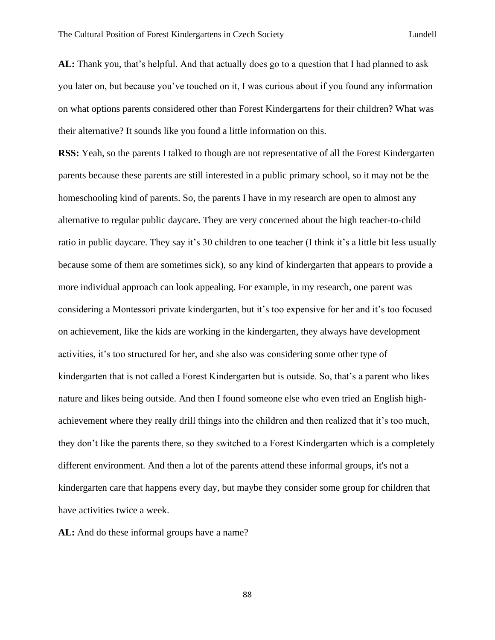**AL:** Thank you, that's helpful. And that actually does go to a question that I had planned to ask you later on, but because you've touched on it, I was curious about if you found any information on what options parents considered other than Forest Kindergartens for their children? What was their alternative? It sounds like you found a little information on this.

**RSS:** Yeah, so the parents I talked to though are not representative of all the Forest Kindergarten parents because these parents are still interested in a public primary school, so it may not be the homeschooling kind of parents. So, the parents I have in my research are open to almost any alternative to regular public daycare. They are very concerned about the high teacher-to-child ratio in public daycare. They say it's 30 children to one teacher (I think it's a little bit less usually because some of them are sometimes sick), so any kind of kindergarten that appears to provide a more individual approach can look appealing. For example, in my research, one parent was considering a Montessori private kindergarten, but it's too expensive for her and it's too focused on achievement, like the kids are working in the kindergarten, they always have development activities, it's too structured for her, and she also was considering some other type of kindergarten that is not called a Forest Kindergarten but is outside. So, that's a parent who likes nature and likes being outside. And then I found someone else who even tried an English highachievement where they really drill things into the children and then realized that it's too much, they don't like the parents there, so they switched to a Forest Kindergarten which is a completely different environment. And then a lot of the parents attend these informal groups, it's not a kindergarten care that happens every day, but maybe they consider some group for children that have activities twice a week.

AL: And do these informal groups have a name?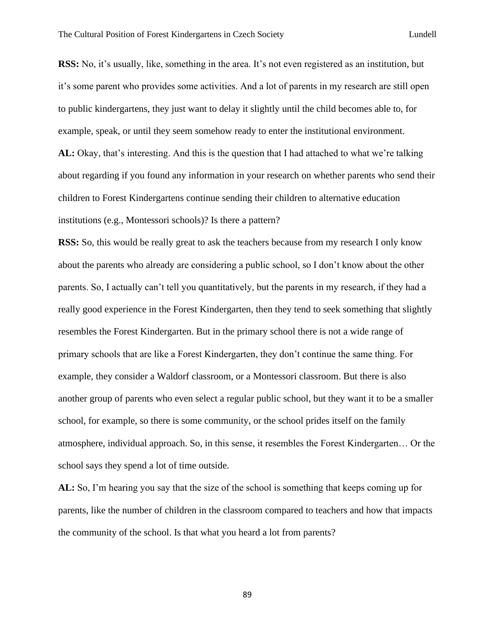**RSS:** No, it's usually, like, something in the area. It's not even registered as an institution, but it's some parent who provides some activities. And a lot of parents in my research are still open to public kindergartens, they just want to delay it slightly until the child becomes able to, for example, speak, or until they seem somehow ready to enter the institutional environment. **AL:** Okay, that's interesting. And this is the question that I had attached to what we're talking about regarding if you found any information in your research on whether parents who send their children to Forest Kindergartens continue sending their children to alternative education institutions (e.g., Montessori schools)? Is there a pattern?

**RSS:** So, this would be really great to ask the teachers because from my research I only know about the parents who already are considering a public school, so I don't know about the other parents. So, I actually can't tell you quantitatively, but the parents in my research, if they had a really good experience in the Forest Kindergarten, then they tend to seek something that slightly resembles the Forest Kindergarten. But in the primary school there is not a wide range of primary schools that are like a Forest Kindergarten, they don't continue the same thing. For example, they consider a Waldorf classroom, or a Montessori classroom. But there is also another group of parents who even select a regular public school, but they want it to be a smaller school, for example, so there is some community, or the school prides itself on the family atmosphere, individual approach. So, in this sense, it resembles the Forest Kindergarten… Or the school says they spend a lot of time outside.

**AL:** So, I'm hearing you say that the size of the school is something that keeps coming up for parents, like the number of children in the classroom compared to teachers and how that impacts the community of the school. Is that what you heard a lot from parents?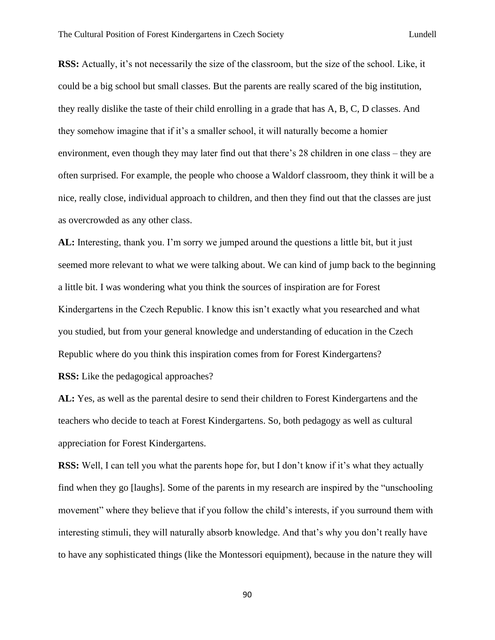**RSS:** Actually, it's not necessarily the size of the classroom, but the size of the school. Like, it could be a big school but small classes. But the parents are really scared of the big institution, they really dislike the taste of their child enrolling in a grade that has A, B, C, D classes. And they somehow imagine that if it's a smaller school, it will naturally become a homier environment, even though they may later find out that there's 28 children in one class – they are often surprised. For example, the people who choose a Waldorf classroom, they think it will be a nice, really close, individual approach to children, and then they find out that the classes are just as overcrowded as any other class.

**AL:** Interesting, thank you. I'm sorry we jumped around the questions a little bit, but it just seemed more relevant to what we were talking about. We can kind of jump back to the beginning a little bit. I was wondering what you think the sources of inspiration are for Forest Kindergartens in the Czech Republic. I know this isn't exactly what you researched and what you studied, but from your general knowledge and understanding of education in the Czech Republic where do you think this inspiration comes from for Forest Kindergartens? **RSS:** Like the pedagogical approaches?

**AL:** Yes, as well as the parental desire to send their children to Forest Kindergartens and the teachers who decide to teach at Forest Kindergartens. So, both pedagogy as well as cultural appreciation for Forest Kindergartens.

**RSS:** Well, I can tell you what the parents hope for, but I don't know if it's what they actually find when they go [laughs]. Some of the parents in my research are inspired by the "unschooling movement" where they believe that if you follow the child's interests, if you surround them with interesting stimuli, they will naturally absorb knowledge. And that's why you don't really have to have any sophisticated things (like the Montessori equipment), because in the nature they will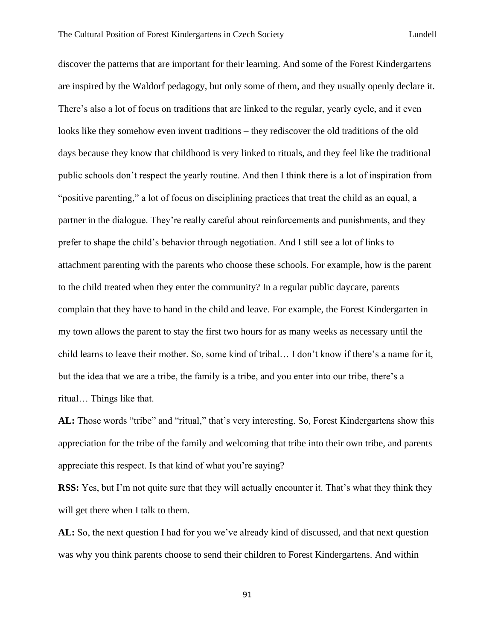discover the patterns that are important for their learning. And some of the Forest Kindergartens are inspired by the Waldorf pedagogy, but only some of them, and they usually openly declare it. There's also a lot of focus on traditions that are linked to the regular, yearly cycle, and it even looks like they somehow even invent traditions – they rediscover the old traditions of the old days because they know that childhood is very linked to rituals, and they feel like the traditional public schools don't respect the yearly routine. And then I think there is a lot of inspiration from "positive parenting," a lot of focus on disciplining practices that treat the child as an equal, a partner in the dialogue. They're really careful about reinforcements and punishments, and they prefer to shape the child's behavior through negotiation. And I still see a lot of links to attachment parenting with the parents who choose these schools. For example, how is the parent to the child treated when they enter the community? In a regular public daycare, parents complain that they have to hand in the child and leave. For example, the Forest Kindergarten in my town allows the parent to stay the first two hours for as many weeks as necessary until the child learns to leave their mother. So, some kind of tribal… I don't know if there's a name for it, but the idea that we are a tribe, the family is a tribe, and you enter into our tribe, there's a ritual… Things like that.

AL: Those words "tribe" and "ritual," that's very interesting. So, Forest Kindergartens show this appreciation for the tribe of the family and welcoming that tribe into their own tribe, and parents appreciate this respect. Is that kind of what you're saying?

**RSS:** Yes, but I'm not quite sure that they will actually encounter it. That's what they think they will get there when I talk to them.

**AL:** So, the next question I had for you we've already kind of discussed, and that next question was why you think parents choose to send their children to Forest Kindergartens. And within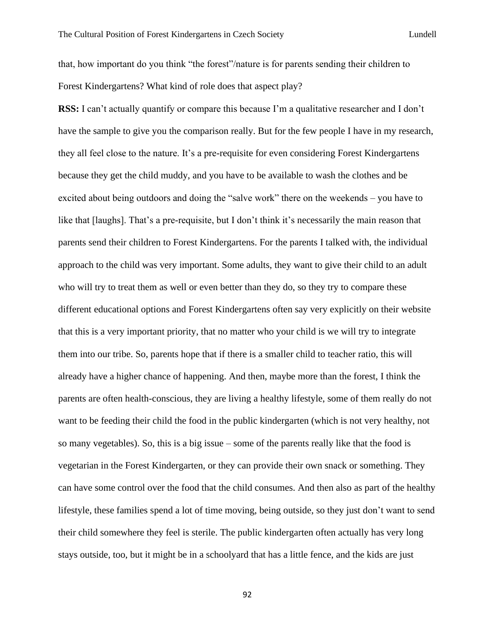that, how important do you think "the forest"/nature is for parents sending their children to Forest Kindergartens? What kind of role does that aspect play?

**RSS:** I can't actually quantify or compare this because I'm a qualitative researcher and I don't have the sample to give you the comparison really. But for the few people I have in my research, they all feel close to the nature. It's a pre-requisite for even considering Forest Kindergartens because they get the child muddy, and you have to be available to wash the clothes and be excited about being outdoors and doing the "salve work" there on the weekends – you have to like that [laughs]. That's a pre-requisite, but I don't think it's necessarily the main reason that parents send their children to Forest Kindergartens. For the parents I talked with, the individual approach to the child was very important. Some adults, they want to give their child to an adult who will try to treat them as well or even better than they do, so they try to compare these different educational options and Forest Kindergartens often say very explicitly on their website that this is a very important priority, that no matter who your child is we will try to integrate them into our tribe. So, parents hope that if there is a smaller child to teacher ratio, this will already have a higher chance of happening. And then, maybe more than the forest, I think the parents are often health-conscious, they are living a healthy lifestyle, some of them really do not want to be feeding their child the food in the public kindergarten (which is not very healthy, not so many vegetables). So, this is a big issue – some of the parents really like that the food is vegetarian in the Forest Kindergarten, or they can provide their own snack or something. They can have some control over the food that the child consumes. And then also as part of the healthy lifestyle, these families spend a lot of time moving, being outside, so they just don't want to send their child somewhere they feel is sterile. The public kindergarten often actually has very long stays outside, too, but it might be in a schoolyard that has a little fence, and the kids are just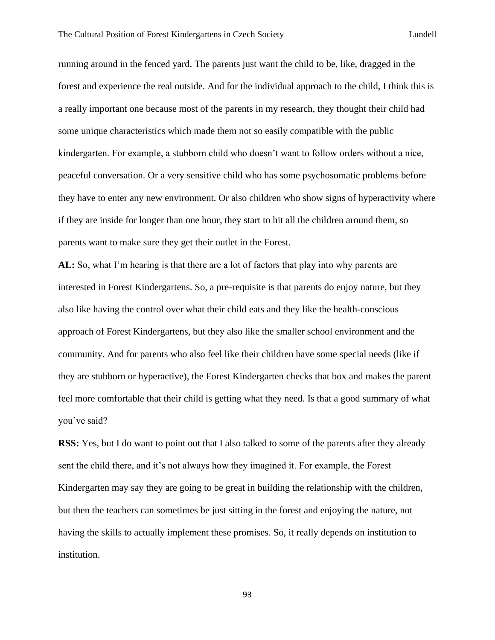running around in the fenced yard. The parents just want the child to be, like, dragged in the forest and experience the real outside. And for the individual approach to the child, I think this is a really important one because most of the parents in my research, they thought their child had some unique characteristics which made them not so easily compatible with the public kindergarten. For example, a stubborn child who doesn't want to follow orders without a nice, peaceful conversation. Or a very sensitive child who has some psychosomatic problems before they have to enter any new environment. Or also children who show signs of hyperactivity where if they are inside for longer than one hour, they start to hit all the children around them, so parents want to make sure they get their outlet in the Forest.

**AL:** So, what I'm hearing is that there are a lot of factors that play into why parents are interested in Forest Kindergartens. So, a pre-requisite is that parents do enjoy nature, but they also like having the control over what their child eats and they like the health-conscious approach of Forest Kindergartens, but they also like the smaller school environment and the community. And for parents who also feel like their children have some special needs (like if they are stubborn or hyperactive), the Forest Kindergarten checks that box and makes the parent feel more comfortable that their child is getting what they need. Is that a good summary of what you've said?

**RSS:** Yes, but I do want to point out that I also talked to some of the parents after they already sent the child there, and it's not always how they imagined it. For example, the Forest Kindergarten may say they are going to be great in building the relationship with the children, but then the teachers can sometimes be just sitting in the forest and enjoying the nature, not having the skills to actually implement these promises. So, it really depends on institution to institution.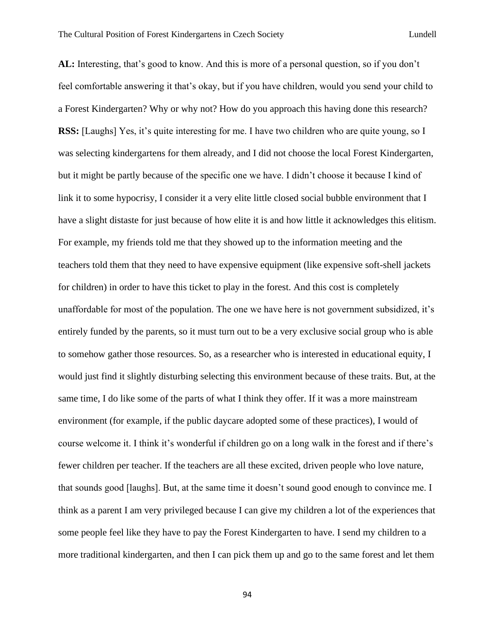**AL:** Interesting, that's good to know. And this is more of a personal question, so if you don't feel comfortable answering it that's okay, but if you have children, would you send your child to a Forest Kindergarten? Why or why not? How do you approach this having done this research? **RSS:** [Laughs] Yes, it's quite interesting for me. I have two children who are quite young, so I was selecting kindergartens for them already, and I did not choose the local Forest Kindergarten, but it might be partly because of the specific one we have. I didn't choose it because I kind of link it to some hypocrisy, I consider it a very elite little closed social bubble environment that I have a slight distaste for just because of how elite it is and how little it acknowledges this elitism. For example, my friends told me that they showed up to the information meeting and the teachers told them that they need to have expensive equipment (like expensive soft-shell jackets for children) in order to have this ticket to play in the forest. And this cost is completely unaffordable for most of the population. The one we have here is not government subsidized, it's entirely funded by the parents, so it must turn out to be a very exclusive social group who is able to somehow gather those resources. So, as a researcher who is interested in educational equity, I would just find it slightly disturbing selecting this environment because of these traits. But, at the same time, I do like some of the parts of what I think they offer. If it was a more mainstream environment (for example, if the public daycare adopted some of these practices), I would of course welcome it. I think it's wonderful if children go on a long walk in the forest and if there's fewer children per teacher. If the teachers are all these excited, driven people who love nature, that sounds good [laughs]. But, at the same time it doesn't sound good enough to convince me. I think as a parent I am very privileged because I can give my children a lot of the experiences that some people feel like they have to pay the Forest Kindergarten to have. I send my children to a more traditional kindergarten, and then I can pick them up and go to the same forest and let them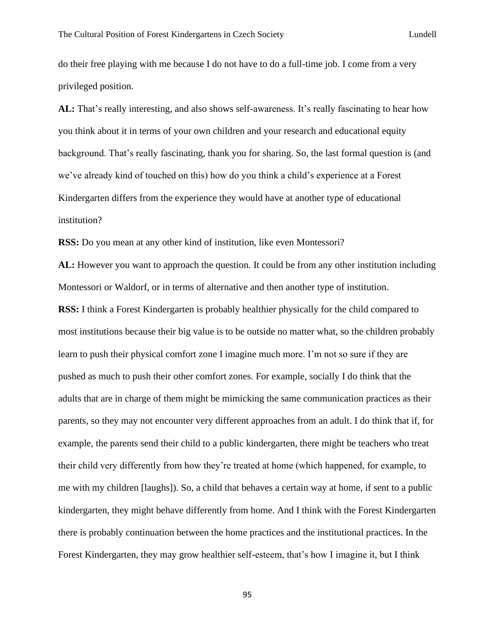do their free playing with me because I do not have to do a full-time job. I come from a very privileged position.

**AL:** That's really interesting, and also shows self-awareness. It's really fascinating to hear how you think about it in terms of your own children and your research and educational equity background. That's really fascinating, thank you for sharing. So, the last formal question is (and we've already kind of touched on this) how do you think a child's experience at a Forest Kindergarten differs from the experience they would have at another type of educational institution?

**RSS:** Do you mean at any other kind of institution, like even Montessori?

**AL:** However you want to approach the question. It could be from any other institution including Montessori or Waldorf, or in terms of alternative and then another type of institution.

**RSS:** I think a Forest Kindergarten is probably healthier physically for the child compared to most institutions because their big value is to be outside no matter what, so the children probably learn to push their physical comfort zone I imagine much more. I'm not so sure if they are pushed as much to push their other comfort zones. For example, socially I do think that the adults that are in charge of them might be mimicking the same communication practices as their parents, so they may not encounter very different approaches from an adult. I do think that if, for example, the parents send their child to a public kindergarten, there might be teachers who treat their child very differently from how they're treated at home (which happened, for example, to me with my children [laughs]). So, a child that behaves a certain way at home, if sent to a public kindergarten, they might behave differently from home. And I think with the Forest Kindergarten there is probably continuation between the home practices and the institutional practices. In the Forest Kindergarten, they may grow healthier self-esteem, that's how I imagine it, but I think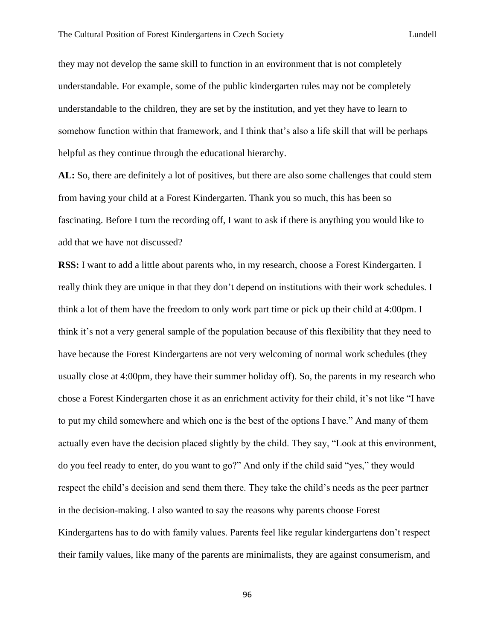they may not develop the same skill to function in an environment that is not completely understandable. For example, some of the public kindergarten rules may not be completely understandable to the children, they are set by the institution, and yet they have to learn to somehow function within that framework, and I think that's also a life skill that will be perhaps helpful as they continue through the educational hierarchy.

**AL:** So, there are definitely a lot of positives, but there are also some challenges that could stem from having your child at a Forest Kindergarten. Thank you so much, this has been so fascinating. Before I turn the recording off, I want to ask if there is anything you would like to add that we have not discussed?

**RSS:** I want to add a little about parents who, in my research, choose a Forest Kindergarten. I really think they are unique in that they don't depend on institutions with their work schedules. I think a lot of them have the freedom to only work part time or pick up their child at 4:00pm. I think it's not a very general sample of the population because of this flexibility that they need to have because the Forest Kindergartens are not very welcoming of normal work schedules (they usually close at 4:00pm, they have their summer holiday off). So, the parents in my research who chose a Forest Kindergarten chose it as an enrichment activity for their child, it's not like "I have to put my child somewhere and which one is the best of the options I have." And many of them actually even have the decision placed slightly by the child. They say, "Look at this environment, do you feel ready to enter, do you want to go?" And only if the child said "yes," they would respect the child's decision and send them there. They take the child's needs as the peer partner in the decision-making. I also wanted to say the reasons why parents choose Forest Kindergartens has to do with family values. Parents feel like regular kindergartens don't respect their family values, like many of the parents are minimalists, they are against consumerism, and